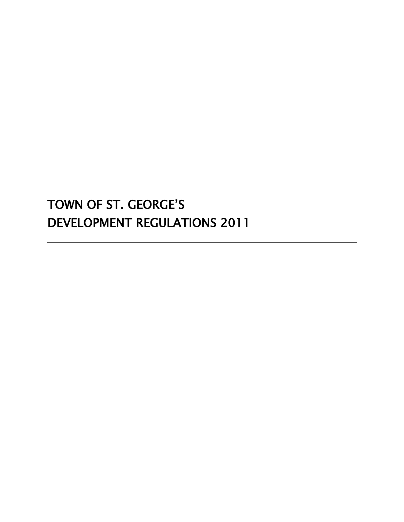# TOWN OF ST. GEORGE'S DEVELOPMENT REGULATIONS 2011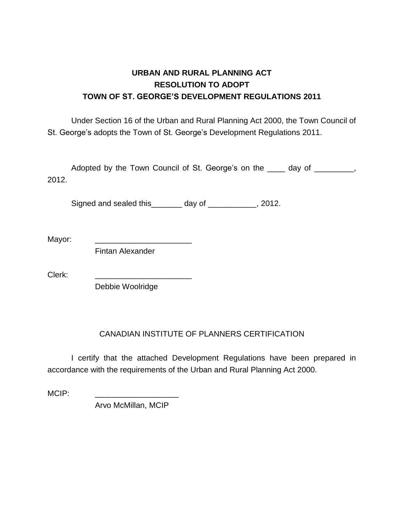## **URBAN AND RURAL PLANNING ACT RESOLUTION TO ADOPT TOWN OF ST. GEORGE'S DEVELOPMENT REGULATIONS 2011**

Under Section 16 of the Urban and Rural Planning Act 2000, the Town Council of St. George's adopts the Town of St. George's Development Regulations 2011.

Adopted by the Town Council of St. George's on the <u>secondal</u> day of the stead of the stead of the stead of the stead of the stead of the stead of the stead of the stead of the stead of the stead of the stead of the stead 2012.

Signed and sealed this\_\_\_\_\_\_\_ day of \_\_\_\_\_\_\_\_\_\_, 2012.

Mayor: \_\_\_\_\_\_\_\_\_\_\_\_\_\_\_\_\_\_\_\_\_\_

Fintan Alexander

Clerk:

Debbie Woolridge

## CANADIAN INSTITUTE OF PLANNERS CERTIFICATION

I certify that the attached Development Regulations have been prepared in accordance with the requirements of the Urban and Rural Planning Act 2000.

 $MCIP:$ 

Arvo McMillan, MCIP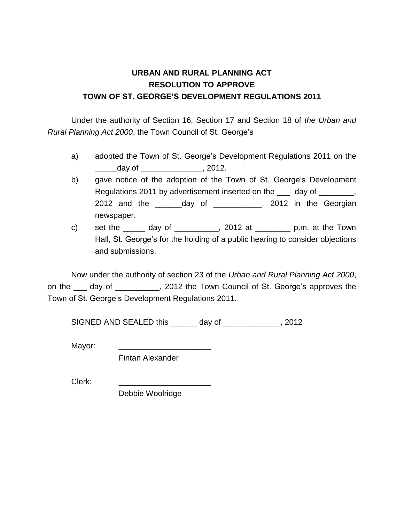## **URBAN AND RURAL PLANNING ACT RESOLUTION TO APPROVE TOWN OF ST. GEORGE'S DEVELOPMENT REGULATIONS 2011**

Under the authority of Section 16, Section 17 and Section 18 of *the Urban and Rural Planning Act 2000*, the Town Council of St. George's

- a) adopted the Town of St. George's Development Regulations 2011 on the  $d$ ay of  $\overline{\phantom{a}}$ , 2012.
- b) gave notice of the adoption of the Town of St. George's Development Regulations 2011 by advertisement inserted on the same day of successive, 2012 and the \_\_\_\_\_\_day of \_\_\_\_\_\_\_\_\_\_\_, 2012 in the Georgian newspaper.
- c) set the  $\frac{1}{2012}$  at  $\frac{1}{2012}$  at  $\frac{1}{2012}$  p.m. at the Town Hall, St. George's for the holding of a public hearing to consider objections and submissions.

Now under the authority of section 23 of the *Urban and Rural Planning Act 2000*, on the day of \_\_\_\_\_\_\_\_, 2012 the Town Council of St. George's approves the Town of St. George's Development Regulations 2011.

SIGNED AND SEALED this \_\_\_\_\_\_ day of \_\_\_\_\_\_\_\_\_\_\_\_, 2012

Mayor:

Fintan Alexander

Clerk:

Debbie Woolridge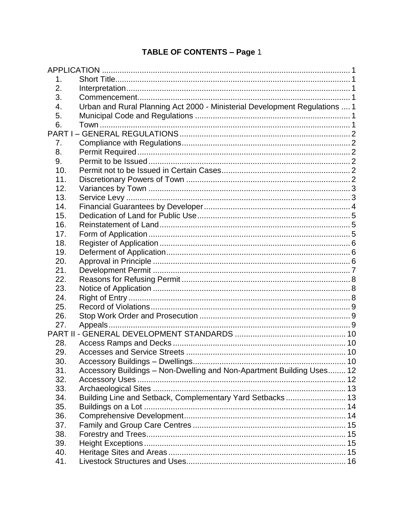## TABLE OF CONTENTS - Page 1

| 1.  |                                                                            |  |
|-----|----------------------------------------------------------------------------|--|
| 2.  |                                                                            |  |
| 3.  |                                                                            |  |
| 4.  | Urban and Rural Planning Act 2000 - Ministerial Development Regulations  1 |  |
| 5.  |                                                                            |  |
| 6.  |                                                                            |  |
|     |                                                                            |  |
| 7.  |                                                                            |  |
| 8.  |                                                                            |  |
| 9.  |                                                                            |  |
| 10. |                                                                            |  |
| 11. |                                                                            |  |
| 12. |                                                                            |  |
| 13. |                                                                            |  |
| 14. |                                                                            |  |
| 15. |                                                                            |  |
| 16. |                                                                            |  |
| 17. |                                                                            |  |
| 18. |                                                                            |  |
| 19. |                                                                            |  |
| 20. |                                                                            |  |
| 21. |                                                                            |  |
| 22. |                                                                            |  |
| 23. |                                                                            |  |
| 24. |                                                                            |  |
| 25. |                                                                            |  |
| 26. |                                                                            |  |
| 27. |                                                                            |  |
|     |                                                                            |  |
| 28. |                                                                            |  |
| 29. |                                                                            |  |
| 30. |                                                                            |  |
| 31. | Accessory Buildings - Non-Dwelling and Non-Apartment Building Uses 12      |  |
| 32. |                                                                            |  |
| 33. |                                                                            |  |
| 34. | Building Line and Setback, Complementary Yard Setbacks 13                  |  |
| 35. |                                                                            |  |
| 36. |                                                                            |  |
| 37. |                                                                            |  |
| 38. |                                                                            |  |
| 39. |                                                                            |  |
| 40. |                                                                            |  |
| 41. |                                                                            |  |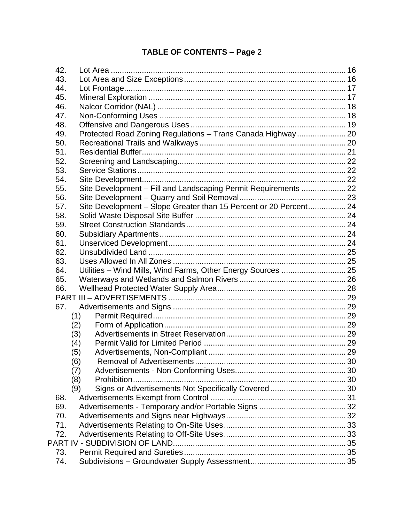## **TABLE OF CONTENTS – Page** 2

| 42. |                                                                   |  |
|-----|-------------------------------------------------------------------|--|
| 43. |                                                                   |  |
| 44. |                                                                   |  |
| 45. |                                                                   |  |
| 46. |                                                                   |  |
| 47. |                                                                   |  |
| 48. |                                                                   |  |
| 49. | Protected Road Zoning Regulations - Trans Canada Highway 20       |  |
| 50. |                                                                   |  |
| 51. |                                                                   |  |
| 52. |                                                                   |  |
| 53. |                                                                   |  |
| 54. |                                                                   |  |
| 55. | Site Development - Fill and Landscaping Permit Requirements  22   |  |
| 56. |                                                                   |  |
| 57. | Site Development - Slope Greater than 15 Percent or 20 Percent 24 |  |
| 58. |                                                                   |  |
| 59. |                                                                   |  |
| 60. |                                                                   |  |
| 61. |                                                                   |  |
| 62. |                                                                   |  |
| 63. |                                                                   |  |
| 64. | Utilities - Wind Mills, Wind Farms, Other Energy Sources  25      |  |
| 65. |                                                                   |  |
| 66. |                                                                   |  |
|     |                                                                   |  |
| 67. |                                                                   |  |
|     | (1)                                                               |  |
|     | (2)                                                               |  |
|     | (3)                                                               |  |
|     | (4)                                                               |  |
|     | (5)                                                               |  |
|     | (6)                                                               |  |
|     | (7)                                                               |  |
|     | Prohibition<br>(8)                                                |  |
|     | Signs or Advertisements Not Specifically Covered 30<br>(9)        |  |
| 68. |                                                                   |  |
| 69. |                                                                   |  |
| 70. |                                                                   |  |
| 71. |                                                                   |  |
| 72. |                                                                   |  |
|     |                                                                   |  |
| 73. |                                                                   |  |
| 74. |                                                                   |  |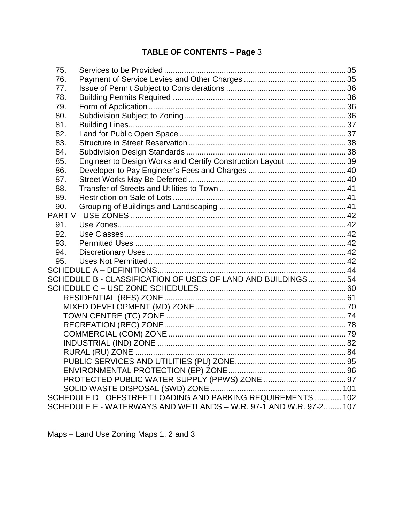## TABLE OF CONTENTS - Page 3

| 75. |                                                                   |  |
|-----|-------------------------------------------------------------------|--|
| 76. |                                                                   |  |
| 77. |                                                                   |  |
| 78. |                                                                   |  |
| 79. |                                                                   |  |
| 80. |                                                                   |  |
| 81. |                                                                   |  |
| 82. |                                                                   |  |
| 83. |                                                                   |  |
| 84. |                                                                   |  |
| 85. | Engineer to Design Works and Certify Construction Layout  39      |  |
| 86. |                                                                   |  |
| 87. |                                                                   |  |
| 88. |                                                                   |  |
| 89. |                                                                   |  |
| 90. |                                                                   |  |
|     |                                                                   |  |
| 91. |                                                                   |  |
| 92. |                                                                   |  |
| 93. |                                                                   |  |
| 94. |                                                                   |  |
| 95. |                                                                   |  |
|     |                                                                   |  |
|     | SCHEDULE B - CLASSIFICATION OF USES OF LAND AND BUILDINGS 54      |  |
|     |                                                                   |  |
|     |                                                                   |  |
|     |                                                                   |  |
|     |                                                                   |  |
|     |                                                                   |  |
|     |                                                                   |  |
|     |                                                                   |  |
|     |                                                                   |  |
|     |                                                                   |  |
|     |                                                                   |  |
|     |                                                                   |  |
|     |                                                                   |  |
|     | SCHEDULE D - OFFSTREET LOADING AND PARKING REQUIREMENTS  102      |  |
|     | SCHEDULE E - WATERWAYS AND WETLANDS - W.R. 97-1 AND W.R. 97-2 107 |  |

Maps - Land Use Zoning Maps 1, 2 and 3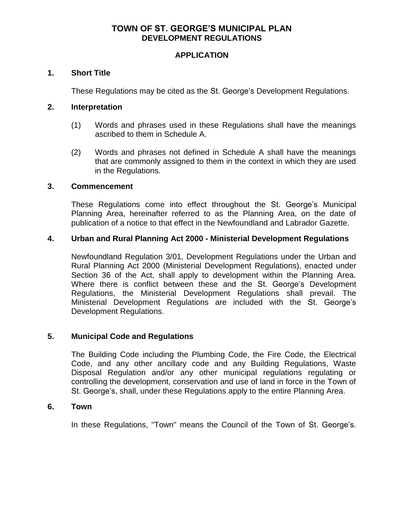## **TOWN OF ST. GEORGE'S MUNICIPAL PLAN DEVELOPMENT REGULATIONS**

## **APPLICATION**

## <span id="page-6-1"></span><span id="page-6-0"></span>**1. Short Title**

These Regulations may be cited as the St. George's Development Regulations.

## <span id="page-6-2"></span>**2. Interpretation**

- (1) Words and phrases used in these Regulations shall have the meanings ascribed to them in Schedule A.
- (2) Words and phrases not defined in Schedule A shall have the meanings that are commonly assigned to them in the context in which they are used in the Regulations.

## <span id="page-6-3"></span>**3. Commencement**

 These Regulations come into effect throughout the St. George's Municipal Planning Area, hereinafter referred to as the Planning Area, on the date of publication of a notice to that effect in the Newfoundland and Labrador Gazette.

## <span id="page-6-4"></span>**4. Urban and Rural Planning Act 2000 - Ministerial Development Regulations**

Newfoundland Regulation 3/01, Development Regulations under the Urban and Rural Planning Act 2000 (Ministerial Development Regulations), enacted under Section 36 of the Act, shall apply to development within the Planning Area. Where there is conflict between these and the St. George's Development Regulations, the Ministerial Development Regulations shall prevail. The Ministerial Development Regulations are included with the St. George's Development Regulations.

## <span id="page-6-5"></span>**5. Municipal Code and Regulations**

 The Building Code including the Plumbing Code, the Fire Code, the Electrical Code, and any other ancillary code and any Building Regulations, Waste Disposal Regulation and/or any other municipal regulations regulating or controlling the development, conservation and use of land in force in the Town of St. George's, shall, under these Regulations apply to the entire Planning Area.

## <span id="page-6-6"></span>**6. Town**

In these Regulations, "Town" means the Council of the Town of St. George's.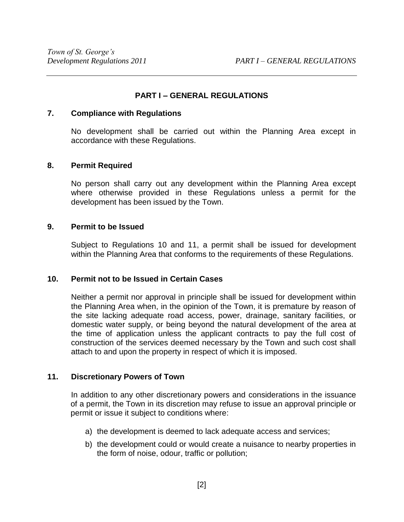## **PART I – GENERAL REGULATIONS**

## <span id="page-7-1"></span><span id="page-7-0"></span>**7. Compliance with Regulations**

 No development shall be carried out within the Planning Area except in accordance with these Regulations.

## <span id="page-7-2"></span>**8. Permit Required**

 No person shall carry out any development within the Planning Area except where otherwise provided in these Regulations unless a permit for the development has been issued by the Town.

## <span id="page-7-3"></span>**9. Permit to be Issued**

 Subject to Regulations 10 and 11, a permit shall be issued for development within the Planning Area that conforms to the requirements of these Regulations.

## <span id="page-7-4"></span>**10. Permit not to be Issued in Certain Cases**

 Neither a permit nor approval in principle shall be issued for development within the Planning Area when, in the opinion of the Town, it is premature by reason of the site lacking adequate road access, power, drainage, sanitary facilities, or domestic water supply, or being beyond the natural development of the area at the time of application unless the applicant contracts to pay the full cost of construction of the services deemed necessary by the Town and such cost shall attach to and upon the property in respect of which it is imposed.

## <span id="page-7-5"></span>**11. Discretionary Powers of Town**

In addition to any other discretionary powers and considerations in the issuance of a permit, the Town in its discretion may refuse to issue an approval principle or permit or issue it subject to conditions where:

- a) the development is deemed to lack adequate access and services;
- b) the development could or would create a nuisance to nearby properties in the form of noise, odour, traffic or pollution;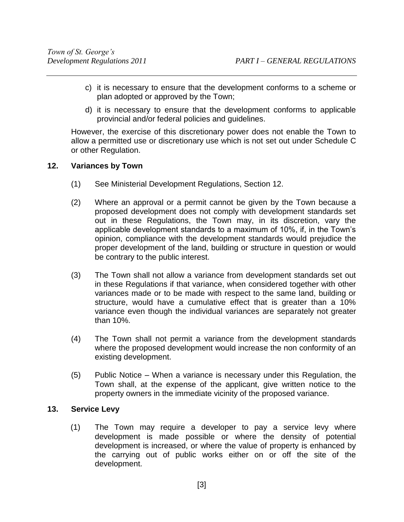- c) it is necessary to ensure that the development conforms to a scheme or plan adopted or approved by the Town;
- d) it is necessary to ensure that the development conforms to applicable provincial and/or federal policies and guidelines.

However, the exercise of this discretionary power does not enable the Town to allow a permitted use or discretionary use which is not set out under Schedule C or other Regulation.

## <span id="page-8-0"></span>**12. Variances by Town**

- (1) See Ministerial Development Regulations, Section 12.
- (2) Where an approval or a permit cannot be given by the Town because a proposed development does not comply with development standards set out in these Regulations, the Town may, in its discretion, vary the applicable development standards to a maximum of 10%, if, in the Town's opinion, compliance with the development standards would prejudice the proper development of the land, building or structure in question or would be contrary to the public interest.
- (3) The Town shall not allow a variance from development standards set out in these Regulations if that variance, when considered together with other variances made or to be made with respect to the same land, building or structure, would have a cumulative effect that is greater than a 10% variance even though the individual variances are separately not greater than 10%.
- (4) The Town shall not permit a variance from the development standards where the proposed development would increase the non conformity of an existing development.
- (5) Public Notice When a variance is necessary under this Regulation, the Town shall, at the expense of the applicant, give written notice to the property owners in the immediate vicinity of the proposed variance.

## <span id="page-8-1"></span>**13. Service Levy**

(1) The Town may require a developer to pay a service levy where development is made possible or where the density of potential development is increased, or where the value of property is enhanced by the carrying out of public works either on or off the site of the development.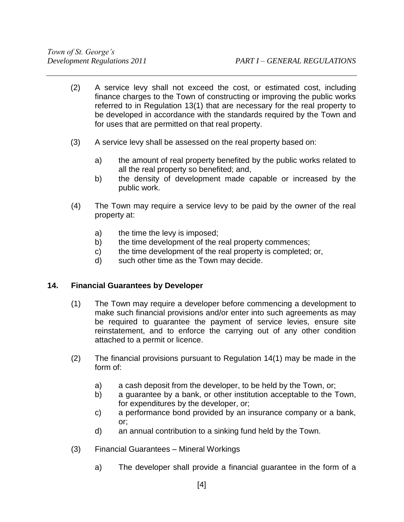- (2) A service levy shall not exceed the cost, or estimated cost, including finance charges to the Town of constructing or improving the public works referred to in Regulation 13(1) that are necessary for the real property to be developed in accordance with the standards required by the Town and for uses that are permitted on that real property.
- (3) A service levy shall be assessed on the real property based on:
	- a) the amount of real property benefited by the public works related to all the real property so benefited; and,
	- b) the density of development made capable or increased by the public work.
- (4) The Town may require a service levy to be paid by the owner of the real property at:
	- a) the time the levy is imposed;
	- b) the time development of the real property commences;
	- c) the time development of the real property is completed; or,
	- d) such other time as the Town may decide.

## <span id="page-9-0"></span>**14. Financial Guarantees by Developer**

- (1) The Town may require a developer before commencing a development to make such financial provisions and/or enter into such agreements as may be required to guarantee the payment of service levies, ensure site reinstatement, and to enforce the carrying out of any other condition attached to a permit or licence.
- (2) The financial provisions pursuant to Regulation 14(1) may be made in the form of:
	- a) a cash deposit from the developer, to be held by the Town, or;
	- b) a guarantee by a bank, or other institution acceptable to the Town, for expenditures by the developer, or;
	- c) a performance bond provided by an insurance company or a bank, or;
	- d) an annual contribution to a sinking fund held by the Town.
- (3) Financial Guarantees Mineral Workings
	- a) The developer shall provide a financial guarantee in the form of a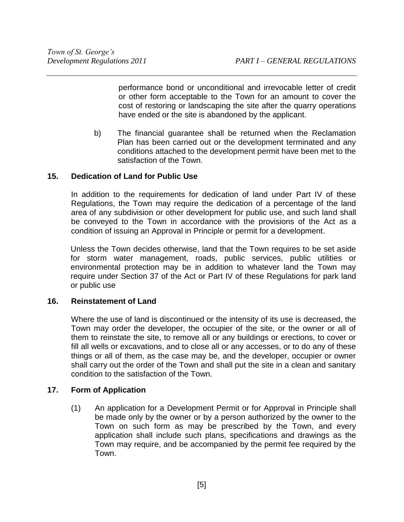performance bond or unconditional and irrevocable letter of credit or other form acceptable to the Town for an amount to cover the cost of restoring or landscaping the site after the quarry operations have ended or the site is abandoned by the applicant.

b) The financial guarantee shall be returned when the Reclamation Plan has been carried out or the development terminated and any conditions attached to the development permit have been met to the satisfaction of the Town.

## <span id="page-10-0"></span>**15. Dedication of Land for Public Use**

In addition to the requirements for dedication of land under Part IV of these Regulations, the Town may require the dedication of a percentage of the land area of any subdivision or other development for public use, and such land shall be conveyed to the Town in accordance with the provisions of the Act as a condition of issuing an Approval in Principle or permit for a development.

Unless the Town decides otherwise, land that the Town requires to be set aside for storm water management, roads, public services, public utilities or environmental protection may be in addition to whatever land the Town may require under Section 37 of the Act or Part IV of these Regulations for park land or public use

## <span id="page-10-1"></span>**16. Reinstatement of Land**

Where the use of land is discontinued or the intensity of its use is decreased, the Town may order the developer, the occupier of the site, or the owner or all of them to reinstate the site, to remove all or any buildings or erections, to cover or fill all wells or excavations, and to close all or any accesses, or to do any of these things or all of them, as the case may be, and the developer, occupier or owner shall carry out the order of the Town and shall put the site in a clean and sanitary condition to the satisfaction of the Town.

## <span id="page-10-2"></span>**17. Form of Application**

 (1) An application for a Development Permit or for Approval in Principle shall be made only by the owner or by a person authorized by the owner to the Town on such form as may be prescribed by the Town, and every application shall include such plans, specifications and drawings as the Town may require, and be accompanied by the permit fee required by the Town.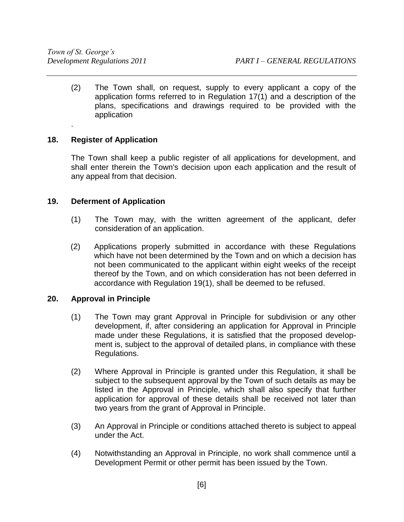(2) The Town shall, on request, supply to every applicant a copy of the application forms referred to in Regulation 17(1) and a description of the plans, specifications and drawings required to be provided with the application

## <span id="page-11-0"></span>**18. Register of Application**

.

 The Town shall keep a public register of all applications for development, and shall enter therein the Town's decision upon each application and the result of any appeal from that decision.

## <span id="page-11-1"></span>**19. Deferment of Application**

- (1) The Town may, with the written agreement of the applicant, defer consideration of an application.
- (2) Applications properly submitted in accordance with these Regulations which have not been determined by the Town and on which a decision has not been communicated to the applicant within eight weeks of the receipt thereof by the Town, and on which consideration has not been deferred in accordance with Regulation 19(1), shall be deemed to be refused.

## <span id="page-11-2"></span>**20. Approval in Principle**

- (1) The Town may grant Approval in Principle for subdivision or any other development, if, after considering an application for Approval in Principle made under these Regulations, it is satisfied that the proposed development is, subject to the approval of detailed plans, in compliance with these Regulations.
- (2) Where Approval in Principle is granted under this Regulation, it shall be subject to the subsequent approval by the Town of such details as may be listed in the Approval in Principle, which shall also specify that further application for approval of these details shall be received not later than two years from the grant of Approval in Principle.
- (3) An Approval in Principle or conditions attached thereto is subject to appeal under the Act.
- (4) Notwithstanding an Approval in Principle, no work shall commence until a Development Permit or other permit has been issued by the Town.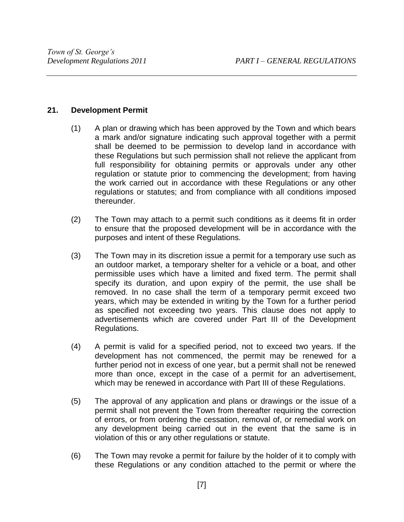## <span id="page-12-0"></span>**21. Development Permit**

- (1) A plan or drawing which has been approved by the Town and which bears a mark and/or signature indicating such approval together with a permit shall be deemed to be permission to develop land in accordance with these Regulations but such permission shall not relieve the applicant from full responsibility for obtaining permits or approvals under any other regulation or statute prior to commencing the development; from having the work carried out in accordance with these Regulations or any other regulations or statutes; and from compliance with all conditions imposed thereunder.
- (2) The Town may attach to a permit such conditions as it deems fit in order to ensure that the proposed development will be in accordance with the purposes and intent of these Regulations.
- (3) The Town may in its discretion issue a permit for a temporary use such as an outdoor market, a temporary shelter for a vehicle or a boat, and other permissible uses which have a limited and fixed term. The permit shall specify its duration, and upon expiry of the permit, the use shall be removed. In no case shall the term of a temporary permit exceed two years, which may be extended in writing by the Town for a further period as specified not exceeding two years. This clause does not apply to advertisements which are covered under Part III of the Development Regulations.
- (4) A permit is valid for a specified period, not to exceed two years. If the development has not commenced, the permit may be renewed for a further period not in excess of one year, but a permit shall not be renewed more than once, except in the case of a permit for an advertisement, which may be renewed in accordance with Part III of these Regulations.
- (5) The approval of any application and plans or drawings or the issue of a permit shall not prevent the Town from thereafter requiring the correction of errors, or from ordering the cessation, removal of, or remedial work on any development being carried out in the event that the same is in violation of this or any other regulations or statute.
- (6) The Town may revoke a permit for failure by the holder of it to comply with these Regulations or any condition attached to the permit or where the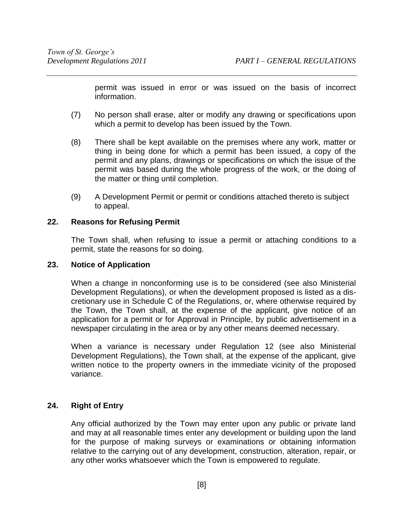permit was issued in error or was issued on the basis of incorrect information.

- (7) No person shall erase, alter or modify any drawing or specifications upon which a permit to develop has been issued by the Town.
- (8) There shall be kept available on the premises where any work, matter or thing in being done for which a permit has been issued, a copy of the permit and any plans, drawings or specifications on which the issue of the permit was based during the whole progress of the work, or the doing of the matter or thing until completion.
- (9) A Development Permit or permit or conditions attached thereto is subject to appeal.

## <span id="page-13-0"></span>**22. Reasons for Refusing Permit**

 The Town shall, when refusing to issue a permit or attaching conditions to a permit, state the reasons for so doing.

## <span id="page-13-1"></span>**23. Notice of Application**

 When a change in nonconforming use is to be considered (see also Ministerial Development Regulations), or when the development proposed is listed as a discretionary use in Schedule C of the Regulations, or, where otherwise required by the Town, the Town shall, at the expense of the applicant, give notice of an application for a permit or for Approval in Principle, by public advertisement in a newspaper circulating in the area or by any other means deemed necessary.

When a variance is necessary under Regulation 12 (see also Ministerial Development Regulations), the Town shall, at the expense of the applicant, give written notice to the property owners in the immediate vicinity of the proposed variance.

## <span id="page-13-2"></span>**24. Right of Entry**

 Any official authorized by the Town may enter upon any public or private land and may at all reasonable times enter any development or building upon the land for the purpose of making surveys or examinations or obtaining information relative to the carrying out of any development, construction, alteration, repair, or any other works whatsoever which the Town is empowered to regulate.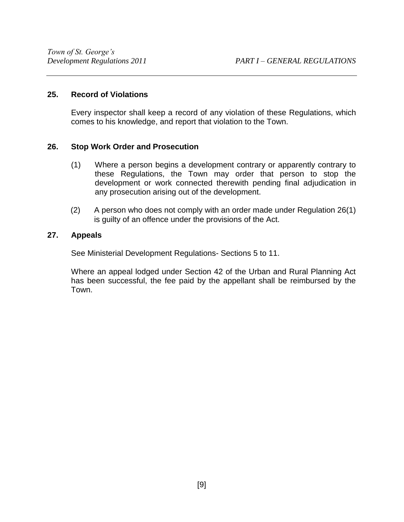## <span id="page-14-0"></span>**25. Record of Violations**

 Every inspector shall keep a record of any violation of these Regulations, which comes to his knowledge, and report that violation to the Town.

## <span id="page-14-1"></span>**26. Stop Work Order and Prosecution**

- (1) Where a person begins a development contrary or apparently contrary to these Regulations, the Town may order that person to stop the development or work connected therewith pending final adjudication in any prosecution arising out of the development.
- (2) A person who does not comply with an order made under Regulation 26(1) is guilty of an offence under the provisions of the Act.

## <span id="page-14-2"></span>**27. Appeals**

See Ministerial Development Regulations- Sections 5 to 11.

Where an appeal lodged under Section 42 of the Urban and Rural Planning Act has been successful, the fee paid by the appellant shall be reimbursed by the Town.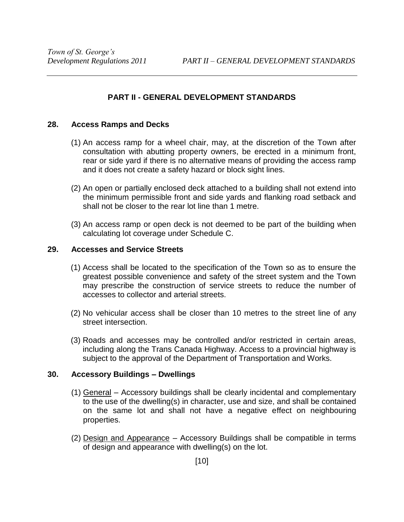## **PART II - GENERAL DEVELOPMENT STANDARDS**

## <span id="page-15-1"></span><span id="page-15-0"></span>**28. Access Ramps and Decks**

- (1) An access ramp for a wheel chair, may, at the discretion of the Town after consultation with abutting property owners, be erected in a minimum front, rear or side yard if there is no alternative means of providing the access ramp and it does not create a safety hazard or block sight lines.
- (2) An open or partially enclosed deck attached to a building shall not extend into the minimum permissible front and side yards and flanking road setback and shall not be closer to the rear lot line than 1 metre.
- (3) An access ramp or open deck is not deemed to be part of the building when calculating lot coverage under Schedule C.

## <span id="page-15-2"></span>**29. Accesses and Service Streets**

- (1) Access shall be located to the specification of the Town so as to ensure the greatest possible convenience and safety of the street system and the Town may prescribe the construction of service streets to reduce the number of accesses to collector and arterial streets.
- (2) No vehicular access shall be closer than 10 metres to the street line of any street intersection.
- (3) Roads and accesses may be controlled and/or restricted in certain areas, including along the Trans Canada Highway. Access to a provincial highway is subject to the approval of the Department of Transportation and Works.

## <span id="page-15-3"></span>**30. Accessory Buildings – Dwellings**

- (1) General Accessory buildings shall be clearly incidental and complementary to the use of the dwelling(s) in character, use and size, and shall be contained on the same lot and shall not have a negative effect on neighbouring properties.
- (2) Design and Appearance Accessory Buildings shall be compatible in terms of design and appearance with dwelling(s) on the lot.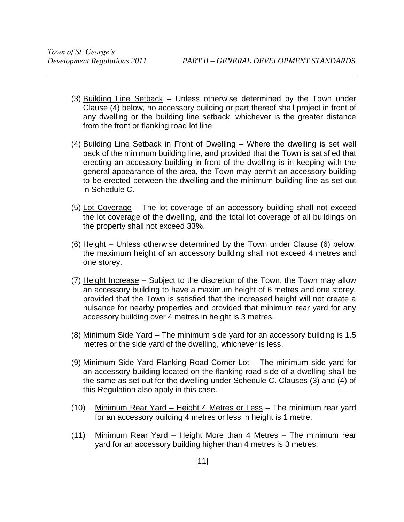- (3) Building Line Setback Unless otherwise determined by the Town under Clause (4) below, no accessory building or part thereof shall project in front of any dwelling or the building line setback, whichever is the greater distance from the front or flanking road lot line.
- (4) Building Line Setback in Front of Dwelling Where the dwelling is set well back of the minimum building line, and provided that the Town is satisfied that erecting an accessory building in front of the dwelling is in keeping with the general appearance of the area, the Town may permit an accessory building to be erected between the dwelling and the minimum building line as set out in Schedule C.
- (5) Lot Coverage The lot coverage of an accessory building shall not exceed the lot coverage of the dwelling, and the total lot coverage of all buildings on the property shall not exceed 33%.
- (6) Height Unless otherwise determined by the Town under Clause (6) below, the maximum height of an accessory building shall not exceed 4 metres and one storey.
- (7) Height Increase Subject to the discretion of the Town, the Town may allow an accessory building to have a maximum height of 6 metres and one storey, provided that the Town is satisfied that the increased height will not create a nuisance for nearby properties and provided that minimum rear yard for any accessory building over 4 metres in height is 3 metres.
- (8) Minimum Side Yard The minimum side yard for an accessory building is 1.5 metres or the side yard of the dwelling, whichever is less.
- (9) Minimum Side Yard Flanking Road Corner Lot The minimum side yard for an accessory building located on the flanking road side of a dwelling shall be the same as set out for the dwelling under Schedule C. Clauses (3) and (4) of this Regulation also apply in this case.
- (10) Minimum Rear Yard Height 4 Metres or Less The minimum rear yard for an accessory building 4 metres or less in height is 1 metre.
- (11) Minimum Rear Yard Height More than 4 Metres The minimum rear yard for an accessory building higher than 4 metres is 3 metres.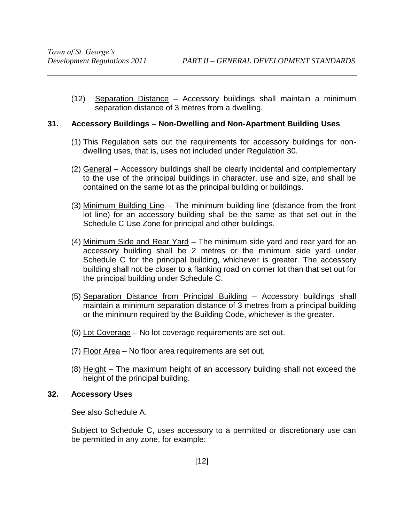(12) Separation Distance – Accessory buildings shall maintain a minimum separation distance of 3 metres from a dwelling.

## <span id="page-17-0"></span>**31. Accessory Buildings – Non-Dwelling and Non-Apartment Building Uses**

- (1) This Regulation sets out the requirements for accessory buildings for nondwelling uses, that is, uses not included under Regulation 30.
- (2) General Accessory buildings shall be clearly incidental and complementary to the use of the principal buildings in character, use and size, and shall be contained on the same lot as the principal building or buildings.
- (3) Minimum Building Line The minimum building line (distance from the front lot line) for an accessory building shall be the same as that set out in the Schedule C Use Zone for principal and other buildings.
- (4) Minimum Side and Rear Yard The minimum side yard and rear yard for an accessory building shall be 2 metres or the minimum side yard under Schedule C for the principal building, whichever is greater. The accessory building shall not be closer to a flanking road on corner lot than that set out for the principal building under Schedule C.
- (5) Separation Distance from Principal Building Accessory buildings shall maintain a minimum separation distance of 3 metres from a principal building or the minimum required by the Building Code, whichever is the greater.
- (6) Lot Coverage No lot coverage requirements are set out.
- (7) Floor Area No floor area requirements are set out.
- (8) Height The maximum height of an accessory building shall not exceed the height of the principal building.

## <span id="page-17-1"></span>**32. Accessory Uses**

See also Schedule A.

Subject to Schedule C, uses accessory to a permitted or discretionary use can be permitted in any zone, for example: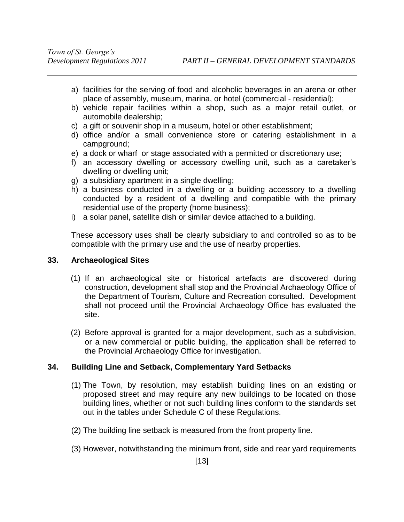- a) facilities for the serving of food and alcoholic beverages in an arena or other place of assembly, museum, marina, or hotel (commercial - residential);
- b) vehicle repair facilities within a shop, such as a major retail outlet, or automobile dealership;
- c) a gift or souvenir shop in a museum, hotel or other establishment;
- d) office and/or a small convenience store or catering establishment in a campground;
- e) a dock or wharf or stage associated with a permitted or discretionary use;
- f) an accessory dwelling or accessory dwelling unit, such as a caretaker's dwelling or dwelling unit;
- g) a subsidiary apartment in a single dwelling;
- h) a business conducted in a dwelling or a building accessory to a dwelling conducted by a resident of a dwelling and compatible with the primary residential use of the property (home business);
- i) a solar panel, satellite dish or similar device attached to a building.

These accessory uses shall be clearly subsidiary to and controlled so as to be compatible with the primary use and the use of nearby properties.

## <span id="page-18-0"></span>**33. Archaeological Sites**

- (1) If an archaeological site or historical artefacts are discovered during construction, development shall stop and the Provincial Archaeology Office of the Department of Tourism, Culture and Recreation consulted. Development shall not proceed until the Provincial Archaeology Office has evaluated the site.
- (2) Before approval is granted for a major development, such as a subdivision, or a new commercial or public building, the application shall be referred to the Provincial Archaeology Office for investigation.

## <span id="page-18-1"></span>**34. Building Line and Setback, Complementary Yard Setbacks**

- (1) The Town, by resolution, may establish building lines on an existing or proposed street and may require any new buildings to be located on those building lines, whether or not such building lines conform to the standards set out in the tables under Schedule C of these Regulations.
- (2) The building line setback is measured from the front property line.
- (3) However, notwithstanding the minimum front, side and rear yard requirements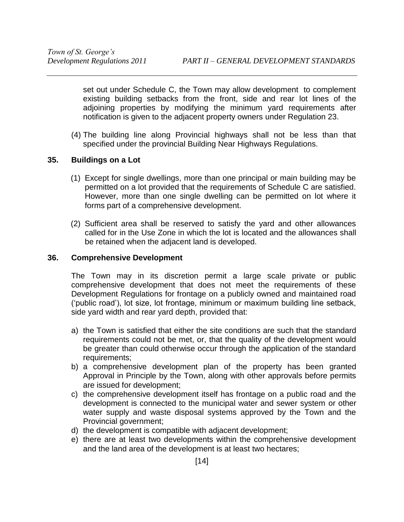set out under Schedule C, the Town may allow development to complement existing building setbacks from the front, side and rear lot lines of the adjoining properties by modifying the minimum yard requirements after notification is given to the adjacent property owners under Regulation 23.

(4) The building line along Provincial highways shall not be less than that specified under the provincial Building Near Highways Regulations.

## <span id="page-19-0"></span>**35. Buildings on a Lot**

- (1) Except for single dwellings, more than one principal or main building may be permitted on a lot provided that the requirements of Schedule C are satisfied. However, more than one single dwelling can be permitted on lot where it forms part of a comprehensive development.
- (2) Sufficient area shall be reserved to satisfy the yard and other allowances called for in the Use Zone in which the lot is located and the allowances shall be retained when the adjacent land is developed.

## <span id="page-19-1"></span>**36. Comprehensive Development**

The Town may in its discretion permit a large scale private or public comprehensive development that does not meet the requirements of these Development Regulations for frontage on a publicly owned and maintained road ('public road'), lot size, lot frontage, minimum or maximum building line setback, side yard width and rear yard depth, provided that:

- a) the Town is satisfied that either the site conditions are such that the standard requirements could not be met, or, that the quality of the development would be greater than could otherwise occur through the application of the standard requirements;
- b) a comprehensive development plan of the property has been granted Approval in Principle by the Town, along with other approvals before permits are issued for development;
- c) the comprehensive development itself has frontage on a public road and the development is connected to the municipal water and sewer system or other water supply and waste disposal systems approved by the Town and the Provincial government;
- d) the development is compatible with adjacent development;
- e) there are at least two developments within the comprehensive development and the land area of the development is at least two hectares;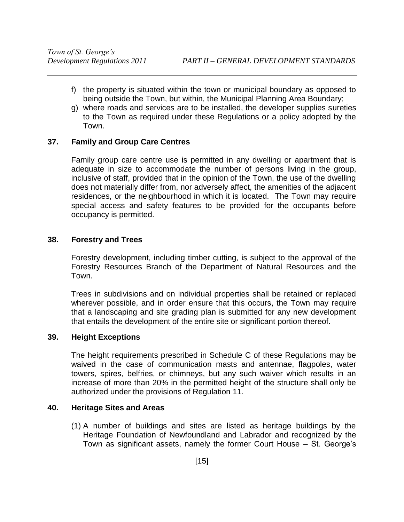- f) the property is situated within the town or municipal boundary as opposed to being outside the Town, but within, the Municipal Planning Area Boundary;
- g) where roads and services are to be installed, the developer supplies sureties to the Town as required under these Regulations or a policy adopted by the Town.

## <span id="page-20-0"></span>**37. Family and Group Care Centres**

 Family group care centre use is permitted in any dwelling or apartment that is adequate in size to accommodate the number of persons living in the group, inclusive of staff, provided that in the opinion of the Town, the use of the dwelling does not materially differ from, nor adversely affect, the amenities of the adjacent residences, or the neighbourhood in which it is located. The Town may require special access and safety features to be provided for the occupants before occupancy is permitted.

## <span id="page-20-1"></span>**38. Forestry and Trees**

Forestry development, including timber cutting, is subject to the approval of the Forestry Resources Branch of the Department of Natural Resources and the Town.

Trees in subdivisions and on individual properties shall be retained or replaced wherever possible, and in order ensure that this occurs, the Town may require that a landscaping and site grading plan is submitted for any new development that entails the development of the entire site or significant portion thereof.

## <span id="page-20-2"></span>**39. Height Exceptions**

 The height requirements prescribed in Schedule C of these Regulations may be waived in the case of communication masts and antennae, flagpoles, water towers, spires, belfries, or chimneys, but any such waiver which results in an increase of more than 20% in the permitted height of the structure shall only be authorized under the provisions of Regulation 11.

## <span id="page-20-3"></span>**40. Heritage Sites and Areas**

(1) A number of buildings and sites are listed as heritage buildings by the Heritage Foundation of Newfoundland and Labrador and recognized by the Town as significant assets, namely the former Court House – St. George's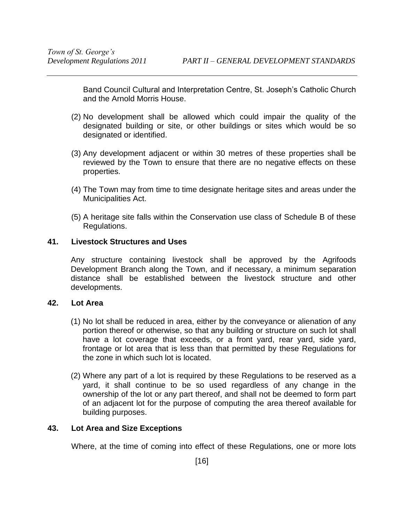Band Council Cultural and Interpretation Centre, St. Joseph's Catholic Church and the Arnold Morris House.

- (2) No development shall be allowed which could impair the quality of the designated building or site, or other buildings or sites which would be so designated or identified.
- (3) Any development adjacent or within 30 metres of these properties shall be reviewed by the Town to ensure that there are no negative effects on these properties.
- (4) The Town may from time to time designate heritage sites and areas under the Municipalities Act.
- (5) A heritage site falls within the Conservation use class of Schedule B of these Regulations.

## <span id="page-21-0"></span>**41. Livestock Structures and Uses**

Any structure containing livestock shall be approved by the Agrifoods Development Branch along the Town, and if necessary, a minimum separation distance shall be established between the livestock structure and other developments.

## <span id="page-21-1"></span>**42. Lot Area**

- (1) No lot shall be reduced in area, either by the conveyance or alienation of any portion thereof or otherwise, so that any building or structure on such lot shall have a lot coverage that exceeds, or a front yard, rear yard, side yard, frontage or lot area that is less than that permitted by these Regulations for the zone in which such lot is located.
- (2) Where any part of a lot is required by these Regulations to be reserved as a yard, it shall continue to be so used regardless of any change in the ownership of the lot or any part thereof, and shall not be deemed to form part of an adjacent lot for the purpose of computing the area thereof available for building purposes.

## <span id="page-21-2"></span>**43. Lot Area and Size Exceptions**

Where, at the time of coming into effect of these Regulations, one or more lots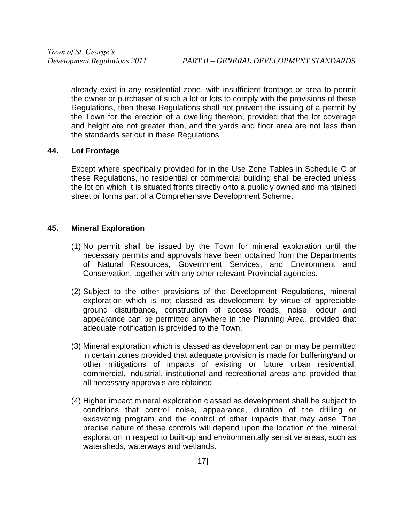already exist in any residential zone, with insufficient frontage or area to permit the owner or purchaser of such a lot or lots to comply with the provisions of these Regulations, then these Regulations shall not prevent the issuing of a permit by the Town for the erection of a dwelling thereon, provided that the lot coverage and height are not greater than, and the yards and floor area are not less than the standards set out in these Regulations.

## <span id="page-22-0"></span>**44. Lot Frontage**

 Except where specifically provided for in the Use Zone Tables in Schedule C of these Regulations, no residential or commercial building shall be erected unless the lot on which it is situated fronts directly onto a publicly owned and maintained street or forms part of a Comprehensive Development Scheme.

## <span id="page-22-1"></span>**45. Mineral Exploration**

- (1) No permit shall be issued by the Town for mineral exploration until the necessary permits and approvals have been obtained from the Departments of Natural Resources, Government Services, and Environment and Conservation, together with any other relevant Provincial agencies.
- (2) Subject to the other provisions of the Development Regulations, mineral exploration which is not classed as development by virtue of appreciable ground disturbance, construction of access roads, noise, odour and appearance can be permitted anywhere in the Planning Area, provided that adequate notification is provided to the Town.
- (3) Mineral exploration which is classed as development can or may be permitted in certain zones provided that adequate provision is made for buffering/and or other mitigations of impacts of existing or future urban residential, commercial, industrial, institutional and recreational areas and provided that all necessary approvals are obtained.
- (4) Higher impact mineral exploration classed as development shall be subject to conditions that control noise, appearance, duration of the drilling or excavating program and the control of other impacts that may arise. The precise nature of these controls will depend upon the location of the mineral exploration in respect to built-up and environmentally sensitive areas, such as watersheds, waterways and wetlands.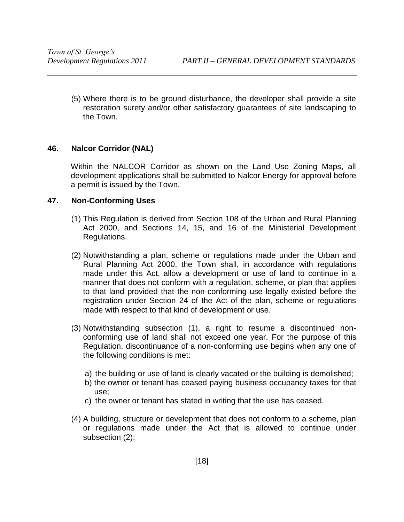(5) Where there is to be ground disturbance, the developer shall provide a site restoration surety and/or other satisfactory guarantees of site landscaping to the Town.

## <span id="page-23-0"></span>**46. Nalcor Corridor (NAL)**

Within the NALCOR Corridor as shown on the Land Use Zoning Maps, all development applications shall be submitted to Nalcor Energy for approval before a permit is issued by the Town.

## <span id="page-23-1"></span>**47. Non-Conforming Uses**

- (1) This Regulation is derived from Section 108 of the Urban and Rural Planning Act 2000, and Sections 14, 15, and 16 of the Ministerial Development Regulations.
- (2) Notwithstanding a plan, scheme or regulations made under the Urban and Rural Planning Act 2000, the Town shall, in accordance with regulations made under this Act, allow a development or use of land to continue in a manner that does not conform with a regulation, scheme, or plan that applies to that land provided that the non-conforming use legally existed before the registration under Section 24 of the Act of the plan, scheme or regulations made with respect to that kind of development or use.
- (3) Notwithstanding subsection (1), a right to resume a discontinued nonconforming use of land shall not exceed one year. For the purpose of this Regulation, discontinuance of a non-conforming use begins when any one of the following conditions is met:
	- a) the building or use of land is clearly vacated or the building is demolished;
	- b) the owner or tenant has ceased paying business occupancy taxes for that use;
	- c) the owner or tenant has stated in writing that the use has ceased.
- (4) A building, structure or development that does not conform to a scheme, plan or regulations made under the Act that is allowed to continue under subsection (2):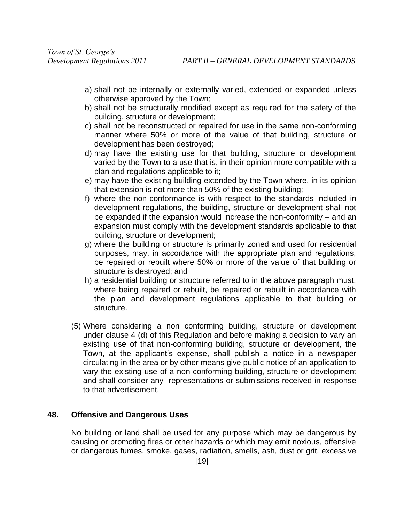- a) shall not be internally or externally varied, extended or expanded unless otherwise approved by the Town;
- b) shall not be structurally modified except as required for the safety of the building, structure or development;
- c) shall not be reconstructed or repaired for use in the same non-conforming manner where 50% or more of the value of that building, structure or development has been destroyed;
- d) may have the existing use for that building, structure or development varied by the Town to a use that is, in their opinion more compatible with a plan and regulations applicable to it;
- e) may have the existing building extended by the Town where, in its opinion that extension is not more than 50% of the existing building;
- f) where the non-conformance is with respect to the standards included in development regulations, the building, structure or development shall not be expanded if the expansion would increase the non-conformity – and an expansion must comply with the development standards applicable to that building, structure or development;
- g) where the building or structure is primarily zoned and used for residential purposes, may, in accordance with the appropriate plan and regulations, be repaired or rebuilt where 50% or more of the value of that building or structure is destroyed; and
- h) a residential building or structure referred to in the above paragraph must, where being repaired or rebuilt, be repaired or rebuilt in accordance with the plan and development regulations applicable to that building or structure.
- (5) Where considering a non conforming building, structure or development under clause 4 (d) of this Regulation and before making a decision to vary an existing use of that non-conforming building, structure or development, the Town, at the applicant's expense, shall publish a notice in a newspaper circulating in the area or by other means give public notice of an application to vary the existing use of a non-conforming building, structure or development and shall consider any representations or submissions received in response to that advertisement.

## <span id="page-24-0"></span>**48. Offensive and Dangerous Uses**

No building or land shall be used for any purpose which may be dangerous by causing or promoting fires or other hazards or which may emit noxious, offensive or dangerous fumes, smoke, gases, radiation, smells, ash, dust or grit, excessive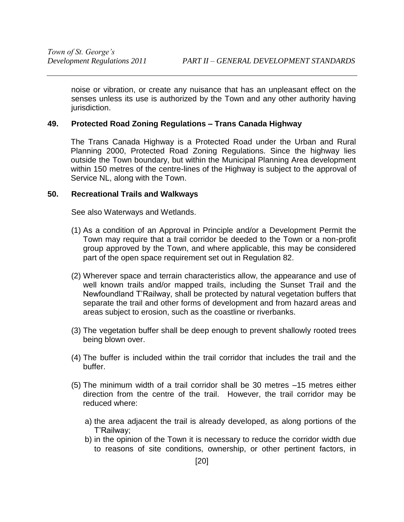noise or vibration, or create any nuisance that has an unpleasant effect on the senses unless its use is authorized by the Town and any other authority having jurisdiction.

## <span id="page-25-0"></span>**49. Protected Road Zoning Regulations – Trans Canada Highway**

The Trans Canada Highway is a Protected Road under the Urban and Rural Planning 2000, Protected Road Zoning Regulations. Since the highway lies outside the Town boundary, but within the Municipal Planning Area development within 150 metres of the centre-lines of the Highway is subject to the approval of Service NL, along with the Town.

## <span id="page-25-1"></span>**50. Recreational Trails and Walkways**

See also Waterways and Wetlands.

- (1) As a condition of an Approval in Principle and/or a Development Permit the Town may require that a trail corridor be deeded to the Town or a non-profit group approved by the Town, and where applicable, this may be considered part of the open space requirement set out in Regulation 82.
- (2) Wherever space and terrain characteristics allow, the appearance and use of well known trails and/or mapped trails, including the Sunset Trail and the Newfoundland T'Railway, shall be protected by natural vegetation buffers that separate the trail and other forms of development and from hazard areas and areas subject to erosion, such as the coastline or riverbanks.
- (3) The vegetation buffer shall be deep enough to prevent shallowly rooted trees being blown over.
- (4) The buffer is included within the trail corridor that includes the trail and the buffer.
- (5) The minimum width of a trail corridor shall be 30 metres –15 metres either direction from the centre of the trail. However, the trail corridor may be reduced where:
	- a) the area adjacent the trail is already developed, as along portions of the T'Railway;
	- b) in the opinion of the Town it is necessary to reduce the corridor width due to reasons of site conditions, ownership, or other pertinent factors, in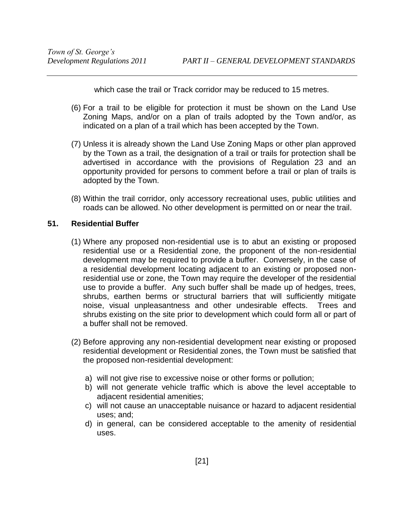which case the trail or Track corridor may be reduced to 15 metres.

- (6) For a trail to be eligible for protection it must be shown on the Land Use Zoning Maps, and/or on a plan of trails adopted by the Town and/or, as indicated on a plan of a trail which has been accepted by the Town.
- (7) Unless it is already shown the Land Use Zoning Maps or other plan approved by the Town as a trail, the designation of a trail or trails for protection shall be advertised in accordance with the provisions of Regulation 23 and an opportunity provided for persons to comment before a trail or plan of trails is adopted by the Town.
- (8) Within the trail corridor, only accessory recreational uses, public utilities and roads can be allowed. No other development is permitted on or near the trail.

## <span id="page-26-0"></span>**51. Residential Buffer**

- (1) Where any proposed non-residential use is to abut an existing or proposed residential use or a Residential zone, the proponent of the non-residential development may be required to provide a buffer. Conversely, in the case of a residential development locating adjacent to an existing or proposed nonresidential use or zone, the Town may require the developer of the residential use to provide a buffer. Any such buffer shall be made up of hedges, trees, shrubs, earthen berms or structural barriers that will sufficiently mitigate noise, visual unpleasantness and other undesirable effects. Trees and shrubs existing on the site prior to development which could form all or part of a buffer shall not be removed.
- (2) Before approving any non-residential development near existing or proposed residential development or Residential zones, the Town must be satisfied that the proposed non-residential development:
	- a) will not give rise to excessive noise or other forms or pollution;
	- b) will not generate vehicle traffic which is above the level acceptable to adjacent residential amenities;
	- c) will not cause an unacceptable nuisance or hazard to adjacent residential uses; and;
	- d) in general, can be considered acceptable to the amenity of residential uses.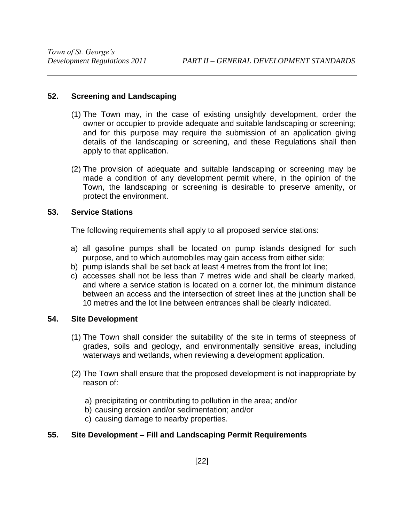## <span id="page-27-0"></span>**52. Screening and Landscaping**

- (1) The Town may, in the case of existing unsightly development, order the owner or occupier to provide adequate and suitable landscaping or screening; and for this purpose may require the submission of an application giving details of the landscaping or screening, and these Regulations shall then apply to that application.
- (2) The provision of adequate and suitable landscaping or screening may be made a condition of any development permit where, in the opinion of the Town, the landscaping or screening is desirable to preserve amenity, or protect the environment.

## <span id="page-27-1"></span>**53. Service Stations**

The following requirements shall apply to all proposed service stations:

- a) all gasoline pumps shall be located on pump islands designed for such purpose, and to which automobiles may gain access from either side;
- b) pump islands shall be set back at least 4 metres from the front lot line;
- c) accesses shall not be less than 7 metres wide and shall be clearly marked, and where a service station is located on a corner lot, the minimum distance between an access and the intersection of street lines at the junction shall be 10 metres and the lot line between entrances shall be clearly indicated.

## <span id="page-27-2"></span>**54. Site Development**

- (1) The Town shall consider the suitability of the site in terms of steepness of grades, soils and geology, and environmentally sensitive areas, including waterways and wetlands, when reviewing a development application.
- (2) The Town shall ensure that the proposed development is not inappropriate by reason of:
	- a) precipitating or contributing to pollution in the area; and/or
	- b) causing erosion and/or sedimentation; and/or
	- c) causing damage to nearby properties.

## <span id="page-27-3"></span>**55. Site Development – Fill and Landscaping Permit Requirements**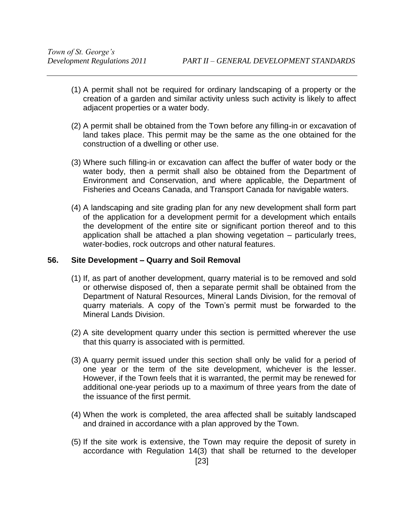- (1) A permit shall not be required for ordinary landscaping of a property or the creation of a garden and similar activity unless such activity is likely to affect adjacent properties or a water body.
- (2) A permit shall be obtained from the Town before any filling-in or excavation of land takes place. This permit may be the same as the one obtained for the construction of a dwelling or other use.
- (3) Where such filling-in or excavation can affect the buffer of water body or the water body, then a permit shall also be obtained from the Department of Environment and Conservation, and where applicable, the Department of Fisheries and Oceans Canada, and Transport Canada for navigable waters.
- (4) A landscaping and site grading plan for any new development shall form part of the application for a development permit for a development which entails the development of the entire site or significant portion thereof and to this application shall be attached a plan showing vegetation – particularly trees, water-bodies, rock outcrops and other natural features.

## <span id="page-28-0"></span>**56. Site Development – Quarry and Soil Removal**

- (1) If, as part of another development, quarry material is to be removed and sold or otherwise disposed of, then a separate permit shall be obtained from the Department of Natural Resources, Mineral Lands Division, for the removal of quarry materials. A copy of the Town's permit must be forwarded to the Mineral Lands Division.
- (2) A site development quarry under this section is permitted wherever the use that this quarry is associated with is permitted.
- (3) A quarry permit issued under this section shall only be valid for a period of one year or the term of the site development, whichever is the lesser. However, if the Town feels that it is warranted, the permit may be renewed for additional one-year periods up to a maximum of three years from the date of the issuance of the first permit.
- (4) When the work is completed, the area affected shall be suitably landscaped and drained in accordance with a plan approved by the Town.
- (5) If the site work is extensive, the Town may require the deposit of surety in accordance with Regulation 14(3) that shall be returned to the developer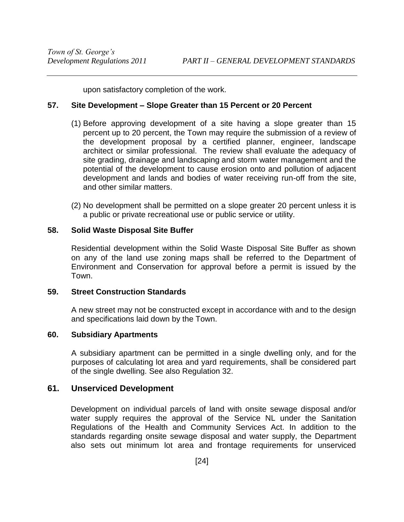upon satisfactory completion of the work.

## <span id="page-29-0"></span>**57. Site Development – Slope Greater than 15 Percent or 20 Percent**

- (1) Before approving development of a site having a slope greater than 15 percent up to 20 percent, the Town may require the submission of a review of the development proposal by a certified planner, engineer, landscape architect or similar professional. The review shall evaluate the adequacy of site grading, drainage and landscaping and storm water management and the potential of the development to cause erosion onto and pollution of adjacent development and lands and bodies of water receiving run-off from the site, and other similar matters.
- (2) No development shall be permitted on a slope greater 20 percent unless it is a public or private recreational use or public service or utility.

## <span id="page-29-1"></span>**58. Solid Waste Disposal Site Buffer**

Residential development within the Solid Waste Disposal Site Buffer as shown on any of the land use zoning maps shall be referred to the Department of Environment and Conservation for approval before a permit is issued by the Town.

## <span id="page-29-2"></span>**59. Street Construction Standards**

 A new street may not be constructed except in accordance with and to the design and specifications laid down by the Town.

## <span id="page-29-3"></span>**60. Subsidiary Apartments**

 A subsidiary apartment can be permitted in a single dwelling only, and for the purposes of calculating lot area and yard requirements, shall be considered part of the single dwelling. See also Regulation 32.

## <span id="page-29-4"></span>**61. Unserviced Development**

Development on individual parcels of land with onsite sewage disposal and/or water supply requires the approval of the Service NL under the Sanitation Regulations of the Health and Community Services Act. In addition to the standards regarding onsite sewage disposal and water supply, the Department also sets out minimum lot area and frontage requirements for unserviced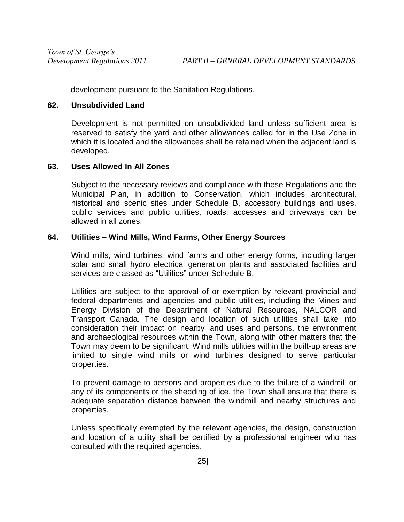development pursuant to the Sanitation Regulations.

## <span id="page-30-0"></span>**62. Unsubdivided Land**

 Development is not permitted on unsubdivided land unless sufficient area is reserved to satisfy the yard and other allowances called for in the Use Zone in which it is located and the allowances shall be retained when the adjacent land is developed.

## <span id="page-30-1"></span>**63. Uses Allowed In All Zones**

Subject to the necessary reviews and compliance with these Regulations and the Municipal Plan, in addition to Conservation, which includes architectural, historical and scenic sites under Schedule B, accessory buildings and uses, public services and public utilities, roads, accesses and driveways can be allowed in all zones.

## <span id="page-30-2"></span>**64. Utilities – Wind Mills, Wind Farms, Other Energy Sources**

Wind mills, wind turbines, wind farms and other energy forms, including larger solar and small hydro electrical generation plants and associated facilities and services are classed as "Utilities" under Schedule B.

Utilities are subject to the approval of or exemption by relevant provincial and federal departments and agencies and public utilities, including the Mines and Energy Division of the Department of Natural Resources, NALCOR and Transport Canada. The design and location of such utilities shall take into consideration their impact on nearby land uses and persons, the environment and archaeological resources within the Town, along with other matters that the Town may deem to be significant. Wind mills utilities within the built-up areas are limited to single wind mills or wind turbines designed to serve particular properties.

To prevent damage to persons and properties due to the failure of a windmill or any of its components or the shedding of ice, the Town shall ensure that there is adequate separation distance between the windmill and nearby structures and properties.

Unless specifically exempted by the relevant agencies, the design, construction and location of a utility shall be certified by a professional engineer who has consulted with the required agencies.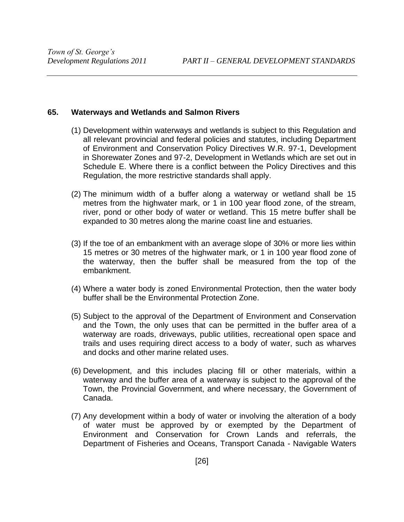## <span id="page-31-0"></span>**65. Waterways and Wetlands and Salmon Rivers**

- (1) Development within waterways and wetlands is subject to this Regulation and all relevant provincial and federal policies and statutes, including Department of Environment and Conservation Policy Directives W.R. 97-1, Development in Shorewater Zones and 97-2, Development in Wetlands which are set out in Schedule E. Where there is a conflict between the Policy Directives and this Regulation, the more restrictive standards shall apply.
- (2) The minimum width of a buffer along a waterway or wetland shall be 15 metres from the highwater mark, or 1 in 100 year flood zone, of the stream, river, pond or other body of water or wetland. This 15 metre buffer shall be expanded to 30 metres along the marine coast line and estuaries.
- (3) If the toe of an embankment with an average slope of 30% or more lies within 15 metres or 30 metres of the highwater mark, or 1 in 100 year flood zone of the waterway, then the buffer shall be measured from the top of the embankment.
- (4) Where a water body is zoned Environmental Protection, then the water body buffer shall be the Environmental Protection Zone.
- (5) Subject to the approval of the Department of Environment and Conservation and the Town, the only uses that can be permitted in the buffer area of a waterway are roads, driveways, public utilities, recreational open space and trails and uses requiring direct access to a body of water, such as wharves and docks and other marine related uses.
- (6) Development, and this includes placing fill or other materials, within a waterway and the buffer area of a waterway is subject to the approval of the Town, the Provincial Government, and where necessary, the Government of Canada.
- (7) Any development within a body of water or involving the alteration of a body of water must be approved by or exempted by the Department of Environment and Conservation for Crown Lands and referrals, the Department of Fisheries and Oceans, Transport Canada - Navigable Waters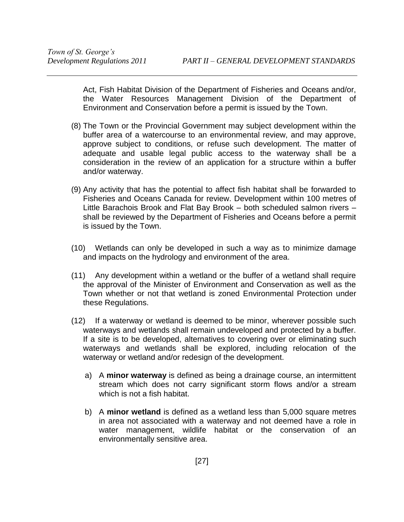Act, Fish Habitat Division of the Department of Fisheries and Oceans and/or, the Water Resources Management Division of the Department of Environment and Conservation before a permit is issued by the Town.

- (8) The Town or the Provincial Government may subject development within the buffer area of a watercourse to an environmental review, and may approve, approve subject to conditions, or refuse such development. The matter of adequate and usable legal public access to the waterway shall be a consideration in the review of an application for a structure within a buffer and/or waterway.
- (9) Any activity that has the potential to affect fish habitat shall be forwarded to Fisheries and Oceans Canada for review. Development within 100 metres of Little Barachois Brook and Flat Bay Brook – both scheduled salmon rivers – shall be reviewed by the Department of Fisheries and Oceans before a permit is issued by the Town.
- (10) Wetlands can only be developed in such a way as to minimize damage and impacts on the hydrology and environment of the area.
- (11) Any development within a wetland or the buffer of a wetland shall require the approval of the Minister of Environment and Conservation as well as the Town whether or not that wetland is zoned Environmental Protection under these Regulations.
- (12) If a waterway or wetland is deemed to be minor, wherever possible such waterways and wetlands shall remain undeveloped and protected by a buffer. If a site is to be developed, alternatives to covering over or eliminating such waterways and wetlands shall be explored, including relocation of the waterway or wetland and/or redesign of the development.
	- a) A **minor waterway** is defined as being a drainage course, an intermittent stream which does not carry significant storm flows and/or a stream which is not a fish habitat.
	- b) A **minor wetland** is defined as a wetland less than 5,000 square metres in area not associated with a waterway and not deemed have a role in water management, wildlife habitat or the conservation of an environmentally sensitive area.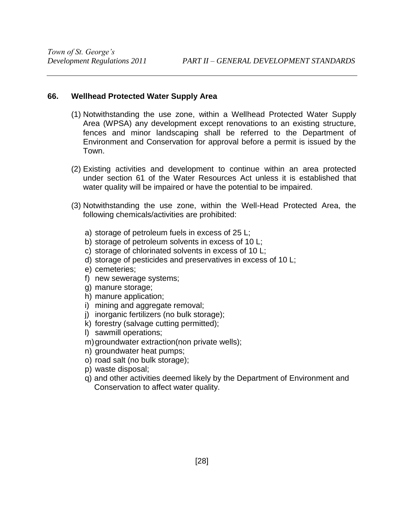## <span id="page-33-0"></span>**66. Wellhead Protected Water Supply Area**

- (1) Notwithstanding the use zone, within a Wellhead Protected Water Supply Area (WPSA) any development except renovations to an existing structure, fences and minor landscaping shall be referred to the Department of Environment and Conservation for approval before a permit is issued by the Town.
- (2) Existing activities and development to continue within an area protected under section 61 of the Water Resources Act unless it is established that water quality will be impaired or have the potential to be impaired.
- (3) Notwithstanding the use zone, within the Well-Head Protected Area, the following chemicals/activities are prohibited:
	- a) storage of petroleum fuels in excess of 25 L;
	- b) storage of petroleum solvents in excess of 10 L;
	- c) storage of chlorinated solvents in excess of 10 L;
	- d) storage of pesticides and preservatives in excess of 10 L;
	- e) cemeteries;
	- f) new sewerage systems;
	- g) manure storage;
	- h) manure application;
	- i) mining and aggregate removal;
	- j) inorganic fertilizers (no bulk storage);
	- k) forestry (salvage cutting permitted);
	- l) sawmill operations;
	- m) groundwater extraction(non private wells);
	- n) groundwater heat pumps;
	- o) road salt (no bulk storage);
	- p) waste disposal;
	- q) and other activities deemed likely by the Department of Environment and Conservation to affect water quality.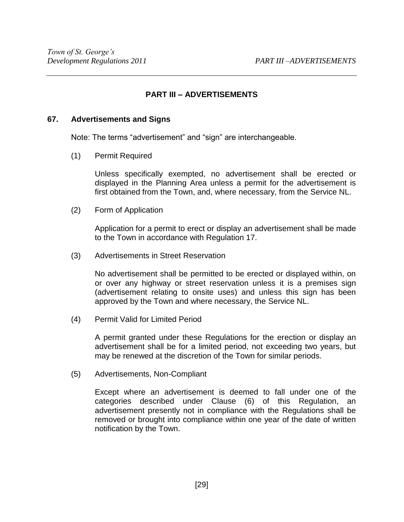## **PART III – ADVERTISEMENTS**

## <span id="page-34-1"></span><span id="page-34-0"></span>**67. Advertisements and Signs**

Note: The terms "advertisement" and "sign" are interchangeable.

<span id="page-34-2"></span>(1) Permit Required

 Unless specifically exempted, no advertisement shall be erected or displayed in the Planning Area unless a permit for the advertisement is first obtained from the Town, and, where necessary, from the Service NL.

<span id="page-34-3"></span>(2) Form of Application

 Application for a permit to erect or display an advertisement shall be made to the Town in accordance with Regulation 17.

<span id="page-34-4"></span>(3) Advertisements in Street Reservation

 No advertisement shall be permitted to be erected or displayed within, on or over any highway or street reservation unless it is a premises sign (advertisement relating to onsite uses) and unless this sign has been approved by the Town and where necessary, the Service NL.

<span id="page-34-5"></span>(4) Permit Valid for Limited Period

 A permit granted under these Regulations for the erection or display an advertisement shall be for a limited period, not exceeding two years, but may be renewed at the discretion of the Town for similar periods.

<span id="page-34-6"></span>(5) Advertisements, Non-Compliant

Except where an advertisement is deemed to fall under one of the categories described under Clause (6) of this Regulation, an advertisement presently not in compliance with the Regulations shall be removed or brought into compliance within one year of the date of written notification by the Town.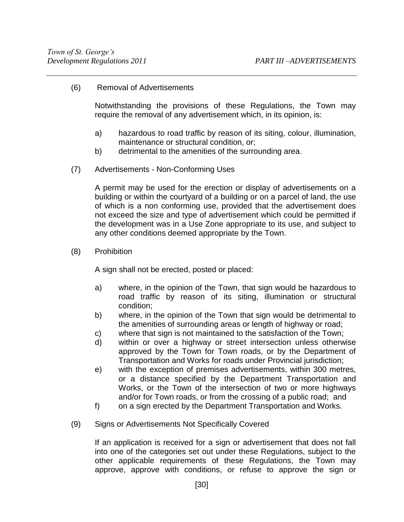<span id="page-35-0"></span>(6) Removal of Advertisements

 Notwithstanding the provisions of these Regulations, the Town may require the removal of any advertisement which, in its opinion, is:

- a) hazardous to road traffic by reason of its siting, colour, illumination, maintenance or structural condition, or;
- b) detrimental to the amenities of the surrounding area.
- <span id="page-35-1"></span>(7) Advertisements - Non-Conforming Uses

A permit may be used for the erection or display of advertisements on a building or within the courtyard of a building or on a parcel of land, the use of which is a non conforming use, provided that the advertisement does not exceed the size and type of advertisement which could be permitted if the development was in a Use Zone appropriate to its use, and subject to any other conditions deemed appropriate by the Town.

<span id="page-35-2"></span>(8) Prohibition

A sign shall not be erected, posted or placed:

- a) where, in the opinion of the Town, that sign would be hazardous to road traffic by reason of its siting, illumination or structural condition;
- b) where, in the opinion of the Town that sign would be detrimental to the amenities of surrounding areas or length of highway or road;
- c) where that sign is not maintained to the satisfaction of the Town;
- d) within or over a highway or street intersection unless otherwise approved by the Town for Town roads, or by the Department of Transportation and Works for roads under Provincial jurisdiction;
- e) with the exception of premises advertisements, within 300 metres, or a distance specified by the Department Transportation and Works, or the Town of the intersection of two or more highways and/or for Town roads, or from the crossing of a public road; and
- f) on a sign erected by the Department Transportation and Works.
- <span id="page-35-3"></span>(9) Signs or Advertisements Not Specifically Covered

If an application is received for a sign or advertisement that does not fall into one of the categories set out under these Regulations, subject to the other applicable requirements of these Regulations, the Town may approve, approve with conditions, or refuse to approve the sign or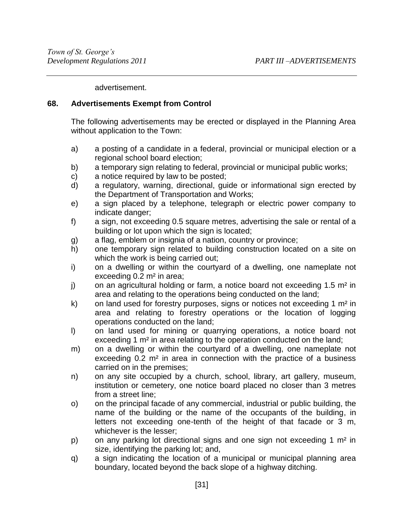advertisement.

# **68. Advertisements Exempt from Control**

 The following advertisements may be erected or displayed in the Planning Area without application to the Town:

- a) a posting of a candidate in a federal, provincial or municipal election or a regional school board election;
- b) a temporary sign relating to federal, provincial or municipal public works;
- c) a notice required by law to be posted;
- d) a regulatory, warning, directional, guide or informational sign erected by the Department of Transportation and Works;
- e) a sign placed by a telephone, telegraph or electric power company to indicate danger;
- f) a sign, not exceeding 0.5 square metres, advertising the sale or rental of a building or lot upon which the sign is located;
- g) a flag, emblem or insignia of a nation, country or province;
- h) one temporary sign related to building construction located on a site on which the work is being carried out;
- i) on a dwelling or within the courtyard of a dwelling, one nameplate not exceeding 0.2 m² in area;
- j) on an agricultural holding or farm, a notice board not exceeding 1.5 m<sup>2</sup> in area and relating to the operations being conducted on the land;
- k) on land used for forestry purposes, signs or notices not exceeding 1 m² in area and relating to forestry operations or the location of logging operations conducted on the land;
- l) on land used for mining or quarrying operations, a notice board not exceeding 1 m<sup>2</sup> in area relating to the operation conducted on the land;
- m) on a dwelling or within the courtyard of a dwelling, one nameplate not exceeding 0.2 m<sup>2</sup> in area in connection with the practice of a business carried on in the premises;
- n) on any site occupied by a church, school, library, art gallery, museum, institution or cemetery, one notice board placed no closer than 3 metres from a street line;
- o) on the principal facade of any commercial, industrial or public building, the name of the building or the name of the occupants of the building, in letters not exceeding one-tenth of the height of that facade or 3 m, whichever is the lesser;
- p) on any parking lot directional signs and one sign not exceeding 1 m² in size, identifying the parking lot; and,
- q) a sign indicating the location of a municipal or municipal planning area boundary, located beyond the back slope of a highway ditching.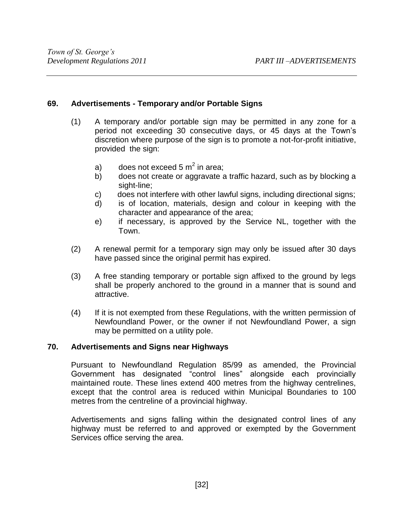# **69. Advertisements - Temporary and/or Portable Signs**

- (1) A temporary and/or portable sign may be permitted in any zone for a period not exceeding 30 consecutive days, or 45 days at the Town's discretion where purpose of the sign is to promote a not-for-profit initiative, provided the sign:
	- a) does not exceed 5  $m^2$  in area;
	- b) does not create or aggravate a traffic hazard, such as by blocking a sight-line;
	- c) does not interfere with other lawful signs, including directional signs;
	- d) is of location, materials, design and colour in keeping with the character and appearance of the area;
	- e) if necessary, is approved by the Service NL, together with the Town.
- (2) A renewal permit for a temporary sign may only be issued after 30 days have passed since the original permit has expired.
- (3) A free standing temporary or portable sign affixed to the ground by legs shall be properly anchored to the ground in a manner that is sound and attractive.
- (4) If it is not exempted from these Regulations, with the written permission of Newfoundland Power, or the owner if not Newfoundland Power, a sign may be permitted on a utility pole.

# **70. Advertisements and Signs near Highways**

Pursuant to Newfoundland Regulation 85/99 as amended, the Provincial Government has designated "control lines" alongside each provincially maintained route. These lines extend 400 metres from the highway centrelines, except that the control area is reduced within Municipal Boundaries to 100 metres from the centreline of a provincial highway.

Advertisements and signs falling within the designated control lines of any highway must be referred to and approved or exempted by the Government Services office serving the area.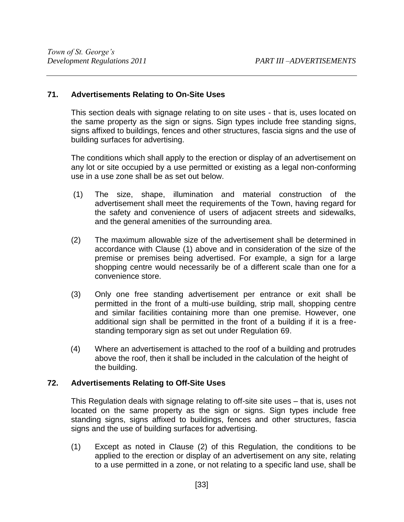# **71. Advertisements Relating to On-Site Uses**

This section deals with signage relating to on site uses - that is, uses located on the same property as the sign or signs. Sign types include free standing signs, signs affixed to buildings, fences and other structures, fascia signs and the use of building surfaces for advertising.

The conditions which shall apply to the erection or display of an advertisement on any lot or site occupied by a use permitted or existing as a legal non-conforming use in a use zone shall be as set out below.

- (1) The size, shape, illumination and material construction of the advertisement shall meet the requirements of the Town, having regard for the safety and convenience of users of adjacent streets and sidewalks, and the general amenities of the surrounding area.
- (2) The maximum allowable size of the advertisement shall be determined in accordance with Clause (1) above and in consideration of the size of the premise or premises being advertised. For example, a sign for a large shopping centre would necessarily be of a different scale than one for a convenience store.
- (3) Only one free standing advertisement per entrance or exit shall be permitted in the front of a multi-use building, strip mall, shopping centre and similar facilities containing more than one premise. However, one additional sign shall be permitted in the front of a building if it is a freestanding temporary sign as set out under Regulation 69.
- (4) Where an advertisement is attached to the roof of a building and protrudes above the roof, then it shall be included in the calculation of the height of the building.

# **72. Advertisements Relating to Off-Site Uses**

This Regulation deals with signage relating to off-site site uses – that is, uses not located on the same property as the sign or signs. Sign types include free standing signs, signs affixed to buildings, fences and other structures, fascia signs and the use of building surfaces for advertising.

(1) Except as noted in Clause (2) of this Regulation, the conditions to be applied to the erection or display of an advertisement on any site, relating to a use permitted in a zone, or not relating to a specific land use, shall be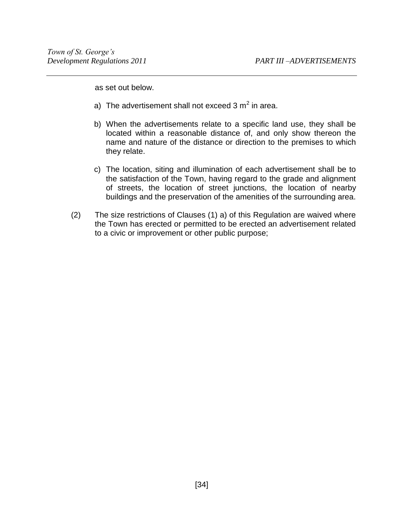as set out below.

- a) The advertisement shall not exceed 3 m<sup>2</sup> in area.
- b) When the advertisements relate to a specific land use, they shall be located within a reasonable distance of, and only show thereon the name and nature of the distance or direction to the premises to which they relate.
- c) The location, siting and illumination of each advertisement shall be to the satisfaction of the Town, having regard to the grade and alignment of streets, the location of street junctions, the location of nearby buildings and the preservation of the amenities of the surrounding area.
- (2) The size restrictions of Clauses (1) a) of this Regulation are waived where the Town has erected or permitted to be erected an advertisement related to a civic or improvement or other public purpose;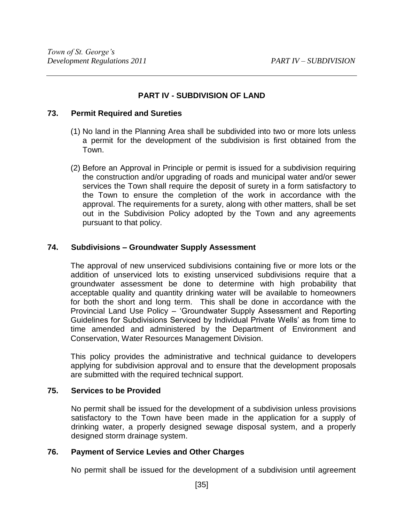# **PART IV - SUBDIVISION OF LAND**

### **73. Permit Required and Sureties**

- (1) No land in the Planning Area shall be subdivided into two or more lots unless a permit for the development of the subdivision is first obtained from the Town.
- (2) Before an Approval in Principle or permit is issued for a subdivision requiring the construction and/or upgrading of roads and municipal water and/or sewer services the Town shall require the deposit of surety in a form satisfactory to the Town to ensure the completion of the work in accordance with the approval. The requirements for a surety, along with other matters, shall be set out in the Subdivision Policy adopted by the Town and any agreements pursuant to that policy.

# **74. Subdivisions – Groundwater Supply Assessment**

The approval of new unserviced subdivisions containing five or more lots or the addition of unserviced lots to existing unserviced subdivisions require that a groundwater assessment be done to determine with high probability that acceptable quality and quantity drinking water will be available to homeowners for both the short and long term. This shall be done in accordance with the Provincial Land Use Policy – 'Groundwater Supply Assessment and Reporting Guidelines for Subdivisions Serviced by Individual Private Wells' as from time to time amended and administered by the Department of Environment and Conservation, Water Resources Management Division.

This policy provides the administrative and technical guidance to developers applying for subdivision approval and to ensure that the development proposals are submitted with the required technical support.

# **75. Services to be Provided**

 No permit shall be issued for the development of a subdivision unless provisions satisfactory to the Town have been made in the application for a supply of drinking water, a properly designed sewage disposal system, and a properly designed storm drainage system.

# **76. Payment of Service Levies and Other Charges**

No permit shall be issued for the development of a subdivision until agreement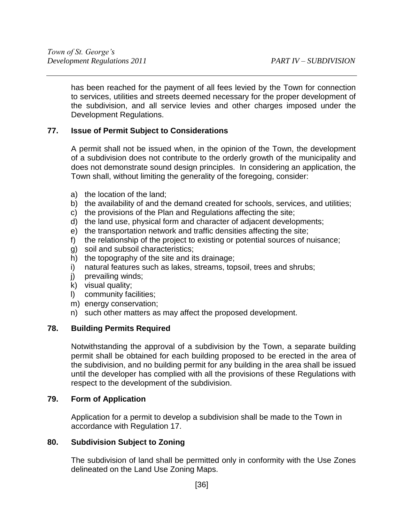has been reached for the payment of all fees levied by the Town for connection to services, utilities and streets deemed necessary for the proper development of the subdivision, and all service levies and other charges imposed under the Development Regulations.

# **77. Issue of Permit Subject to Considerations**

 A permit shall not be issued when, in the opinion of the Town, the development of a subdivision does not contribute to the orderly growth of the municipality and does not demonstrate sound design principles. In considering an application, the Town shall, without limiting the generality of the foregoing, consider:

- a) the location of the land;
- b) the availability of and the demand created for schools, services, and utilities;
- c) the provisions of the Plan and Regulations affecting the site;
- d) the land use, physical form and character of adjacent developments;
- e) the transportation network and traffic densities affecting the site;
- f) the relationship of the project to existing or potential sources of nuisance;
- g) soil and subsoil characteristics;
- h) the topography of the site and its drainage;
- i) natural features such as lakes, streams, topsoil, trees and shrubs;
- j) prevailing winds;
- $k$ ) visual quality;
- l) community facilities;
- m) energy conservation;
- n) such other matters as may affect the proposed development.

# **78. Building Permits Required**

 Notwithstanding the approval of a subdivision by the Town, a separate building permit shall be obtained for each building proposed to be erected in the area of the subdivision, and no building permit for any building in the area shall be issued until the developer has complied with all the provisions of these Regulations with respect to the development of the subdivision.

# **79. Form of Application**

 Application for a permit to develop a subdivision shall be made to the Town in accordance with Regulation 17.

# **80. Subdivision Subject to Zoning**

 The subdivision of land shall be permitted only in conformity with the Use Zones delineated on the Land Use Zoning Maps.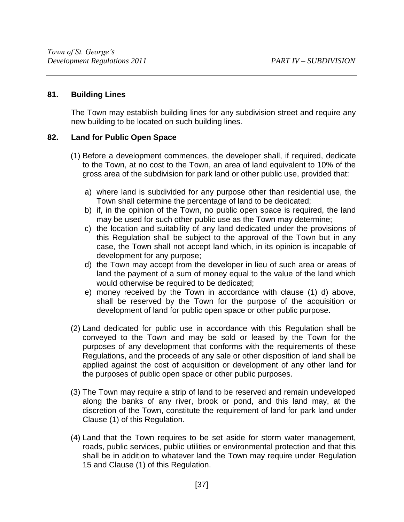# **81. Building Lines**

 The Town may establish building lines for any subdivision street and require any new building to be located on such building lines.

# **82. Land for Public Open Space**

- (1) Before a development commences, the developer shall, if required, dedicate to the Town, at no cost to the Town, an area of land equivalent to 10% of the gross area of the subdivision for park land or other public use, provided that:
	- a) where land is subdivided for any purpose other than residential use, the Town shall determine the percentage of land to be dedicated;
	- b) if, in the opinion of the Town, no public open space is required, the land may be used for such other public use as the Town may determine;
	- c) the location and suitability of any land dedicated under the provisions of this Regulation shall be subject to the approval of the Town but in any case, the Town shall not accept land which, in its opinion is incapable of development for any purpose;
	- d) the Town may accept from the developer in lieu of such area or areas of land the payment of a sum of money equal to the value of the land which would otherwise be required to be dedicated;
	- e) money received by the Town in accordance with clause (1) d) above, shall be reserved by the Town for the purpose of the acquisition or development of land for public open space or other public purpose.
- (2) Land dedicated for public use in accordance with this Regulation shall be conveyed to the Town and may be sold or leased by the Town for the purposes of any development that conforms with the requirements of these Regulations, and the proceeds of any sale or other disposition of land shall be applied against the cost of acquisition or development of any other land for the purposes of public open space or other public purposes.
- (3) The Town may require a strip of land to be reserved and remain undeveloped along the banks of any river, brook or pond, and this land may, at the discretion of the Town, constitute the requirement of land for park land under Clause (1) of this Regulation.
- (4) Land that the Town requires to be set aside for storm water management, roads, public services, public utilities or environmental protection and that this shall be in addition to whatever land the Town may require under Regulation 15 and Clause (1) of this Regulation.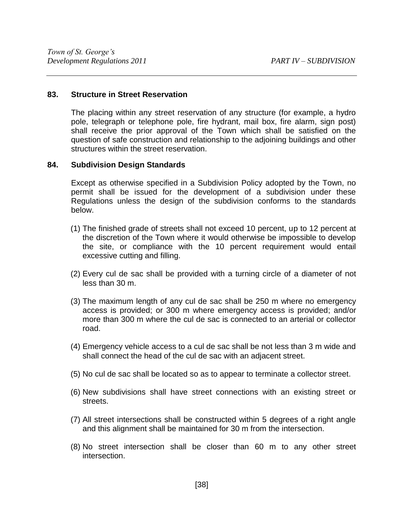#### **83. Structure in Street Reservation**

 The placing within any street reservation of any structure (for example, a hydro pole, telegraph or telephone pole, fire hydrant, mail box, fire alarm, sign post) shall receive the prior approval of the Town which shall be satisfied on the question of safe construction and relationship to the adjoining buildings and other structures within the street reservation.

#### **84. Subdivision Design Standards**

Except as otherwise specified in a Subdivision Policy adopted by the Town, no permit shall be issued for the development of a subdivision under these Regulations unless the design of the subdivision conforms to the standards below.

- (1) The finished grade of streets shall not exceed 10 percent, up to 12 percent at the discretion of the Town where it would otherwise be impossible to develop the site, or compliance with the 10 percent requirement would entail excessive cutting and filling.
- (2) Every cul de sac shall be provided with a turning circle of a diameter of not less than 30 m.
- (3) The maximum length of any cul de sac shall be 250 m where no emergency access is provided; or 300 m where emergency access is provided; and/or more than 300 m where the cul de sac is connected to an arterial or collector road.
- (4) Emergency vehicle access to a cul de sac shall be not less than 3 m wide and shall connect the head of the cul de sac with an adjacent street.
- (5) No cul de sac shall be located so as to appear to terminate a collector street.
- (6) New subdivisions shall have street connections with an existing street or streets.
- (7) All street intersections shall be constructed within 5 degrees of a right angle and this alignment shall be maintained for 30 m from the intersection.
- (8) No street intersection shall be closer than 60 m to any other street intersection.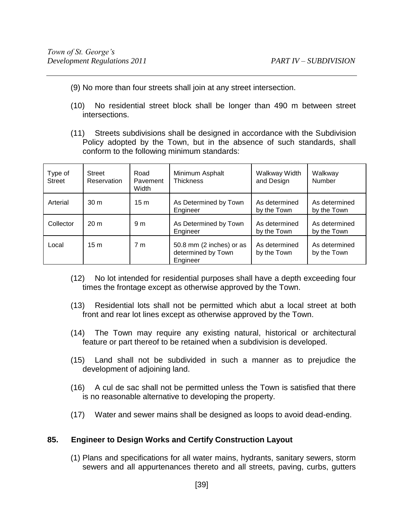- (9) No more than four streets shall join at any street intersection.
- (10) No residential street block shall be longer than 490 m between street intersections.
- (11) Streets subdivisions shall be designed in accordance with the Subdivision Policy adopted by the Town, but in the absence of such standards, shall conform to the following minimum standards:

| Type of<br><b>Street</b> | <b>Street</b><br>Reservation | Road<br>Pavement<br>Width | Minimum Asphalt<br><b>Thickness</b>                        | Walkway Width<br>and Design  | Walkway<br>Number            |
|--------------------------|------------------------------|---------------------------|------------------------------------------------------------|------------------------------|------------------------------|
| Arterial                 | 30 <sub>m</sub>              | 15 <sub>m</sub>           | As Determined by Town<br>Engineer                          | As determined<br>by the Town | As determined<br>by the Town |
| Collector                | 20 <sub>m</sub>              | 9 <sub>m</sub>            | As Determined by Town<br>Engineer                          | As determined<br>by the Town | As determined<br>by the Town |
| Local                    | 15 <sub>m</sub>              | 7 m                       | 50.8 mm (2 inches) or as<br>determined by Town<br>Engineer | As determined<br>by the Town | As determined<br>by the Town |

- (12) No lot intended for residential purposes shall have a depth exceeding four times the frontage except as otherwise approved by the Town.
- (13) Residential lots shall not be permitted which abut a local street at both front and rear lot lines except as otherwise approved by the Town.
- (14) The Town may require any existing natural, historical or architectural feature or part thereof to be retained when a subdivision is developed.
- (15) Land shall not be subdivided in such a manner as to prejudice the development of adjoining land.
- (16) A cul de sac shall not be permitted unless the Town is satisfied that there is no reasonable alternative to developing the property.
- (17) Water and sewer mains shall be designed as loops to avoid dead-ending.

# **85. Engineer to Design Works and Certify Construction Layout**

(1) Plans and specifications for all water mains, hydrants, sanitary sewers, storm sewers and all appurtenances thereto and all streets, paving, curbs, gutters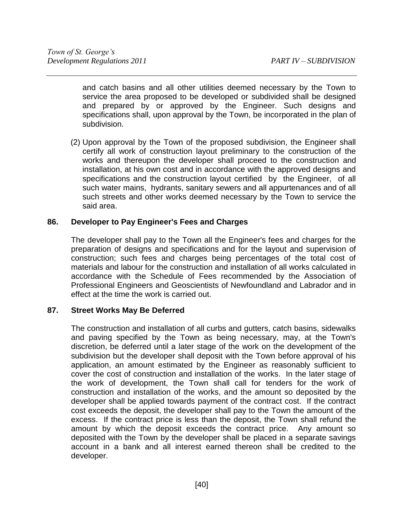and catch basins and all other utilities deemed necessary by the Town to service the area proposed to be developed or subdivided shall be designed and prepared by or approved by the Engineer. Such designs and specifications shall, upon approval by the Town, be incorporated in the plan of subdivision.

(2) Upon approval by the Town of the proposed subdivision, the Engineer shall certify all work of construction layout preliminary to the construction of the works and thereupon the developer shall proceed to the construction and installation, at his own cost and in accordance with the approved designs and specifications and the construction layout certified by the Engineer, of all such water mains, hydrants, sanitary sewers and all appurtenances and of all such streets and other works deemed necessary by the Town to service the said area.

# **86. Developer to Pay Engineer's Fees and Charges**

 The developer shall pay to the Town all the Engineer's fees and charges for the preparation of designs and specifications and for the layout and supervision of construction; such fees and charges being percentages of the total cost of materials and labour for the construction and installation of all works calculated in accordance with the Schedule of Fees recommended by the Association of Professional Engineers and Geoscientists of Newfoundland and Labrador and in effect at the time the work is carried out.

# **87. Street Works May Be Deferred**

 The construction and installation of all curbs and gutters, catch basins, sidewalks and paving specified by the Town as being necessary, may, at the Town's discretion, be deferred until a later stage of the work on the development of the subdivision but the developer shall deposit with the Town before approval of his application, an amount estimated by the Engineer as reasonably sufficient to cover the cost of construction and installation of the works. In the later stage of the work of development, the Town shall call for tenders for the work of construction and installation of the works, and the amount so deposited by the developer shall be applied towards payment of the contract cost. If the contract cost exceeds the deposit, the developer shall pay to the Town the amount of the excess. If the contract price is less than the deposit, the Town shall refund the amount by which the deposit exceeds the contract price. Any amount so deposited with the Town by the developer shall be placed in a separate savings account in a bank and all interest earned thereon shall be credited to the developer.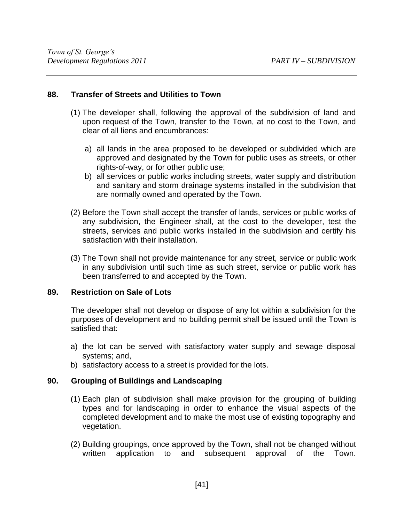### **88. Transfer of Streets and Utilities to Town**

- (1) The developer shall, following the approval of the subdivision of land and upon request of the Town, transfer to the Town, at no cost to the Town, and clear of all liens and encumbrances:
	- a) all lands in the area proposed to be developed or subdivided which are approved and designated by the Town for public uses as streets, or other rights-of-way, or for other public use;
	- b) all services or public works including streets, water supply and distribution and sanitary and storm drainage systems installed in the subdivision that are normally owned and operated by the Town.
- (2) Before the Town shall accept the transfer of lands, services or public works of any subdivision, the Engineer shall, at the cost to the developer, test the streets, services and public works installed in the subdivision and certify his satisfaction with their installation.
- (3) The Town shall not provide maintenance for any street, service or public work in any subdivision until such time as such street, service or public work has been transferred to and accepted by the Town.

#### **89. Restriction on Sale of Lots**

 The developer shall not develop or dispose of any lot within a subdivision for the purposes of development and no building permit shall be issued until the Town is satisfied that:

- a) the lot can be served with satisfactory water supply and sewage disposal systems; and,
- b) satisfactory access to a street is provided for the lots.

# **90. Grouping of Buildings and Landscaping**

- (1) Each plan of subdivision shall make provision for the grouping of building types and for landscaping in order to enhance the visual aspects of the completed development and to make the most use of existing topography and vegetation.
- (2) Building groupings, once approved by the Town, shall not be changed without written application to and subsequent approval of the Town.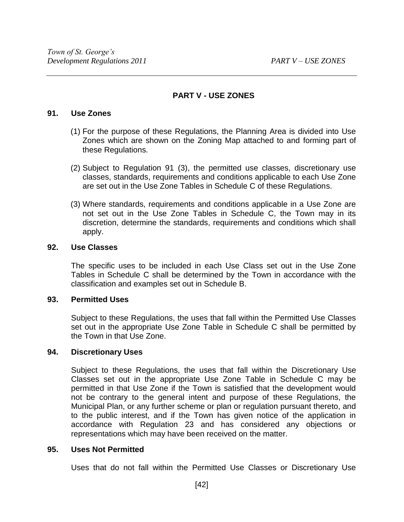# **PART V - USE ZONES**

### **91. Use Zones**

- (1) For the purpose of these Regulations, the Planning Area is divided into Use Zones which are shown on the Zoning Map attached to and forming part of these Regulations.
- (2) Subject to Regulation 91 (3), the permitted use classes, discretionary use classes, standards, requirements and conditions applicable to each Use Zone are set out in the Use Zone Tables in Schedule C of these Regulations.
- (3) Where standards, requirements and conditions applicable in a Use Zone are not set out in the Use Zone Tables in Schedule C, the Town may in its discretion, determine the standards, requirements and conditions which shall apply.

# **92. Use Classes**

 The specific uses to be included in each Use Class set out in the Use Zone Tables in Schedule C shall be determined by the Town in accordance with the classification and examples set out in Schedule B.

# **93. Permitted Uses**

 Subject to these Regulations, the uses that fall within the Permitted Use Classes set out in the appropriate Use Zone Table in Schedule C shall be permitted by the Town in that Use Zone.

# **94. Discretionary Uses**

 Subject to these Regulations, the uses that fall within the Discretionary Use Classes set out in the appropriate Use Zone Table in Schedule C may be permitted in that Use Zone if the Town is satisfied that the development would not be contrary to the general intent and purpose of these Regulations, the Municipal Plan, or any further scheme or plan or regulation pursuant thereto, and to the public interest, and if the Town has given notice of the application in accordance with Regulation 23 and has considered any objections or representations which may have been received on the matter.

# **95. Uses Not Permitted**

Uses that do not fall within the Permitted Use Classes or Discretionary Use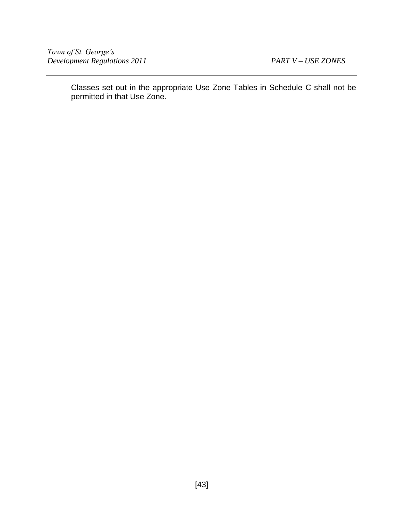Classes set out in the appropriate Use Zone Tables in Schedule C shall not be permitted in that Use Zone.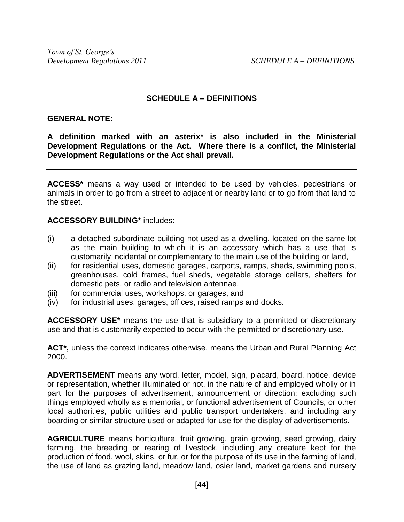# **SCHEDULE A – DEFINITIONS**

#### **GENERAL NOTE:**

**A definition marked with an asterix\* is also included in the Ministerial Development Regulations or the Act. Where there is a conflict, the Ministerial Development Regulations or the Act shall prevail.**

**ACCESS\*** means a way used or intended to be used by vehicles, pedestrians or animals in order to go from a street to adjacent or nearby land or to go from that land to the street.

#### **ACCESSORY BUILDING\*** includes:

- (i) a detached subordinate building not used as a dwelling, located on the same lot as the main building to which it is an accessory which has a use that is customarily incidental or complementary to the main use of the building or land,
- (ii) for residential uses, domestic garages, carports, ramps, sheds, swimming pools, greenhouses, cold frames, fuel sheds, vegetable storage cellars, shelters for domestic pets, or radio and television antennae,
- (iii) for commercial uses, workshops, or garages, and
- (iv) for industrial uses, garages, offices, raised ramps and docks.

**ACCESSORY USE\*** means the use that is subsidiary to a permitted or discretionary use and that is customarily expected to occur with the permitted or discretionary use.

**ACT\*,** unless the context indicates otherwise, means the Urban and Rural Planning Act 2000.

**ADVERTISEMENT** means any word, letter, model, sign, placard, board, notice, device or representation, whether illuminated or not, in the nature of and employed wholly or in part for the purposes of advertisement, announcement or direction; excluding such things employed wholly as a memorial, or functional advertisement of Councils, or other local authorities, public utilities and public transport undertakers, and including any boarding or similar structure used or adapted for use for the display of advertisements.

**AGRICULTURE** means horticulture, fruit growing, grain growing, seed growing, dairy farming, the breeding or rearing of livestock, including any creature kept for the production of food, wool, skins, or fur, or for the purpose of its use in the farming of land, the use of land as grazing land, meadow land, osier land, market gardens and nursery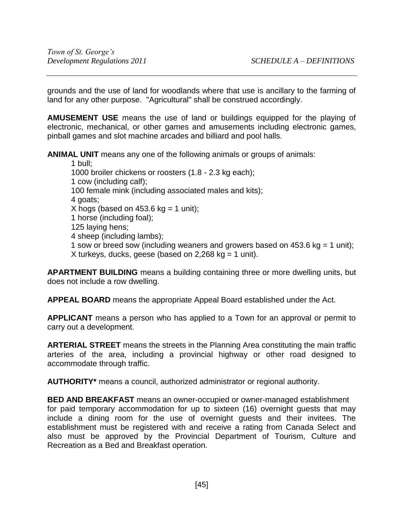grounds and the use of land for woodlands where that use is ancillary to the farming of land for any other purpose. "Agricultural" shall be construed accordingly.

**AMUSEMENT USE** means the use of land or buildings equipped for the playing of electronic, mechanical, or other games and amusements including electronic games, pinball games and slot machine arcades and billiard and pool halls.

**ANIMAL UNIT** means any one of the following animals or groups of animals:

1 bull; 1000 broiler chickens or roosters (1.8 - 2.3 kg each); 1 cow (including calf); 100 female mink (including associated males and kits); 4 goats; X hogs (based on  $453.6$  kg = 1 unit); 1 horse (including foal); 125 laying hens; 4 sheep (including lambs); 1 sow or breed sow (including weaners and growers based on  $453.6$  kg = 1 unit); X turkeys, ducks, geese (based on  $2,268$  kg = 1 unit).

**APARTMENT BUILDING** means a building containing three or more dwelling units, but does not include a row dwelling.

**APPEAL BOARD** means the appropriate Appeal Board established under the Act.

**APPLICANT** means a person who has applied to a Town for an approval or permit to carry out a development.

**ARTERIAL STREET** means the streets in the Planning Area constituting the main traffic arteries of the area, including a provincial highway or other road designed to accommodate through traffic.

**AUTHORITY\*** means a council, authorized administrator or regional authority.

**BED AND BREAKFAST** means an owner-occupied or owner-managed establishment for paid temporary accommodation for up to sixteen (16) overnight guests that may include a dining room for the use of overnight guests and their invitees. The establishment must be registered with and receive a rating from Canada Select and also must be approved by the Provincial Department of Tourism, Culture and Recreation as a Bed and Breakfast operation.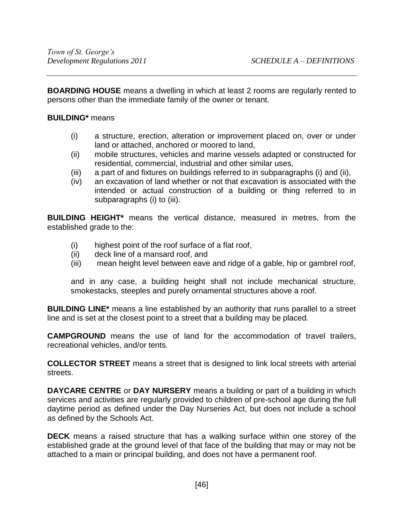**BOARDING HOUSE** means a dwelling in which at least 2 rooms are regularly rented to persons other than the immediate family of the owner or tenant.

# **BUILDING\*** means

- (i) a structure, erection, alteration or improvement placed on, over or under land or attached, anchored or moored to land,
- (ii) mobile structures, vehicles and marine vessels adapted or constructed for residential, commercial, industrial and other similar uses,
- (iii) a part of and fixtures on buildings referred to in subparagraphs (i) and (ii),
- (iv) an excavation of land whether or not that excavation is associated with the intended or actual construction of a building or thing referred to in subparagraphs (i) to (iii).

**BUILDING HEIGHT\*** means the vertical distance, measured in metres, from the established grade to the:

- (i) highest point of the roof surface of a flat roof,
- (ii) deck line of a mansard roof, and
- (iii) mean height level between eave and ridge of a gable, hip or gambrel roof,

and in any case, a building height shall not include mechanical structure, smokestacks, steeples and purely ornamental structures above a roof.

**BUILDING LINE\*** means a line established by an authority that runs parallel to a street line and is set at the closest point to a street that a building may be placed.

**CAMPGROUND** means the use of land for the accommodation of travel trailers, recreational vehicles, and/or tents.

**COLLECTOR STREET** means a street that is designed to link local streets with arterial streets.

**DAYCARE CENTRE** or **DAY NURSERY** means a building or part of a building in which services and activities are regularly provided to children of pre-school age during the full daytime period as defined under the Day Nurseries Act, but does not include a school as defined by the Schools Act.

**DECK** means a raised structure that has a walking surface within one storey of the established grade at the ground level of that face of the building that may or may not be attached to a main or principal building, and does not have a permanent roof.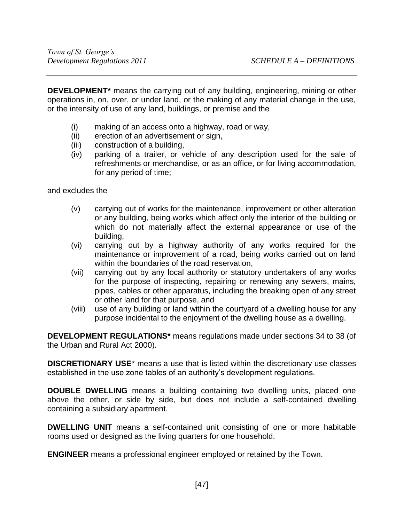**DEVELOPMENT\*** means the carrying out of any building, engineering, mining or other operations in, on, over, or under land, or the making of any material change in the use, or the intensity of use of any land, buildings, or premise and the

- (i) making of an access onto a highway, road or way,
- (ii) erection of an advertisement or sign,
- (iii) construction of a building,
- (iv) parking of a trailer, or vehicle of any description used for the sale of refreshments or merchandise, or as an office, or for living accommodation, for any period of time;

and excludes the

- (v) carrying out of works for the maintenance, improvement or other alteration or any building, being works which affect only the interior of the building or which do not materially affect the external appearance or use of the building,
- (vi) carrying out by a highway authority of any works required for the maintenance or improvement of a road, being works carried out on land within the boundaries of the road reservation,
- (vii) carrying out by any local authority or statutory undertakers of any works for the purpose of inspecting, repairing or renewing any sewers, mains, pipes, cables or other apparatus, including the breaking open of any street or other land for that purpose, and
- (viii) use of any building or land within the courtyard of a dwelling house for any purpose incidental to the enjoyment of the dwelling house as a dwelling.

**DEVELOPMENT REGULATIONS\*** means regulations made under sections 34 to 38 (of the Urban and Rural Act 2000).

**DISCRETIONARY USE**\* means a use that is listed within the discretionary use classes established in the use zone tables of an authority's development regulations.

**DOUBLE DWELLING** means a building containing two dwelling units, placed one above the other, or side by side, but does not include a self-contained dwelling containing a subsidiary apartment.

**DWELLING UNIT** means a self-contained unit consisting of one or more habitable rooms used or designed as the living quarters for one household.

**ENGINEER** means a professional engineer employed or retained by the Town.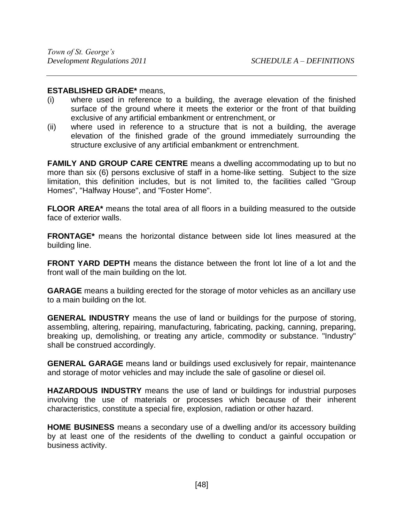### **ESTABLISHED GRADE\*** means,

- (i) where used in reference to a building, the average elevation of the finished surface of the ground where it meets the exterior or the front of that building exclusive of any artificial embankment or entrenchment, or
- (ii) where used in reference to a structure that is not a building, the average elevation of the finished grade of the ground immediately surrounding the structure exclusive of any artificial embankment or entrenchment.

**FAMILY AND GROUP CARE CENTRE** means a dwelling accommodating up to but no more than six (6) persons exclusive of staff in a home-like setting. Subject to the size limitation, this definition includes, but is not limited to, the facilities called "Group Homes", "Halfway House", and "Foster Home".

**FLOOR AREA\*** means the total area of all floors in a building measured to the outside face of exterior walls.

**FRONTAGE\*** means the horizontal distance between side lot lines measured at the building line.

**FRONT YARD DEPTH** means the distance between the front lot line of a lot and the front wall of the main building on the lot.

**GARAGE** means a building erected for the storage of motor vehicles as an ancillary use to a main building on the lot.

**GENERAL INDUSTRY** means the use of land or buildings for the purpose of storing, assembling, altering, repairing, manufacturing, fabricating, packing, canning, preparing, breaking up, demolishing, or treating any article, commodity or substance. "Industry" shall be construed accordingly.

**GENERAL GARAGE** means land or buildings used exclusively for repair, maintenance and storage of motor vehicles and may include the sale of gasoline or diesel oil.

**HAZARDOUS INDUSTRY** means the use of land or buildings for industrial purposes involving the use of materials or processes which because of their inherent characteristics, constitute a special fire, explosion, radiation or other hazard.

**HOME BUSINESS** means a secondary use of a dwelling and/or its accessory building by at least one of the residents of the dwelling to conduct a gainful occupation or business activity.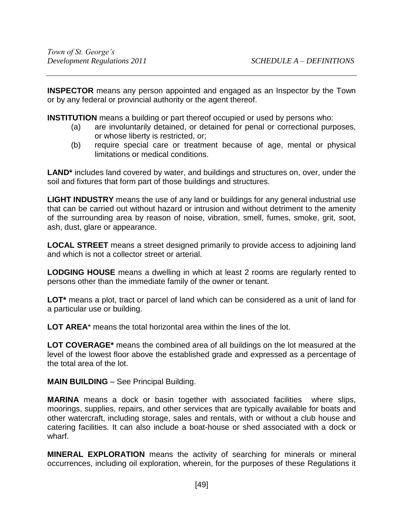**INSPECTOR** means any person appointed and engaged as an Inspector by the Town or by any federal or provincial authority or the agent thereof.

**INSTITUTION** means a building or part thereof occupied or used by persons who:

- (a) are involuntarily detained, or detained for penal or correctional purposes, or whose liberty is restricted, or;
- (b) require special care or treatment because of age, mental or physical limitations or medical conditions.

**LAND\*** includes land covered by water, and buildings and structures on, over, under the soil and fixtures that form part of those buildings and structures.

**LIGHT INDUSTRY** means the use of any land or buildings for any general industrial use that can be carried out without hazard or intrusion and without detriment to the amenity of the surrounding area by reason of noise, vibration, smell, fumes, smoke, grit, soot, ash, dust, glare or appearance.

**LOCAL STREET** means a street designed primarily to provide access to adjoining land and which is not a collector street or arterial.

**LODGING HOUSE** means a dwelling in which at least 2 rooms are regularly rented to persons other than the immediate family of the owner or tenant.

**LOT\*** means a plot, tract or parcel of land which can be considered as a unit of land for a particular use or building.

**LOT AREA**\* means the total horizontal area within the lines of the lot.

**LOT COVERAGE\*** means the combined area of all buildings on the lot measured at the level of the lowest floor above the established grade and expressed as a percentage of the total area of the lot.

**MAIN BUILDING** – See Principal Building.

**MARINA** means a dock or basin together with associated facilities where slips, moorings, supplies, repairs, and other services that are typically available for boats and other watercraft, including storage, sales and rentals, with or without a club house and catering facilities. It can also include a boat-house or shed associated with a dock or wharf.

**MINERAL EXPLORATION** means the activity of searching for minerals or mineral occurrences, including oil exploration, wherein, for the purposes of these Regulations it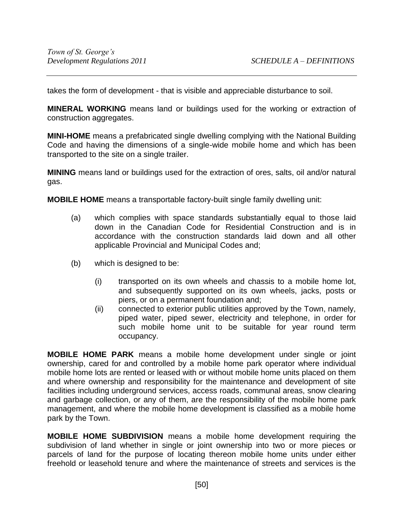takes the form of development - that is visible and appreciable disturbance to soil.

**MINERAL WORKING** means land or buildings used for the working or extraction of construction aggregates.

**MINI-HOME** means a prefabricated single dwelling complying with the National Building Code and having the dimensions of a single-wide mobile home and which has been transported to the site on a single trailer.

**MINING** means land or buildings used for the extraction of ores, salts, oil and/or natural gas.

**MOBILE HOME** means a transportable factory-built single family dwelling unit:

- (a) which complies with space standards substantially equal to those laid down in the Canadian Code for Residential Construction and is in accordance with the construction standards laid down and all other applicable Provincial and Municipal Codes and;
- (b) which is designed to be:
	- (i) transported on its own wheels and chassis to a mobile home lot, and subsequently supported on its own wheels, jacks, posts or piers, or on a permanent foundation and;
	- (ii) connected to exterior public utilities approved by the Town, namely, piped water, piped sewer, electricity and telephone, in order for such mobile home unit to be suitable for year round term occupancy.

**MOBILE HOME PARK** means a mobile home development under single or joint ownership, cared for and controlled by a mobile home park operator where individual mobile home lots are rented or leased with or without mobile home units placed on them and where ownership and responsibility for the maintenance and development of site facilities including underground services, access roads, communal areas, snow clearing and garbage collection, or any of them, are the responsibility of the mobile home park management, and where the mobile home development is classified as a mobile home park by the Town.

**MOBILE HOME SUBDIVISION** means a mobile home development requiring the subdivision of land whether in single or joint ownership into two or more pieces or parcels of land for the purpose of locating thereon mobile home units under either freehold or leasehold tenure and where the maintenance of streets and services is the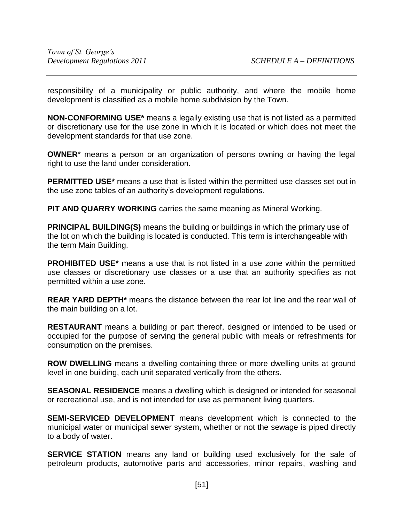responsibility of a municipality or public authority, and where the mobile home development is classified as a mobile home subdivision by the Town.

**NON-CONFORMING USE\*** means a legally existing use that is not listed as a permitted or discretionary use for the use zone in which it is located or which does not meet the development standards for that use zone.

**OWNER**\* means a person or an organization of persons owning or having the legal right to use the land under consideration.

**PERMITTED USE\*** means a use that is listed within the permitted use classes set out in the use zone tables of an authority's development regulations.

**PIT AND QUARRY WORKING** carries the same meaning as Mineral Working.

**PRINCIPAL BUILDING(S)** means the building or buildings in which the primary use of the lot on which the building is located is conducted. This term is interchangeable with the term Main Building.

**PROHIBITED USE\*** means a use that is not listed in a use zone within the permitted use classes or discretionary use classes or a use that an authority specifies as not permitted within a use zone.

**REAR YARD DEPTH\*** means the distance between the rear lot line and the rear wall of the main building on a lot.

**RESTAURANT** means a building or part thereof, designed or intended to be used or occupied for the purpose of serving the general public with meals or refreshments for consumption on the premises.

**ROW DWELLING** means a dwelling containing three or more dwelling units at ground level in one building, each unit separated vertically from the others.

**SEASONAL RESIDENCE** means a dwelling which is designed or intended for seasonal or recreational use, and is not intended for use as permanent living quarters.

**SEMI-SERVICED DEVELOPMENT** means development which is connected to the municipal water or municipal sewer system, whether or not the sewage is piped directly to a body of water.

**SERVICE STATION** means any land or building used exclusively for the sale of petroleum products, automotive parts and accessories, minor repairs, washing and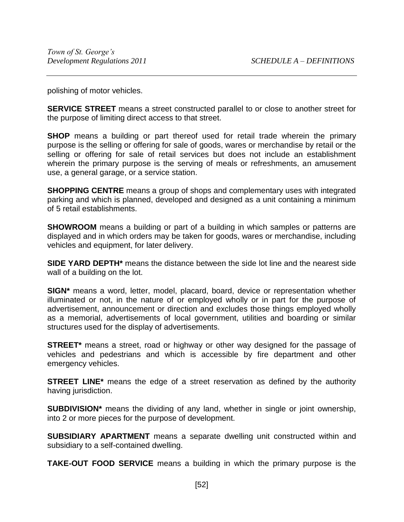polishing of motor vehicles.

**SERVICE STREET** means a street constructed parallel to or close to another street for the purpose of limiting direct access to that street.

**SHOP** means a building or part thereof used for retail trade wherein the primary purpose is the selling or offering for sale of goods, wares or merchandise by retail or the selling or offering for sale of retail services but does not include an establishment wherein the primary purpose is the serving of meals or refreshments, an amusement use, a general garage, or a service station.

**SHOPPING CENTRE** means a group of shops and complementary uses with integrated parking and which is planned, developed and designed as a unit containing a minimum of 5 retail establishments.

**SHOWROOM** means a building or part of a building in which samples or patterns are displayed and in which orders may be taken for goods, wares or merchandise, including vehicles and equipment, for later delivery.

**SIDE YARD DEPTH\*** means the distance between the side lot line and the nearest side wall of a building on the lot.

**SIGN\*** means a word, letter, model, placard, board, device or representation whether illuminated or not, in the nature of or employed wholly or in part for the purpose of advertisement, announcement or direction and excludes those things employed wholly as a memorial, advertisements of local government, utilities and boarding or similar structures used for the display of advertisements.

**STREET**<sup>\*</sup> means a street, road or highway or other way designed for the passage of vehicles and pedestrians and which is accessible by fire department and other emergency vehicles.

**STREET LINE\*** means the edge of a street reservation as defined by the authority having jurisdiction.

**SUBDIVISION\*** means the dividing of any land, whether in single or joint ownership, into 2 or more pieces for the purpose of development.

**SUBSIDIARY APARTMENT** means a separate dwelling unit constructed within and subsidiary to a self-contained dwelling.

**TAKE-OUT FOOD SERVICE** means a building in which the primary purpose is the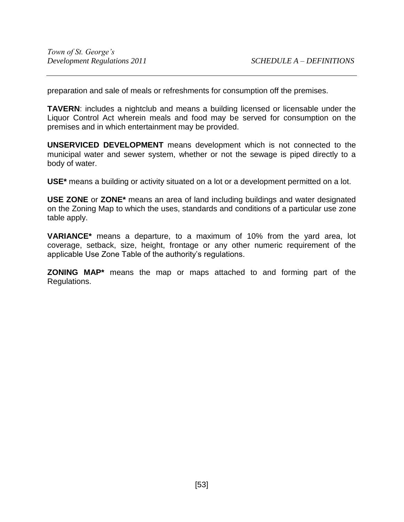preparation and sale of meals or refreshments for consumption off the premises.

**TAVERN**: includes a nightclub and means a building licensed or licensable under the Liquor Control Act wherein meals and food may be served for consumption on the premises and in which entertainment may be provided.

**UNSERVICED DEVELOPMENT** means development which is not connected to the municipal water and sewer system, whether or not the sewage is piped directly to a body of water.

**USE\*** means a building or activity situated on a lot or a development permitted on a lot.

**USE ZONE** or **ZONE\*** means an area of land including buildings and water designated on the Zoning Map to which the uses, standards and conditions of a particular use zone table apply.

**VARIANCE\*** means a departure, to a maximum of 10% from the yard area, lot coverage, setback, size, height, frontage or any other numeric requirement of the applicable Use Zone Table of the authority's regulations.

**ZONING MAP\*** means the map or maps attached to and forming part of the Regulations.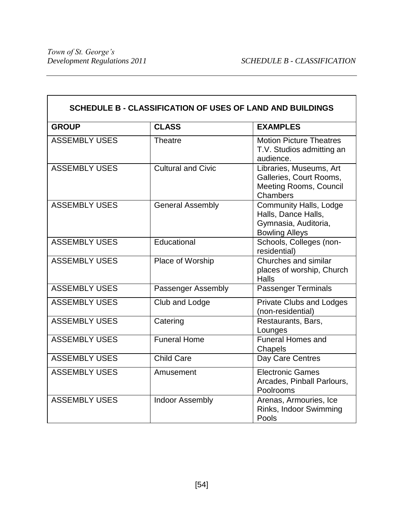$\mathbf{r}$ 

| SCHEDULE B - CLASSIFICATION OF USES OF LAND AND BUILDINGS |                           |                                                                                                       |  |  |  |
|-----------------------------------------------------------|---------------------------|-------------------------------------------------------------------------------------------------------|--|--|--|
| <b>GROUP</b>                                              | <b>CLASS</b>              | <b>EXAMPLES</b>                                                                                       |  |  |  |
| <b>ASSEMBLY USES</b>                                      | <b>Theatre</b>            | <b>Motion Picture Theatres</b><br>T.V. Studios admitting an<br>audience.                              |  |  |  |
| <b>ASSEMBLY USES</b>                                      | <b>Cultural and Civic</b> | Libraries, Museums, Art<br>Galleries, Court Rooms,<br><b>Meeting Rooms, Council</b><br>Chambers       |  |  |  |
| <b>ASSEMBLY USES</b>                                      | <b>General Assembly</b>   | <b>Community Halls, Lodge</b><br>Halls, Dance Halls,<br>Gymnasia, Auditoria,<br><b>Bowling Alleys</b> |  |  |  |
| <b>ASSEMBLY USES</b>                                      | Educational               | Schools, Colleges (non-<br>residential)                                                               |  |  |  |
| <b>ASSEMBLY USES</b>                                      | Place of Worship          | Churches and similar<br>places of worship, Church<br>Halls                                            |  |  |  |
| <b>ASSEMBLY USES</b>                                      | Passenger Assembly        | Passenger Terminals                                                                                   |  |  |  |
| <b>ASSEMBLY USES</b>                                      | Club and Lodge            | <b>Private Clubs and Lodges</b><br>(non-residential)                                                  |  |  |  |
| <b>ASSEMBLY USES</b>                                      | Catering                  | Restaurants, Bars,<br>Lounges                                                                         |  |  |  |
| <b>ASSEMBLY USES</b>                                      | <b>Funeral Home</b>       | <b>Funeral Homes and</b><br>Chapels                                                                   |  |  |  |
| <b>ASSEMBLY USES</b>                                      | <b>Child Care</b>         | Day Care Centres                                                                                      |  |  |  |
| <b>ASSEMBLY USES</b>                                      | Amusement                 | <b>Electronic Games</b><br>Arcades, Pinball Parlours,<br>Poolrooms                                    |  |  |  |
| <b>ASSEMBLY USES</b>                                      | <b>Indoor Assembly</b>    | Arenas, Armouries, Ice<br>Rinks, Indoor Swimming<br>Pools                                             |  |  |  |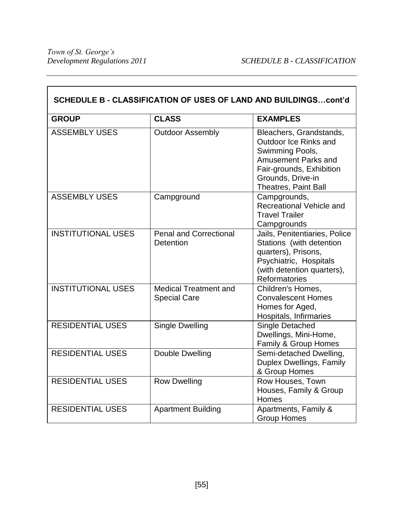| SCHEDULE B - CLASSIFICATION OF USES OF LAND AND BUILDINGScont'd |                                                     |                                                                                                                                                                            |  |  |  |
|-----------------------------------------------------------------|-----------------------------------------------------|----------------------------------------------------------------------------------------------------------------------------------------------------------------------------|--|--|--|
| <b>GROUP</b>                                                    | <b>CLASS</b>                                        | <b>EXAMPLES</b>                                                                                                                                                            |  |  |  |
| <b>ASSEMBLY USES</b>                                            | <b>Outdoor Assembly</b>                             | Bleachers, Grandstands,<br>Outdoor Ice Rinks and<br>Swimming Pools,<br>Amusement Parks and<br>Fair-grounds, Exhibition<br>Grounds, Drive-in<br><b>Theatres, Paint Ball</b> |  |  |  |
| <b>ASSEMBLY USES</b>                                            | Campground                                          | Campgrounds,<br>Recreational Vehicle and<br><b>Travel Trailer</b><br>Campgrounds                                                                                           |  |  |  |
| <b>INSTITUTIONAL USES</b>                                       | <b>Penal and Correctional</b><br><b>Detention</b>   | Jails, Penitentiaries, Police<br>Stations (with detention<br>quarters), Prisons,<br>Psychiatric, Hospitals<br>(with detention quarters),<br><b>Reformatories</b>           |  |  |  |
| <b>INSTITUTIONAL USES</b>                                       | <b>Medical Treatment and</b><br><b>Special Care</b> | Children's Homes,<br><b>Convalescent Homes</b><br>Homes for Aged,<br>Hospitals, Infirmaries                                                                                |  |  |  |
| <b>RESIDENTIAL USES</b>                                         | <b>Single Dwelling</b>                              | <b>Single Detached</b><br>Dwellings, Mini-Home,<br>Family & Group Homes                                                                                                    |  |  |  |
| <b>RESIDENTIAL USES</b>                                         | Double Dwelling                                     | Semi-detached Dwelling,<br>Duplex Dwellings, Family<br>& Group Homes                                                                                                       |  |  |  |
| <b>RESIDENTIAL USES</b>                                         | <b>Row Dwelling</b>                                 | Row Houses, Town<br>Houses, Family & Group<br>Homes                                                                                                                        |  |  |  |
| <b>RESIDENTIAL USES</b>                                         | <b>Apartment Building</b>                           | Apartments, Family &<br><b>Group Homes</b>                                                                                                                                 |  |  |  |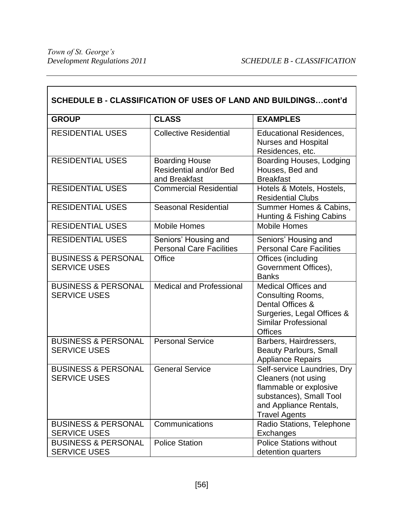$\overline{\phantom{0}}$ 

| SCHEDULE B - CLASSIFICATION OF USES OF LAND AND BUILDINGScont'd |                                                                         |                                                                                                                                                           |  |  |  |
|-----------------------------------------------------------------|-------------------------------------------------------------------------|-----------------------------------------------------------------------------------------------------------------------------------------------------------|--|--|--|
| <b>GROUP</b>                                                    | <b>CLASS</b>                                                            | <b>EXAMPLES</b>                                                                                                                                           |  |  |  |
| <b>RESIDENTIAL USES</b>                                         | <b>Collective Residential</b>                                           | <b>Educational Residences,</b><br><b>Nurses and Hospital</b><br>Residences, etc.                                                                          |  |  |  |
| <b>RESIDENTIAL USES</b>                                         | <b>Boarding House</b><br><b>Residential and/or Bed</b><br>and Breakfast | Boarding Houses, Lodging<br>Houses, Bed and<br><b>Breakfast</b>                                                                                           |  |  |  |
| <b>RESIDENTIAL USES</b>                                         | <b>Commercial Residential</b>                                           | Hotels & Motels, Hostels,<br><b>Residential Clubs</b>                                                                                                     |  |  |  |
| <b>RESIDENTIAL USES</b>                                         | <b>Seasonal Residential</b>                                             | Summer Homes & Cabins,<br>Hunting & Fishing Cabins                                                                                                        |  |  |  |
| <b>RESIDENTIAL USES</b>                                         | <b>Mobile Homes</b>                                                     | <b>Mobile Homes</b>                                                                                                                                       |  |  |  |
| <b>RESIDENTIAL USES</b>                                         | Seniors' Housing and<br><b>Personal Care Facilities</b>                 | Seniors' Housing and<br><b>Personal Care Facilities</b>                                                                                                   |  |  |  |
| <b>BUSINESS &amp; PERSONAL</b><br><b>SERVICE USES</b>           | Office                                                                  | Offices (including<br>Government Offices),<br><b>Banks</b>                                                                                                |  |  |  |
| <b>BUSINESS &amp; PERSONAL</b><br><b>SERVICE USES</b>           | <b>Medical and Professional</b>                                         | <b>Medical Offices and</b><br>Consulting Rooms,<br>Dental Offices &<br>Surgeries, Legal Offices &<br><b>Similar Professional</b><br><b>Offices</b>        |  |  |  |
| <b>BUSINESS &amp; PERSONAL</b><br><b>SERVICE USES</b>           | <b>Personal Service</b>                                                 | Barbers, Hairdressers,<br><b>Beauty Parlours, Small</b><br><b>Appliance Repairs</b>                                                                       |  |  |  |
| <b>BUSINESS &amp; PERSONAL</b><br><b>SERVICE USES</b>           | General Service                                                         | Self-service Laundries, Dry<br>Cleaners (not using<br>flammable or explosive<br>substances), Small Tool<br>and Appliance Rentals,<br><b>Travel Agents</b> |  |  |  |
| <b>BUSINESS &amp; PERSONAL</b><br><b>SERVICE USES</b>           | Communications                                                          | Radio Stations, Telephone<br>Exchanges                                                                                                                    |  |  |  |
| <b>BUSINESS &amp; PERSONAL</b><br><b>SERVICE USES</b>           | <b>Police Station</b>                                                   | <b>Police Stations without</b><br>detention quarters                                                                                                      |  |  |  |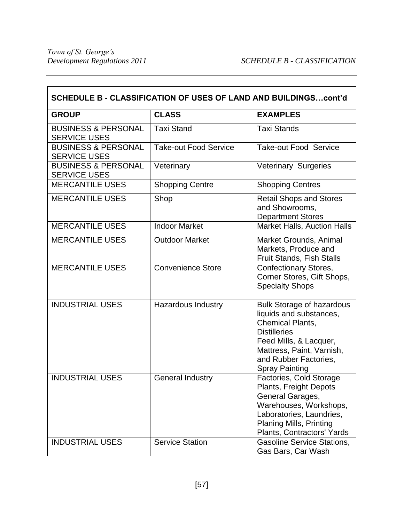| SCHEDULE B - CLASSIFICATION OF USES OF LAND AND BUILDINGScont'd |                              |                                                                                                                                                                                                                        |  |  |  |
|-----------------------------------------------------------------|------------------------------|------------------------------------------------------------------------------------------------------------------------------------------------------------------------------------------------------------------------|--|--|--|
| <b>GROUP</b>                                                    | <b>CLASS</b>                 | <b>EXAMPLES</b>                                                                                                                                                                                                        |  |  |  |
| <b>BUSINESS &amp; PERSONAL</b><br><b>SERVICE USES</b>           | <b>Taxi Stand</b>            | <b>Taxi Stands</b>                                                                                                                                                                                                     |  |  |  |
| <b>BUSINESS &amp; PERSONAL</b><br><b>SERVICE USES</b>           | <b>Take-out Food Service</b> | <b>Take-out Food Service</b>                                                                                                                                                                                           |  |  |  |
| <b>BUSINESS &amp; PERSONAL</b><br><b>SERVICE USES</b>           | Veterinary                   | Veterinary Surgeries                                                                                                                                                                                                   |  |  |  |
| <b>MERCANTILE USES</b>                                          | <b>Shopping Centre</b>       | <b>Shopping Centres</b>                                                                                                                                                                                                |  |  |  |
| <b>MERCANTILE USES</b>                                          | Shop                         | <b>Retail Shops and Stores</b><br>and Showrooms,<br><b>Department Stores</b>                                                                                                                                           |  |  |  |
| <b>MERCANTILE USES</b>                                          | <b>Indoor Market</b>         | <b>Market Halls, Auction Halls</b>                                                                                                                                                                                     |  |  |  |
| <b>MERCANTILE USES</b>                                          | <b>Outdoor Market</b>        | <b>Market Grounds, Animal</b><br>Markets, Produce and<br><b>Fruit Stands, Fish Stalls</b>                                                                                                                              |  |  |  |
| <b>MERCANTILE USES</b>                                          | <b>Convenience Store</b>     | <b>Confectionary Stores,</b><br>Corner Stores, Gift Shops,<br><b>Specialty Shops</b>                                                                                                                                   |  |  |  |
| <b>INDUSTRIAL USES</b>                                          | <b>Hazardous Industry</b>    | <b>Bulk Storage of hazardous</b><br>liquids and substances,<br><b>Chemical Plants,</b><br><b>Distilleries</b><br>Feed Mills, & Lacquer,<br>Mattress, Paint, Varnish,<br>and Rubber Factories,<br><b>Spray Painting</b> |  |  |  |
| <b>INDUSTRIAL USES</b>                                          | <b>General Industry</b>      | Factories. Cold Storage<br>Plants, Freight Depots<br>General Garages,<br>Warehouses, Workshops,<br>Laboratories, Laundries,<br><b>Planing Mills, Printing</b><br>Plants, Contractors' Yards                            |  |  |  |
| <b>INDUSTRIAL USES</b>                                          | <b>Service Station</b>       | <b>Gasoline Service Stations,</b><br>Gas Bars, Car Wash                                                                                                                                                                |  |  |  |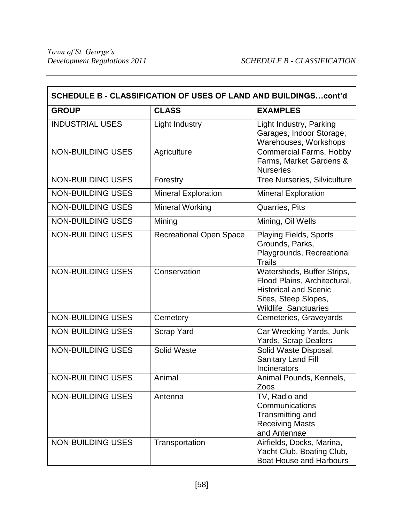| SCHEDULE B - CLASSIFICATION OF USES OF LAND AND BUILDINGScont'd |                                |                                                                                                                                                   |  |  |  |
|-----------------------------------------------------------------|--------------------------------|---------------------------------------------------------------------------------------------------------------------------------------------------|--|--|--|
| <b>GROUP</b>                                                    | <b>CLASS</b>                   | <b>EXAMPLES</b>                                                                                                                                   |  |  |  |
| <b>INDUSTRIAL USES</b>                                          | <b>Light Industry</b>          | Light Industry, Parking<br>Garages, Indoor Storage,<br>Warehouses, Workshops                                                                      |  |  |  |
| <b>NON-BUILDING USES</b>                                        | Agriculture                    | <b>Commercial Farms, Hobby</b><br>Farms, Market Gardens &<br><b>Nurseries</b>                                                                     |  |  |  |
| <b>NON-BUILDING USES</b>                                        | Forestry                       | <b>Tree Nurseries, Silviculture</b>                                                                                                               |  |  |  |
| <b>NON-BUILDING USES</b>                                        | <b>Mineral Exploration</b>     | <b>Mineral Exploration</b>                                                                                                                        |  |  |  |
| <b>NON-BUILDING USES</b>                                        | Mineral Working                | Quarries, Pits                                                                                                                                    |  |  |  |
| <b>NON-BUILDING USES</b>                                        | Mining                         | Mining, Oil Wells                                                                                                                                 |  |  |  |
| <b>NON-BUILDING USES</b>                                        | <b>Recreational Open Space</b> | <b>Playing Fields, Sports</b><br>Grounds, Parks,<br>Playgrounds, Recreational<br><b>Trails</b>                                                    |  |  |  |
| <b>NON-BUILDING USES</b>                                        | Conservation                   | Watersheds, Buffer Strips,<br>Flood Plains, Architectural,<br><b>Historical and Scenic</b><br>Sites, Steep Slopes,<br><b>Wildlife Sanctuaries</b> |  |  |  |
| <b>NON-BUILDING USES</b>                                        | Cemetery                       | Cemeteries, Graveyards                                                                                                                            |  |  |  |
| <b>NON-BUILDING USES</b>                                        | <b>Scrap Yard</b>              | Car Wrecking Yards, Junk<br>Yards, Scrap Dealers                                                                                                  |  |  |  |
| <b>NON-BUILDING USES</b>                                        | Solid Waste                    | Solid Waste Disposal,<br><b>Sanitary Land Fill</b><br>Incinerators                                                                                |  |  |  |
| <b>NON-BUILDING USES</b>                                        | Animal                         | Animal Pounds, Kennels,<br>Zoos                                                                                                                   |  |  |  |
| <b>NON-BUILDING USES</b>                                        | Antenna                        | TV, Radio and<br>Communications<br>Transmitting and<br><b>Receiving Masts</b><br>and Antennae                                                     |  |  |  |
| <b>NON-BUILDING USES</b>                                        | Transportation                 | Airfields, Docks, Marina,<br>Yacht Club, Boating Club,<br><b>Boat House and Harbours</b>                                                          |  |  |  |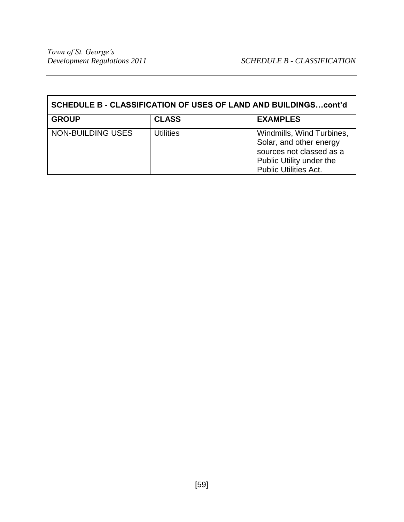| SCHEDULE B - CLASSIFICATION OF USES OF LAND AND BUILDINGScont'd |                  |                                                                                                                                              |  |  |
|-----------------------------------------------------------------|------------------|----------------------------------------------------------------------------------------------------------------------------------------------|--|--|
| <b>GROUP</b>                                                    | <b>CLASS</b>     | <b>EXAMPLES</b>                                                                                                                              |  |  |
| NON-BUILDING USES                                               | <b>Utilities</b> | Windmills, Wind Turbines,<br>Solar, and other energy<br>sources not classed as a<br>Public Utility under the<br><b>Public Utilities Act.</b> |  |  |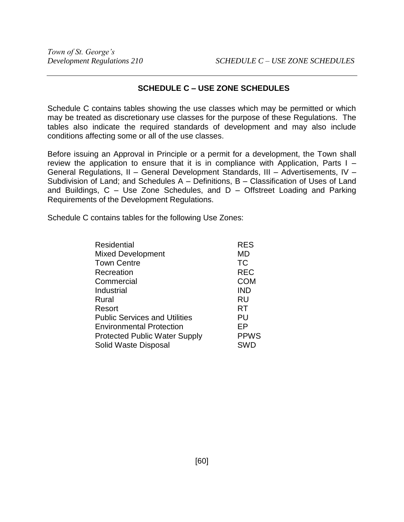# **SCHEDULE C – USE ZONE SCHEDULES**

Schedule C contains tables showing the use classes which may be permitted or which may be treated as discretionary use classes for the purpose of these Regulations. The tables also indicate the required standards of development and may also include conditions affecting some or all of the use classes.

Before issuing an Approval in Principle or a permit for a development, the Town shall review the application to ensure that it is in compliance with Application, Parts I – General Regulations, II – General Development Standards, III – Advertisements, IV – Subdivision of Land; and Schedules A – Definitions, B – Classification of Uses of Land and Buildings, C – Use Zone Schedules, and D – Offstreet Loading and Parking Requirements of the Development Regulations.

Schedule C contains tables for the following Use Zones:

| Residential                          | <b>RES</b>  |
|--------------------------------------|-------------|
| <b>Mixed Development</b>             | MD          |
| <b>Town Centre</b>                   | <b>TC</b>   |
| Recreation                           | <b>REC</b>  |
| Commercial                           | <b>COM</b>  |
| Industrial                           | <b>IND</b>  |
| Rural                                | <b>RU</b>   |
| Resort                               | RT          |
| <b>Public Services and Utilities</b> | PU          |
| <b>Environmental Protection</b>      | ЕP          |
| <b>Protected Public Water Supply</b> | <b>PPWS</b> |
| Solid Waste Disposal                 | <b>SWD</b>  |
|                                      |             |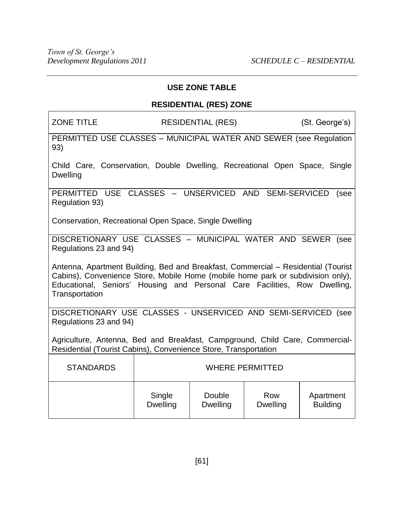# **USE ZONE TABLE**

# **RESIDENTIAL (RES) ZONE**

ZONE TITLE RESIDENTIAL (RES) (St. George's)

PERMITTED USE CLASSES – MUNICIPAL WATER AND SEWER (see Regulation 93)

Child Care, Conservation, Double Dwelling, Recreational Open Space, Single **Dwelling** 

PERMITTED USE CLASSES – UNSERVICED AND SEMI-SERVICED (see Regulation 93)

Conservation, Recreational Open Space, Single Dwelling

DISCRETIONARY USE CLASSES – MUNICIPAL WATER AND SEWER (see Regulations 23 and 94)

Antenna, Apartment Building, Bed and Breakfast, Commercial – Residential (Tourist Cabins), Convenience Store, Mobile Home (mobile home park or subdivision only), Educational, Seniors' Housing and Personal Care Facilities, Row Dwelling, **Transportation** 

DISCRETIONARY USE CLASSES - UNSERVICED AND SEMI-SERVICED (see Regulations 23 and 94)

Agriculture, Antenna, Bed and Breakfast, Campground, Child Care, Commercial-Residential (Tourist Cabins), Convenience Store, Transportation

| <b>STANDARDS</b> | <b>WHERE PERMITTED</b> |                 |                 |                 |
|------------------|------------------------|-----------------|-----------------|-----------------|
|                  | Single                 | Double          | Row             | Apartment       |
|                  | <b>Dwelling</b>        | <b>Dwelling</b> | <b>Dwelling</b> | <b>Building</b> |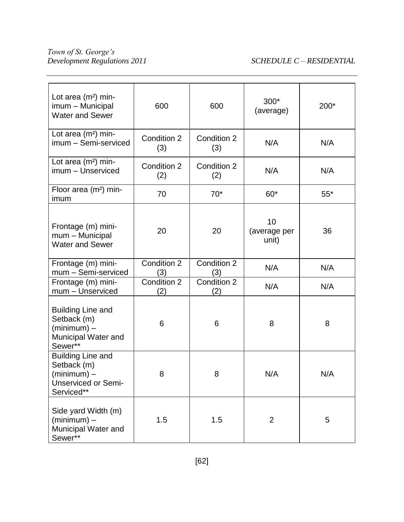# *Development Regulations 2011 SCHEDULE C – RESIDENTIAL*

| Lot area $(m2)$ min-<br>imum - Municipal<br><b>Water and Sewer</b>                                   | 600                | 600                | $300*$<br>(average)         | 200*  |
|------------------------------------------------------------------------------------------------------|--------------------|--------------------|-----------------------------|-------|
| Lot area $(m2)$ min-<br>imum - Semi-serviced                                                         | Condition 2<br>(3) | Condition 2<br>(3) | N/A                         | N/A   |
| Lot area (m <sup>2</sup> ) min-<br>imum - Unserviced                                                 | Condition 2<br>(2) | Condition 2<br>(2) | N/A                         | N/A   |
| Floor area $(m2)$ min-<br>imum                                                                       | 70                 | $70*$              | $60*$                       | $55*$ |
| Frontage (m) mini-<br>mum - Municipal<br><b>Water and Sewer</b>                                      | 20                 | 20                 | 10<br>(average per<br>unit) | 36    |
| Frontage (m) mini-<br>mum - Semi-serviced                                                            | Condition 2<br>(3) | Condition 2<br>(3) | N/A                         | N/A   |
| Frontage (m) mini-<br>mum - Unserviced                                                               | Condition 2<br>(2) | Condition 2<br>(2) | N/A                         | N/A   |
| <b>Building Line and</b><br>Setback (m)<br>$(minimum)$ –<br>Municipal Water and<br>Sewer**           | 6                  | 6                  | 8                           | 8     |
| <b>Building Line and</b><br>Setback (m)<br>$(minimum)$ –<br><b>Unserviced or Semi-</b><br>Serviced** | 8                  | 8                  | N/A                         | N/A   |
| Side yard Width (m)<br>$(minimum)$ –<br>Municipal Water and<br>Sewer**                               | 1.5                | 1.5                | $\overline{2}$              | 5     |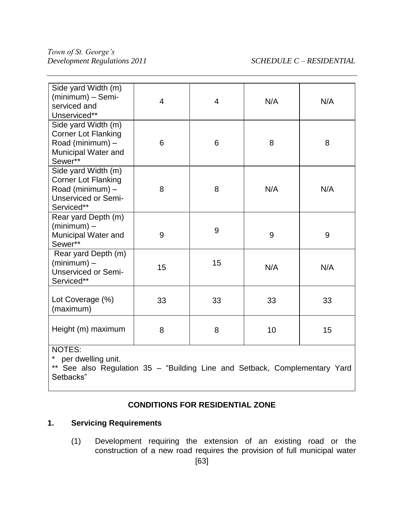| Side yard Width (m)<br>(minimum) - Semi-<br>serviced and<br>Unserviced**                                          | 4  | 4  | N/A | N/A |
|-------------------------------------------------------------------------------------------------------------------|----|----|-----|-----|
| Side yard Width (m)<br><b>Corner Lot Flanking</b><br>Road (minimum) -<br>Municipal Water and<br>Sewer**           | 6  | 6  | 8   | 8   |
| Side yard Width (m)<br><b>Corner Lot Flanking</b><br>Road (minimum) -<br><b>Unserviced or Semi-</b><br>Serviced** | 8  | 8  | N/A | N/A |
| Rear yard Depth (m)<br>$(minimum)$ –<br>Municipal Water and<br>Sewer**                                            | 9  | 9  | 9   | 9   |
| Rear yard Depth (m)<br>$(minimum) -$<br><b>Unserviced or Semi-</b><br>Serviced**                                  | 15 | 15 | N/A | N/A |
| Lot Coverage (%)<br>(maximum)                                                                                     | 33 | 33 | 33  | 33  |
| Height (m) maximum                                                                                                | 8  | 8  | 10  | 15  |
| NOTES:<br>nor dwolling unit                                                                                       |    |    |     |     |

per dwelling unit.

\*\* See also Regulation 35 - "Building Line and Setback, Complementary Yard Setbacks"

# **CONDITIONS FOR RESIDENTIAL ZONE**

# **1. Servicing Requirements**

(1) Development requiring the extension of an existing road or the construction of a new road requires the provision of full municipal water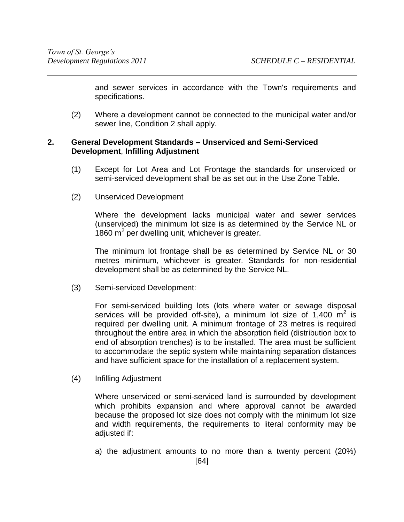and sewer services in accordance with the Town's requirements and specifications.

(2) Where a development cannot be connected to the municipal water and/or sewer line, Condition 2 shall apply.

# **2. General Development Standards – Unserviced and Semi-Serviced Development**, **Infilling Adjustment**

- (1) Except for Lot Area and Lot Frontage the standards for unserviced or semi-serviced development shall be as set out in the Use Zone Table.
- (2) Unserviced Development

Where the development lacks municipal water and sewer services (unserviced) the minimum lot size is as determined by the Service NL or 1860  $m^2$  per dwelling unit, whichever is greater.

The minimum lot frontage shall be as determined by Service NL or 30 metres minimum, whichever is greater. Standards for non-residential development shall be as determined by the Service NL.

(3) Semi-serviced Development:

For semi-serviced building lots (lots where water or sewage disposal services will be provided off-site), a minimum lot size of  $1,400 \text{ m}^2$  is required per dwelling unit. A minimum frontage of 23 metres is required throughout the entire area in which the absorption field (distribution box to end of absorption trenches) is to be installed. The area must be sufficient to accommodate the septic system while maintaining separation distances and have sufficient space for the installation of a replacement system.

(4) Infilling Adjustment

Where unserviced or semi-serviced land is surrounded by development which prohibits expansion and where approval cannot be awarded because the proposed lot size does not comply with the minimum lot size and width requirements, the requirements to literal conformity may be adjusted if:

a) the adjustment amounts to no more than a twenty percent (20%)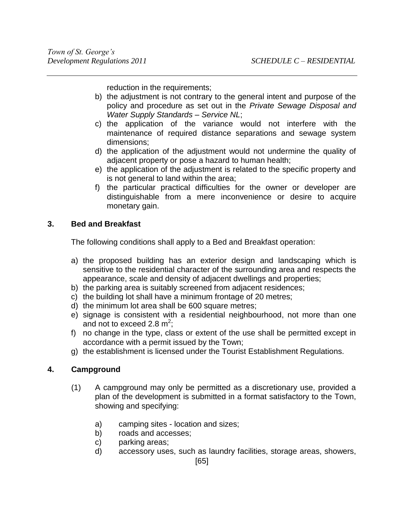reduction in the requirements;

- b) the adjustment is not contrary to the general intent and purpose of the policy and procedure as set out in the *Private Sewage Disposal and Water Supply Standards – Service NL*;
- c) the application of the variance would not interfere with the maintenance of required distance separations and sewage system dimensions;
- d) the application of the adjustment would not undermine the quality of adjacent property or pose a hazard to human health;
- e) the application of the adjustment is related to the specific property and is not general to land within the area;
- f) the particular practical difficulties for the owner or developer are distinguishable from a mere inconvenience or desire to acquire monetary gain.

# **3. Bed and Breakfast**

The following conditions shall apply to a Bed and Breakfast operation:

- a) the proposed building has an exterior design and landscaping which is sensitive to the residential character of the surrounding area and respects the appearance, scale and density of adjacent dwellings and properties;
- b) the parking area is suitably screened from adjacent residences;
- c) the building lot shall have a minimum frontage of 20 metres;
- d) the minimum lot area shall be 600 square metres;
- e) signage is consistent with a residential neighbourhood, not more than one and not to exceed 2.8  $m^2$ ;
- f) no change in the type, class or extent of the use shall be permitted except in accordance with a permit issued by the Town;
- g) the establishment is licensed under the Tourist Establishment Regulations.

# **4. Campground**

- (1) A campground may only be permitted as a discretionary use, provided a plan of the development is submitted in a format satisfactory to the Town, showing and specifying:
	- a) camping sites location and sizes;
	- b) roads and accesses;
	- c) parking areas;
	- d) accessory uses, such as laundry facilities, storage areas, showers,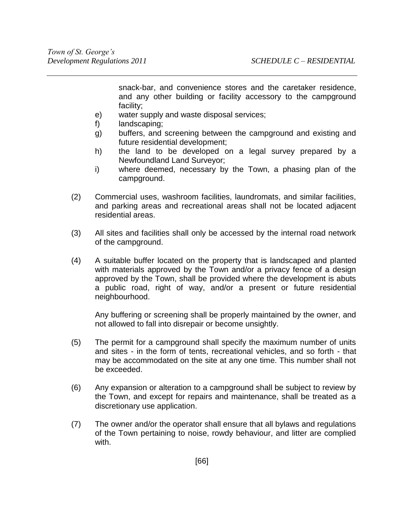snack-bar, and convenience stores and the caretaker residence, and any other building or facility accessory to the campground facility;

- e) water supply and waste disposal services;
- f) landscaping;
- g) buffers, and screening between the campground and existing and future residential development;
- h) the land to be developed on a legal survey prepared by a Newfoundland Land Surveyor;
- i) where deemed, necessary by the Town, a phasing plan of the campground.
- (2) Commercial uses, washroom facilities, laundromats, and similar facilities, and parking areas and recreational areas shall not be located adjacent residential areas.
- (3) All sites and facilities shall only be accessed by the internal road network of the campground.
- (4) A suitable buffer located on the property that is landscaped and planted with materials approved by the Town and/or a privacy fence of a design approved by the Town, shall be provided where the development is abuts a public road, right of way, and/or a present or future residential neighbourhood.

Any buffering or screening shall be properly maintained by the owner, and not allowed to fall into disrepair or become unsightly.

- (5) The permit for a campground shall specify the maximum number of units and sites - in the form of tents, recreational vehicles, and so forth - that may be accommodated on the site at any one time. This number shall not be exceeded.
- (6) Any expansion or alteration to a campground shall be subject to review by the Town, and except for repairs and maintenance, shall be treated as a discretionary use application.
- (7) The owner and/or the operator shall ensure that all bylaws and regulations of the Town pertaining to noise, rowdy behaviour, and litter are complied with.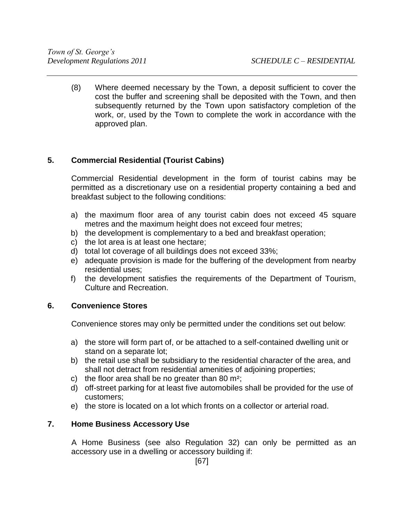(8) Where deemed necessary by the Town, a deposit sufficient to cover the cost the buffer and screening shall be deposited with the Town, and then subsequently returned by the Town upon satisfactory completion of the work, or, used by the Town to complete the work in accordance with the approved plan.

# **5. Commercial Residential (Tourist Cabins)**

Commercial Residential development in the form of tourist cabins may be permitted as a discretionary use on a residential property containing a bed and breakfast subject to the following conditions:

- a) the maximum floor area of any tourist cabin does not exceed 45 square metres and the maximum height does not exceed four metres;
- b) the development is complementary to a bed and breakfast operation;
- c) the lot area is at least one hectare;
- d) total lot coverage of all buildings does not exceed 33%;
- e) adequate provision is made for the buffering of the development from nearby residential uses;
- f) the development satisfies the requirements of the Department of Tourism, Culture and Recreation.

### **6. Convenience Stores**

Convenience stores may only be permitted under the conditions set out below:

- a) the store will form part of, or be attached to a self-contained dwelling unit or stand on a separate lot;
- b) the retail use shall be subsidiary to the residential character of the area, and shall not detract from residential amenities of adjoining properties;
- c) the floor area shall be no greater than 80  $m^2$ ;
- d) off-street parking for at least five automobiles shall be provided for the use of customers;
- e) the store is located on a lot which fronts on a collector or arterial road.

# **7. Home Business Accessory Use**

A Home Business (see also Regulation 32) can only be permitted as an accessory use in a dwelling or accessory building if: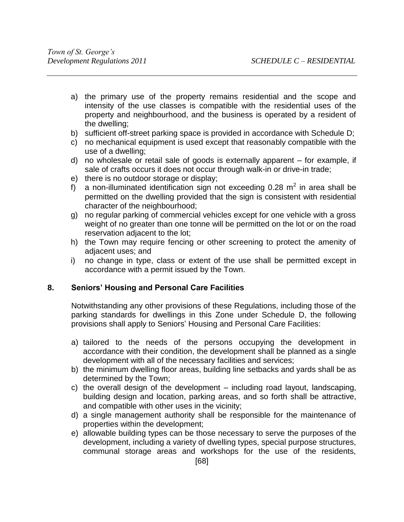- a) the primary use of the property remains residential and the scope and intensity of the use classes is compatible with the residential uses of the property and neighbourhood, and the business is operated by a resident of the dwelling;
- b) sufficient off-street parking space is provided in accordance with Schedule D;
- c) no mechanical equipment is used except that reasonably compatible with the use of a dwelling;
- d) no wholesale or retail sale of goods is externally apparent for example, if sale of crafts occurs it does not occur through walk-in or drive-in trade;
- e) there is no outdoor storage or display;
- f) a non-illuminated identification sign not exceeding 0.28  $m^2$  in area shall be permitted on the dwelling provided that the sign is consistent with residential character of the neighbourhood;
- g) no regular parking of commercial vehicles except for one vehicle with a gross weight of no greater than one tonne will be permitted on the lot or on the road reservation adjacent to the lot;
- h) the Town may require fencing or other screening to protect the amenity of adjacent uses; and
- i) no change in type, class or extent of the use shall be permitted except in accordance with a permit issued by the Town.

### **8. Seniors' Housing and Personal Care Facilities**

Notwithstanding any other provisions of these Regulations, including those of the parking standards for dwellings in this Zone under Schedule D, the following provisions shall apply to Seniors' Housing and Personal Care Facilities:

- a) tailored to the needs of the persons occupying the development in accordance with their condition, the development shall be planned as a single development with all of the necessary facilities and services;
- b) the minimum dwelling floor areas, building line setbacks and yards shall be as determined by the Town;
- c) the overall design of the development including road layout, landscaping, building design and location, parking areas, and so forth shall be attractive, and compatible with other uses in the vicinity;
- d) a single management authority shall be responsible for the maintenance of properties within the development;
- e) allowable building types can be those necessary to serve the purposes of the development, including a variety of dwelling types, special purpose structures, communal storage areas and workshops for the use of the residents,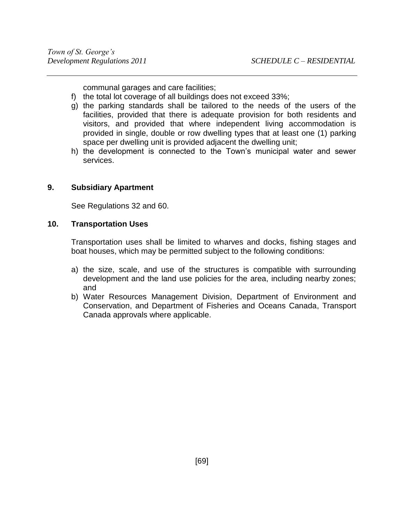communal garages and care facilities;

- f) the total lot coverage of all buildings does not exceed 33%;
- g) the parking standards shall be tailored to the needs of the users of the facilities, provided that there is adequate provision for both residents and visitors, and provided that where independent living accommodation is provided in single, double or row dwelling types that at least one (1) parking space per dwelling unit is provided adjacent the dwelling unit;
- h) the development is connected to the Town's municipal water and sewer services.

### **9. Subsidiary Apartment**

See Regulations 32 and 60.

#### **10. Transportation Uses**

Transportation uses shall be limited to wharves and docks, fishing stages and boat houses, which may be permitted subject to the following conditions:

- a) the size, scale, and use of the structures is compatible with surrounding development and the land use policies for the area, including nearby zones; and
- b) Water Resources Management Division, Department of Environment and Conservation, and Department of Fisheries and Oceans Canada, Transport Canada approvals where applicable.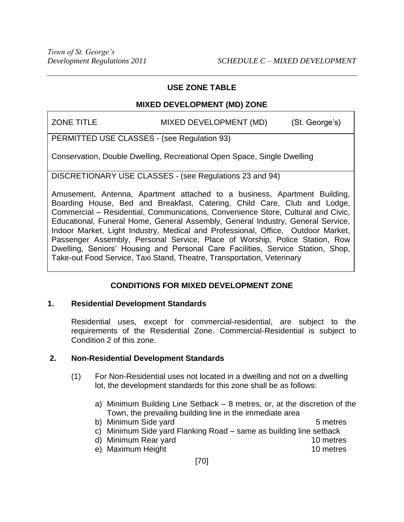# **MIXED DEVELOPMENT (MD) ZONE**

ZONE TITLE MIXED DEVELOPMENT (MD) (St. George's)

PERMITTED USE CLASSES - (see Regulation 93)

Conservation, Double Dwelling, Recreational Open Space, Single Dwelling

DISCRETIONARY USE CLASSES - (see Regulations 23 and 94)

Amusement, Antenna, Apartment attached to a business, Apartment Building, Boarding House, Bed and Breakfast, Catering, Child Care, Club and Lodge, Commercial – Residential, Communications, Convenience Store, Cultural and Civic, Educational, Funeral Home, General Assembly, General Industry, General Service, Indoor Market, Light Industry, Medical and Professional, Office, Outdoor Market, Passenger Assembly, Personal Service, Place of Worship, Police Station, Row Dwelling, Seniors' Housing and Personal Care Facilities, Service Station, Shop, Take-out Food Service, Taxi Stand, Theatre, Transportation, Veterinary

# **CONDITIONS FOR MIXED DEVELOPMENT ZONE**

### **1. Residential Development Standards**

Residential uses, except for commercial-residential, are subject to the requirements of the Residential Zone. Commercial-Residential is subject to Condition 2 of this zone.

# **2. Non-Residential Development Standards**

- (1) For Non-Residential uses not located in a dwelling and not on a dwelling lot, the development standards for this zone shall be as follows:
	- a) Minimum Building Line Setback 8 metres, or, at the discretion of the Town, the prevailing building line in the immediate area
	- b) Minimum Side yard 5 metres c) Minimum Side yard Flanking Road – same as building line setback
	- d) Minimum Rear yard 10 metres
	- e) Maximum Height 10 metres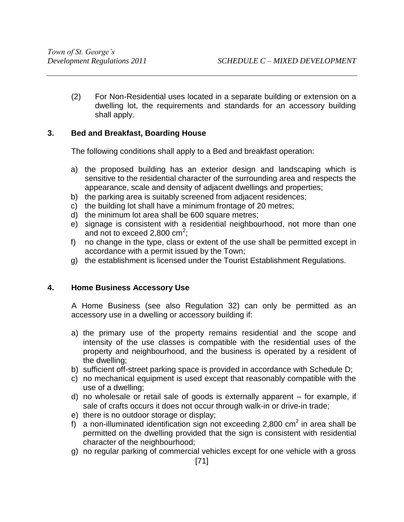(2) For Non-Residential uses located in a separate building or extension on a dwelling lot, the requirements and standards for an accessory building shall apply.

# **3. Bed and Breakfast, Boarding House**

The following conditions shall apply to a Bed and breakfast operation:

- a) the proposed building has an exterior design and landscaping which is sensitive to the residential character of the surrounding area and respects the appearance, scale and density of adjacent dwellings and properties;
- b) the parking area is suitably screened from adjacent residences;
- c) the building lot shall have a minimum frontage of 20 metres;
- d) the minimum lot area shall be 600 square metres;
- e) signage is consistent with a residential neighbourhood, not more than one and not to exceed 2,800 cm<sup>2</sup>;
- f) no change in the type, class or extent of the use shall be permitted except in accordance with a permit issued by the Town;
- g) the establishment is licensed under the Tourist Establishment Regulations.

# **4. Home Business Accessory Use**

A Home Business (see also Regulation 32) can only be permitted as an accessory use in a dwelling or accessory building if:

- a) the primary use of the property remains residential and the scope and intensity of the use classes is compatible with the residential uses of the property and neighbourhood, and the business is operated by a resident of the dwelling;
- b) sufficient off-street parking space is provided in accordance with Schedule D;
- c) no mechanical equipment is used except that reasonably compatible with the use of a dwelling;
- d) no wholesale or retail sale of goods is externally apparent for example, if sale of crafts occurs it does not occur through walk-in or drive-in trade;
- e) there is no outdoor storage or display;
- f) a non-illuminated identification sign not exceeding 2,800 cm<sup>2</sup> in area shall be permitted on the dwelling provided that the sign is consistent with residential character of the neighbourhood;
- g) no regular parking of commercial vehicles except for one vehicle with a gross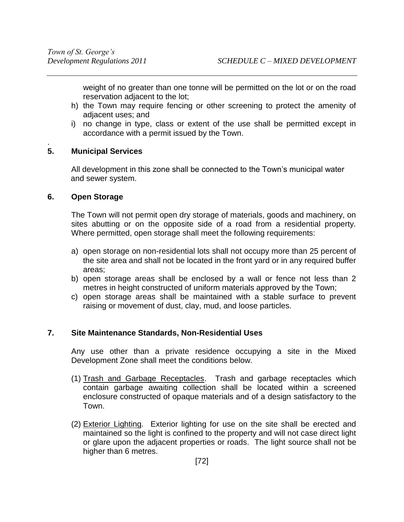weight of no greater than one tonne will be permitted on the lot or on the road reservation adjacent to the lot;

- h) the Town may require fencing or other screening to protect the amenity of adjacent uses; and
- i) no change in type, class or extent of the use shall be permitted except in accordance with a permit issued by the Town.

#### . **5. Municipal Services**

All development in this zone shall be connected to the Town's municipal water and sewer system.

#### **6. Open Storage**

The Town will not permit open dry storage of materials, goods and machinery, on sites abutting or on the opposite side of a road from a residential property. Where permitted, open storage shall meet the following requirements:

- a) open storage on non-residential lots shall not occupy more than 25 percent of the site area and shall not be located in the front yard or in any required buffer areas;
- b) open storage areas shall be enclosed by a wall or fence not less than 2 metres in height constructed of uniform materials approved by the Town;
- c) open storage areas shall be maintained with a stable surface to prevent raising or movement of dust, clay, mud, and loose particles.

### **7. Site Maintenance Standards, Non-Residential Uses**

Any use other than a private residence occupying a site in the Mixed Development Zone shall meet the conditions below.

- (1) Trash and Garbage Receptacles. Trash and garbage receptacles which contain garbage awaiting collection shall be located within a screened enclosure constructed of opaque materials and of a design satisfactory to the Town.
- (2) Exterior Lighting. Exterior lighting for use on the site shall be erected and maintained so the light is confined to the property and will not case direct light or glare upon the adjacent properties or roads. The light source shall not be higher than 6 metres.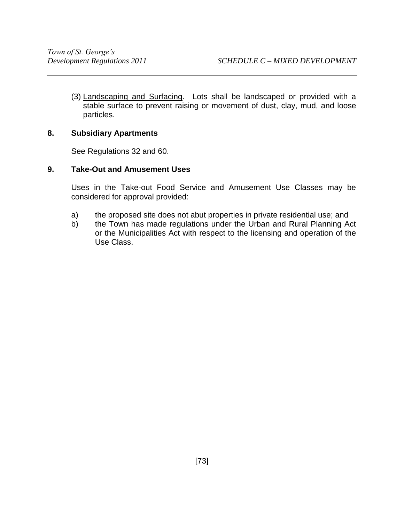(3) Landscaping and Surfacing. Lots shall be landscaped or provided with a stable surface to prevent raising or movement of dust, clay, mud, and loose particles.

### **8. Subsidiary Apartments**

See Regulations 32 and 60.

#### **9. Take-Out and Amusement Uses**

Uses in the Take-out Food Service and Amusement Use Classes may be considered for approval provided:

- a) the proposed site does not abut properties in private residential use; and
- b) the Town has made regulations under the Urban and Rural Planning Act or the Municipalities Act with respect to the licensing and operation of the Use Class.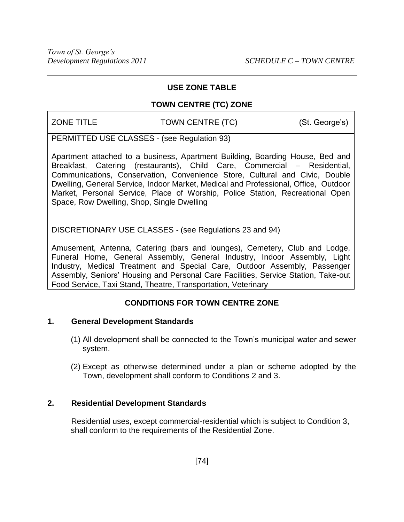# **TOWN CENTRE (TC) ZONE**

ZONE TITLE TOWN CENTRE (TC) (St. George's)

PERMITTED USE CLASSES - (see Regulation 93)

Apartment attached to a business, Apartment Building, Boarding House, Bed and Breakfast, Catering (restaurants), Child Care, Commercial – Residential, Communications, Conservation, Convenience Store, Cultural and Civic, Double Dwelling, General Service, Indoor Market, Medical and Professional, Office, Outdoor Market, Personal Service, Place of Worship, Police Station, Recreational Open Space, Row Dwelling, Shop, Single Dwelling

DISCRETIONARY USE CLASSES - (see Regulations 23 and 94)

Amusement, Antenna, Catering (bars and lounges), Cemetery, Club and Lodge, Funeral Home, General Assembly, General Industry, Indoor Assembly, Light Industry, Medical Treatment and Special Care, Outdoor Assembly, Passenger Assembly, Seniors' Housing and Personal Care Facilities, Service Station, Take-out Food Service, Taxi Stand, Theatre, Transportation, Veterinary

# **CONDITIONS FOR TOWN CENTRE ZONE**

# **1. General Development Standards**

- (1) All development shall be connected to the Town's municipal water and sewer system.
- (2) Except as otherwise determined under a plan or scheme adopted by the Town, development shall conform to Conditions 2 and 3.

### **2. Residential Development Standards**

Residential uses, except commercial-residential which is subject to Condition 3, shall conform to the requirements of the Residential Zone.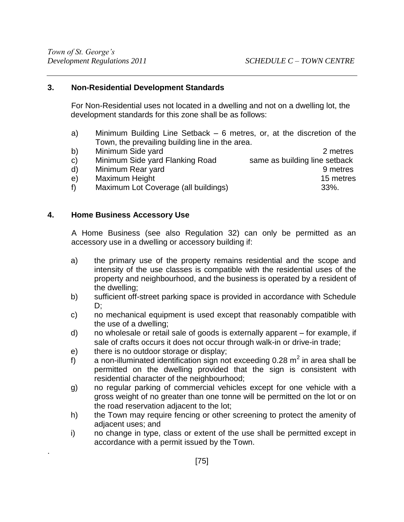### **3. Non-Residential Development Standards**

For Non-Residential uses not located in a dwelling and not on a dwelling lot, the development standards for this zone shall be as follows:

- a) Minimum Building Line Setback 6 metres, or, at the discretion of the Town, the prevailing building line in the area.
- b) Minimum Side yard 2 metres c) Minimum Side yard Flanking Road same as building line setback d) Minimum Rear yard 9 metres e) Maximum Height 15 metres f) Maximum Lot Coverage (all buildings) 33%.

## **4. Home Business Accessory Use**

.

A Home Business (see also Regulation 32) can only be permitted as an accessory use in a dwelling or accessory building if:

- a) the primary use of the property remains residential and the scope and intensity of the use classes is compatible with the residential uses of the property and neighbourhood, and the business is operated by a resident of the dwelling;
- b) sufficient off-street parking space is provided in accordance with Schedule D;
- c) no mechanical equipment is used except that reasonably compatible with the use of a dwelling;
- d) no wholesale or retail sale of goods is externally apparent for example, if sale of crafts occurs it does not occur through walk-in or drive-in trade;
- e) there is no outdoor storage or display;
- f) a non-illuminated identification sign not exceeding 0.28  $m^2$  in area shall be permitted on the dwelling provided that the sign is consistent with residential character of the neighbourhood;
- g) no regular parking of commercial vehicles except for one vehicle with a gross weight of no greater than one tonne will be permitted on the lot or on the road reservation adjacent to the lot;
- h) the Town may require fencing or other screening to protect the amenity of adjacent uses; and
- i) no change in type, class or extent of the use shall be permitted except in accordance with a permit issued by the Town.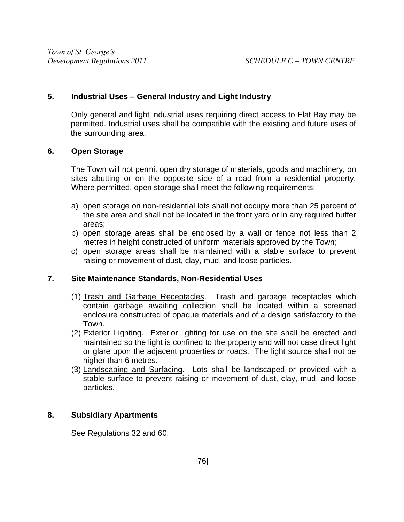#### **5. Industrial Uses – General Industry and Light Industry**

Only general and light industrial uses requiring direct access to Flat Bay may be permitted. Industrial uses shall be compatible with the existing and future uses of the surrounding area.

#### **6. Open Storage**

The Town will not permit open dry storage of materials, goods and machinery, on sites abutting or on the opposite side of a road from a residential property. Where permitted, open storage shall meet the following requirements:

- a) open storage on non-residential lots shall not occupy more than 25 percent of the site area and shall not be located in the front yard or in any required buffer areas;
- b) open storage areas shall be enclosed by a wall or fence not less than 2 metres in height constructed of uniform materials approved by the Town;
- c) open storage areas shall be maintained with a stable surface to prevent raising or movement of dust, clay, mud, and loose particles.

#### **7. Site Maintenance Standards, Non-Residential Uses**

- (1) Trash and Garbage Receptacles. Trash and garbage receptacles which contain garbage awaiting collection shall be located within a screened enclosure constructed of opaque materials and of a design satisfactory to the Town.
- (2) Exterior Lighting. Exterior lighting for use on the site shall be erected and maintained so the light is confined to the property and will not case direct light or glare upon the adjacent properties or roads. The light source shall not be higher than 6 metres.
- (3) Landscaping and Surfacing. Lots shall be landscaped or provided with a stable surface to prevent raising or movement of dust, clay, mud, and loose particles.

### **8. Subsidiary Apartments**

See Regulations 32 and 60.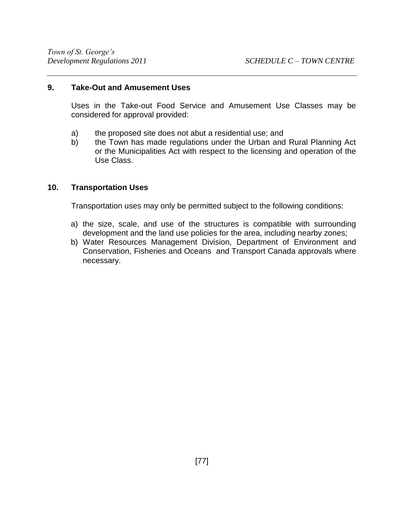#### **9. Take-Out and Amusement Uses**

Uses in the Take-out Food Service and Amusement Use Classes may be considered for approval provided:

- a) the proposed site does not abut a residential use; and
- b) the Town has made regulations under the Urban and Rural Planning Act or the Municipalities Act with respect to the licensing and operation of the Use Class.

### **10. Transportation Uses**

Transportation uses may only be permitted subject to the following conditions:

- a) the size, scale, and use of the structures is compatible with surrounding development and the land use policies for the area, including nearby zones;
- b) Water Resources Management Division, Department of Environment and Conservation, Fisheries and Oceans and Transport Canada approvals where necessary.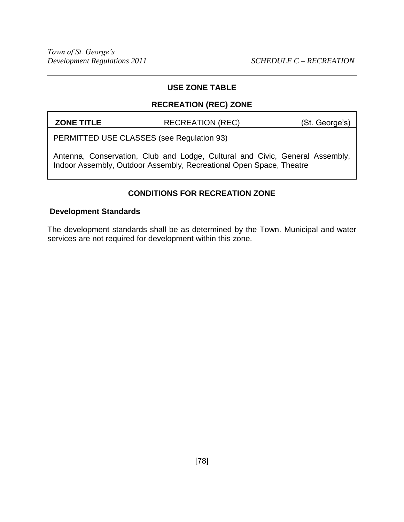## **RECREATION (REC) ZONE**

**ZONE TITLE** RECREATION (REC) (St. George's)

PERMITTED USE CLASSES (see Regulation 93)

Antenna, Conservation, Club and Lodge, Cultural and Civic, General Assembly, Indoor Assembly, Outdoor Assembly, Recreational Open Space, Theatre

# **CONDITIONS FOR RECREATION ZONE**

#### **Development Standards**

The development standards shall be as determined by the Town. Municipal and water services are not required for development within this zone.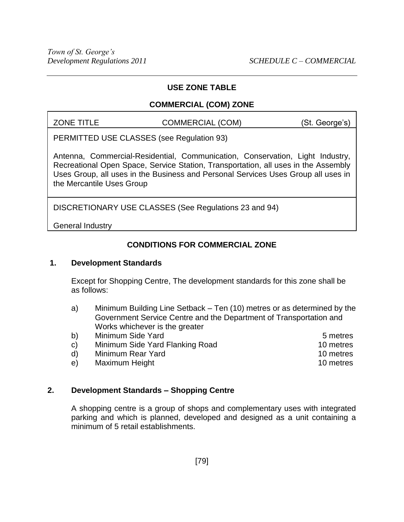## **COMMERCIAL (COM) ZONE**

ZONE TITLE COMMERCIAL (COM) (St. George's)

PERMITTED USE CLASSES (see Regulation 93)

Antenna, Commercial-Residential, Communication, Conservation, Light Industry, Recreational Open Space, Service Station, Transportation, all uses in the Assembly Uses Group, all uses in the Business and Personal Services Uses Group all uses in the Mercantile Uses Group

DISCRETIONARY USE CLASSES (See Regulations 23 and 94)

General Industry

# **CONDITIONS FOR COMMERCIAL ZONE**

### **1. Development Standards**

Except for Shopping Centre, The development standards for this zone shall be as follows:

- a) Minimum Building Line Setback Ten (10) metres or as determined by the Government Service Centre and the Department of Transportation and Works whichever is the greater
- b) Minimum Side Yard 5 metres
- c) Minimum Side Yard Flanking Road 10 metres
- d) Minimum Rear Yard 10 metres e) Maximum Height 10 metres

# **2. Development Standards – Shopping Centre**

A shopping centre is a group of shops and complementary uses with integrated parking and which is planned, developed and designed as a unit containing a minimum of 5 retail establishments.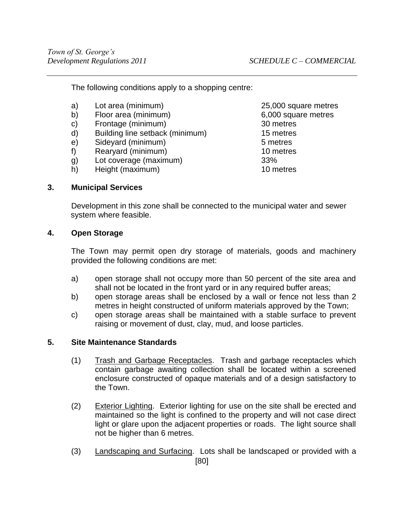The following conditions apply to a shopping centre:

- a) Lot area (minimum) 25,000 square metres
- b) Floor area (minimum) 6,000 square metres
- c) Frontage (minimum) 30 metres
- d) Building line setback (minimum) 15 metres
- e) Sidevard (minimum) 5 metres
- f) Rearyard (minimum) 10 metres
- g) Lot coverage (maximum) 33%
- h) Height (maximum) 10 metres

## **3. Municipal Services**

Development in this zone shall be connected to the municipal water and sewer system where feasible.

### **4. Open Storage**

The Town may permit open dry storage of materials, goods and machinery provided the following conditions are met:

- a) open storage shall not occupy more than 50 percent of the site area and shall not be located in the front yard or in any required buffer areas;
- b) open storage areas shall be enclosed by a wall or fence not less than 2 metres in height constructed of uniform materials approved by the Town;
- c) open storage areas shall be maintained with a stable surface to prevent raising or movement of dust, clay, mud, and loose particles.

### **5. Site Maintenance Standards**

- (1) Trash and Garbage Receptacles. Trash and garbage receptacles which contain garbage awaiting collection shall be located within a screened enclosure constructed of opaque materials and of a design satisfactory to the Town.
- (2) Exterior Lighting. Exterior lighting for use on the site shall be erected and maintained so the light is confined to the property and will not case direct light or glare upon the adjacent properties or roads. The light source shall not be higher than 6 metres.
- [80] (3) Landscaping and Surfacing. Lots shall be landscaped or provided with a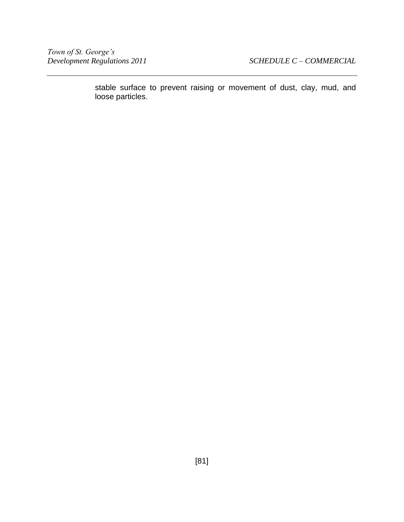stable surface to prevent raising or movement of dust, clay, mud, and loose particles.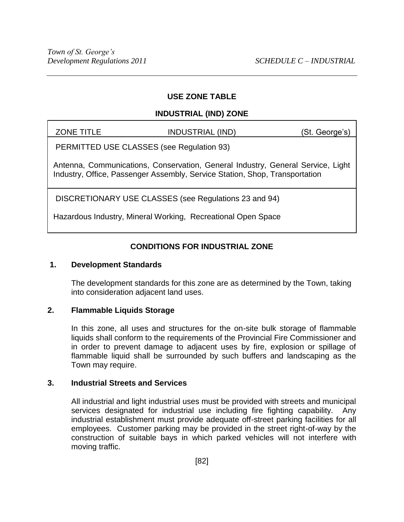# **INDUSTRIAL (IND) ZONE**

| <b>ZONE TITLE</b> | <b>INDUSTRIAL (IND)</b> |  | (St. George's) |  |  |
|-------------------|-------------------------|--|----------------|--|--|
|-------------------|-------------------------|--|----------------|--|--|

PERMITTED USE CLASSES (see Regulation 93)

Antenna, Communications, Conservation, General Industry, General Service, Light Industry, Office, Passenger Assembly, Service Station, Shop, Transportation

DISCRETIONARY USE CLASSES (see Regulations 23 and 94)

Hazardous Industry, Mineral Working, Recreational Open Space

# **CONDITIONS FOR INDUSTRIAL ZONE**

### **1. Development Standards**

The development standards for this zone are as determined by the Town, taking into consideration adjacent land uses.

# **2. Flammable Liquids Storage**

In this zone, all uses and structures for the on-site bulk storage of flammable liquids shall conform to the requirements of the Provincial Fire Commissioner and in order to prevent damage to adjacent uses by fire, explosion or spillage of flammable liquid shall be surrounded by such buffers and landscaping as the Town may require.

### **3. Industrial Streets and Services**

All industrial and light industrial uses must be provided with streets and municipal services designated for industrial use including fire fighting capability. Any industrial establishment must provide adequate off-street parking facilities for all employees. Customer parking may be provided in the street right-of-way by the construction of suitable bays in which parked vehicles will not interfere with moving traffic.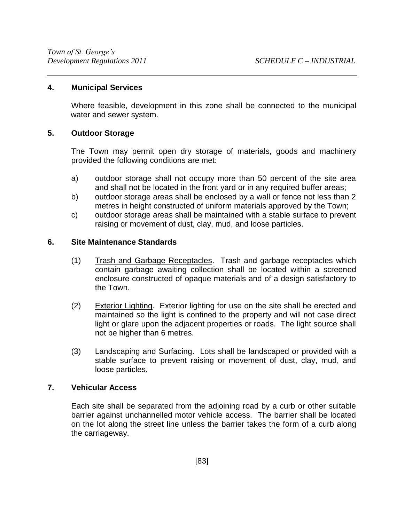### **4. Municipal Services**

Where feasible, development in this zone shall be connected to the municipal water and sewer system.

#### **5. Outdoor Storage**

The Town may permit open dry storage of materials, goods and machinery provided the following conditions are met:

- a) outdoor storage shall not occupy more than 50 percent of the site area and shall not be located in the front yard or in any required buffer areas;
- b) outdoor storage areas shall be enclosed by a wall or fence not less than 2 metres in height constructed of uniform materials approved by the Town;
- c) outdoor storage areas shall be maintained with a stable surface to prevent raising or movement of dust, clay, mud, and loose particles.

#### **6. Site Maintenance Standards**

- (1) Trash and Garbage Receptacles. Trash and garbage receptacles which contain garbage awaiting collection shall be located within a screened enclosure constructed of opaque materials and of a design satisfactory to the Town.
- (2) Exterior Lighting. Exterior lighting for use on the site shall be erected and maintained so the light is confined to the property and will not case direct light or glare upon the adjacent properties or roads. The light source shall not be higher than 6 metres.
- (3) Landscaping and Surfacing. Lots shall be landscaped or provided with a stable surface to prevent raising or movement of dust, clay, mud, and loose particles.

### **7. Vehicular Access**

Each site shall be separated from the adjoining road by a curb or other suitable barrier against unchannelled motor vehicle access. The barrier shall be located on the lot along the street line unless the barrier takes the form of a curb along the carriageway.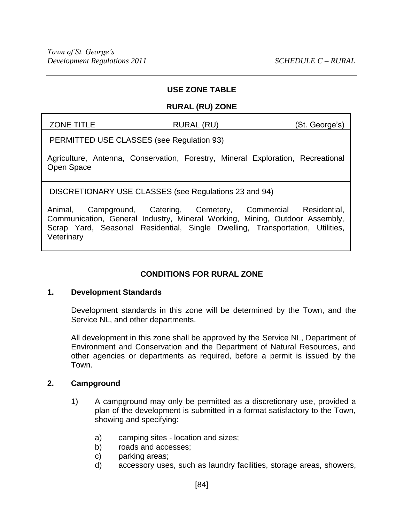#### **RURAL (RU) ZONE**

ZONE TITLE RURAL (RU) (St. George's)

PERMITTED USE CLASSES (see Regulation 93)

Agriculture, Antenna, Conservation, Forestry, Mineral Exploration, Recreational Open Space

DISCRETIONARY USE CLASSES (see Regulations 23 and 94)

Animal, Campground, Catering, Cemetery, Commercial Residential, Communication, General Industry, Mineral Working, Mining, Outdoor Assembly, Scrap Yard, Seasonal Residential, Single Dwelling, Transportation, Utilities, **Veterinary** 

# **CONDITIONS FOR RURAL ZONE**

### **1. Development Standards**

Development standards in this zone will be determined by the Town, and the Service NL, and other departments.

All development in this zone shall be approved by the Service NL, Department of Environment and Conservation and the Department of Natural Resources, and other agencies or departments as required, before a permit is issued by the Town.

### **2. Campground**

- 1) A campground may only be permitted as a discretionary use, provided a plan of the development is submitted in a format satisfactory to the Town, showing and specifying:
	- a) camping sites location and sizes;
	- b) roads and accesses;
	- c) parking areas;
	- d) accessory uses, such as laundry facilities, storage areas, showers,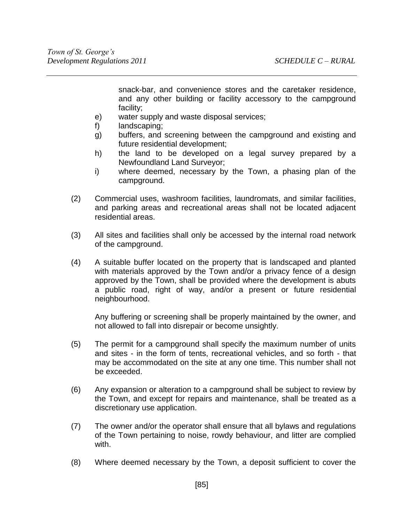snack-bar, and convenience stores and the caretaker residence, and any other building or facility accessory to the campground facility;

- e) water supply and waste disposal services;
- f) landscaping;
- g) buffers, and screening between the campground and existing and future residential development;
- h) the land to be developed on a legal survey prepared by a Newfoundland Land Surveyor;
- i) where deemed, necessary by the Town, a phasing plan of the campground.
- (2) Commercial uses, washroom facilities, laundromats, and similar facilities, and parking areas and recreational areas shall not be located adjacent residential areas.
- (3) All sites and facilities shall only be accessed by the internal road network of the campground.
- (4) A suitable buffer located on the property that is landscaped and planted with materials approved by the Town and/or a privacy fence of a design approved by the Town, shall be provided where the development is abuts a public road, right of way, and/or a present or future residential neighbourhood.

Any buffering or screening shall be properly maintained by the owner, and not allowed to fall into disrepair or become unsightly.

- (5) The permit for a campground shall specify the maximum number of units and sites - in the form of tents, recreational vehicles, and so forth - that may be accommodated on the site at any one time. This number shall not be exceeded.
- (6) Any expansion or alteration to a campground shall be subject to review by the Town, and except for repairs and maintenance, shall be treated as a discretionary use application.
- (7) The owner and/or the operator shall ensure that all bylaws and regulations of the Town pertaining to noise, rowdy behaviour, and litter are complied with.
- (8) Where deemed necessary by the Town, a deposit sufficient to cover the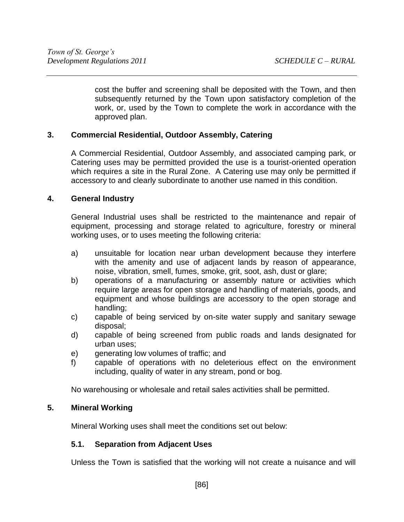cost the buffer and screening shall be deposited with the Town, and then subsequently returned by the Town upon satisfactory completion of the work, or, used by the Town to complete the work in accordance with the approved plan.

# **3. Commercial Residential, Outdoor Assembly, Catering**

A Commercial Residential, Outdoor Assembly, and associated camping park, or Catering uses may be permitted provided the use is a tourist-oriented operation which requires a site in the Rural Zone. A Catering use may only be permitted if accessory to and clearly subordinate to another use named in this condition.

### **4. General Industry**

General Industrial uses shall be restricted to the maintenance and repair of equipment, processing and storage related to agriculture, forestry or mineral working uses, or to uses meeting the following criteria:

- a) unsuitable for location near urban development because they interfere with the amenity and use of adjacent lands by reason of appearance, noise, vibration, smell, fumes, smoke, grit, soot, ash, dust or glare;
- b) operations of a manufacturing or assembly nature or activities which require large areas for open storage and handling of materials, goods, and equipment and whose buildings are accessory to the open storage and handling;
- c) capable of being serviced by on-site water supply and sanitary sewage disposal;
- d) capable of being screened from public roads and lands designated for urban uses;
- e) generating low volumes of traffic; and
- f) capable of operations with no deleterious effect on the environment including, quality of water in any stream, pond or bog.

No warehousing or wholesale and retail sales activities shall be permitted.

### **5. Mineral Working**

Mineral Working uses shall meet the conditions set out below:

### **5.1. Separation from Adjacent Uses**

Unless the Town is satisfied that the working will not create a nuisance and will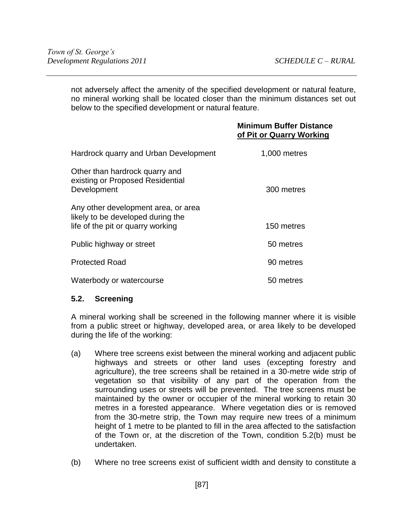not adversely affect the amenity of the specified development or natural feature, no mineral working shall be located closer than the minimum distances set out below to the specified development or natural feature.

## **Minimum Buffer Distance of Pit or Quarry Working**

| Hardrock quarry and Urban Development                                                                         | 1,000 metres |
|---------------------------------------------------------------------------------------------------------------|--------------|
| Other than hardrock quarry and<br>existing or Proposed Residential<br>Development                             | 300 metres   |
| Any other development area, or area<br>likely to be developed during the<br>life of the pit or quarry working | 150 metres   |
| Public highway or street                                                                                      | 50 metres    |
| <b>Protected Road</b>                                                                                         | 90 metres    |
| Waterbody or watercourse                                                                                      | 50 metres    |

# **5.2. Screening**

A mineral working shall be screened in the following manner where it is visible from a public street or highway, developed area, or area likely to be developed during the life of the working:

- (a) Where tree screens exist between the mineral working and adjacent public highways and streets or other land uses (excepting forestry and agriculture), the tree screens shall be retained in a 30-metre wide strip of vegetation so that visibility of any part of the operation from the surrounding uses or streets will be prevented. The tree screens must be maintained by the owner or occupier of the mineral working to retain 30 metres in a forested appearance. Where vegetation dies or is removed from the 30-metre strip, the Town may require new trees of a minimum height of 1 metre to be planted to fill in the area affected to the satisfaction of the Town or, at the discretion of the Town, condition 5.2(b) must be undertaken.
- (b) Where no tree screens exist of sufficient width and density to constitute a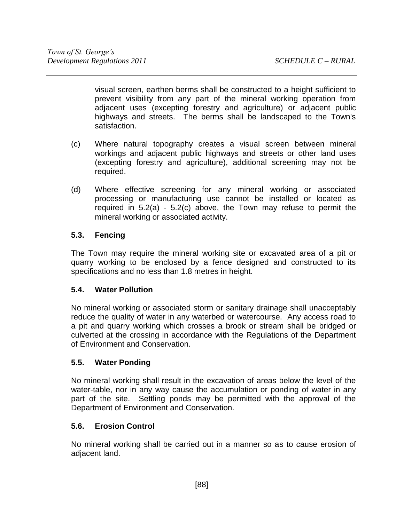visual screen, earthen berms shall be constructed to a height sufficient to prevent visibility from any part of the mineral working operation from adjacent uses (excepting forestry and agriculture) or adjacent public highways and streets. The berms shall be landscaped to the Town's satisfaction.

- (c) Where natural topography creates a visual screen between mineral workings and adjacent public highways and streets or other land uses (excepting forestry and agriculture), additional screening may not be required.
- (d) Where effective screening for any mineral working or associated processing or manufacturing use cannot be installed or located as required in 5.2(a) - 5.2(c) above, the Town may refuse to permit the mineral working or associated activity.

# **5.3. Fencing**

The Town may require the mineral working site or excavated area of a pit or quarry working to be enclosed by a fence designed and constructed to its specifications and no less than 1.8 metres in height.

# **5.4. Water Pollution**

No mineral working or associated storm or sanitary drainage shall unacceptably reduce the quality of water in any waterbed or watercourse. Any access road to a pit and quarry working which crosses a brook or stream shall be bridged or culverted at the crossing in accordance with the Regulations of the Department of Environment and Conservation.

# **5.5. Water Ponding**

No mineral working shall result in the excavation of areas below the level of the water-table, nor in any way cause the accumulation or ponding of water in any part of the site. Settling ponds may be permitted with the approval of the Department of Environment and Conservation.

# **5.6. Erosion Control**

No mineral working shall be carried out in a manner so as to cause erosion of adjacent land.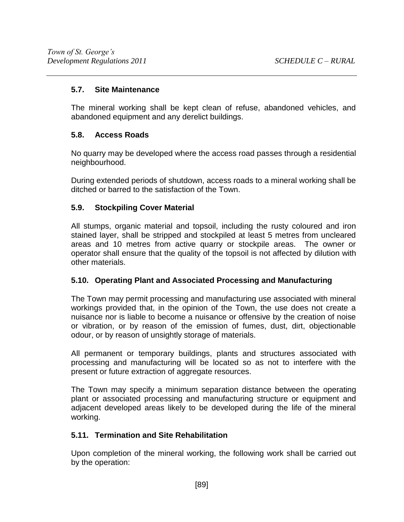# **5.7. Site Maintenance**

The mineral working shall be kept clean of refuse, abandoned vehicles, and abandoned equipment and any derelict buildings.

# **5.8. Access Roads**

No quarry may be developed where the access road passes through a residential neighbourhood.

During extended periods of shutdown, access roads to a mineral working shall be ditched or barred to the satisfaction of the Town.

# **5.9. Stockpiling Cover Material**

All stumps, organic material and topsoil, including the rusty coloured and iron stained layer, shall be stripped and stockpiled at least 5 metres from uncleared areas and 10 metres from active quarry or stockpile areas. The owner or operator shall ensure that the quality of the topsoil is not affected by dilution with other materials.

# **5.10. Operating Plant and Associated Processing and Manufacturing**

The Town may permit processing and manufacturing use associated with mineral workings provided that, in the opinion of the Town, the use does not create a nuisance nor is liable to become a nuisance or offensive by the creation of noise or vibration, or by reason of the emission of fumes, dust, dirt, objectionable odour, or by reason of unsightly storage of materials.

All permanent or temporary buildings, plants and structures associated with processing and manufacturing will be located so as not to interfere with the present or future extraction of aggregate resources.

The Town may specify a minimum separation distance between the operating plant or associated processing and manufacturing structure or equipment and adjacent developed areas likely to be developed during the life of the mineral working.

# **5.11. Termination and Site Rehabilitation**

Upon completion of the mineral working, the following work shall be carried out by the operation: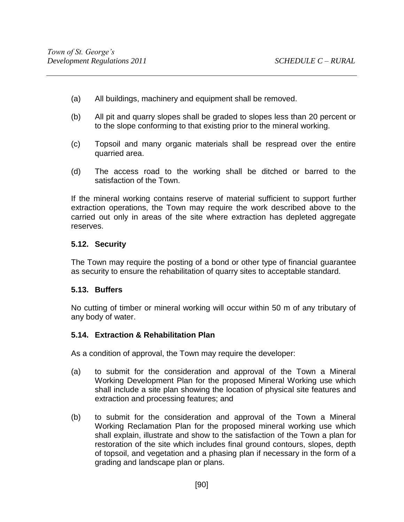- (a) All buildings, machinery and equipment shall be removed.
- (b) All pit and quarry slopes shall be graded to slopes less than 20 percent or to the slope conforming to that existing prior to the mineral working.
- (c) Topsoil and many organic materials shall be respread over the entire quarried area.
- (d) The access road to the working shall be ditched or barred to the satisfaction of the Town.

If the mineral working contains reserve of material sufficient to support further extraction operations, the Town may require the work described above to the carried out only in areas of the site where extraction has depleted aggregate reserves.

## **5.12. Security**

The Town may require the posting of a bond or other type of financial guarantee as security to ensure the rehabilitation of quarry sites to acceptable standard.

### **5.13. Buffers**

No cutting of timber or mineral working will occur within 50 m of any tributary of any body of water.

### **5.14. Extraction & Rehabilitation Plan**

As a condition of approval, the Town may require the developer:

- (a) to submit for the consideration and approval of the Town a Mineral Working Development Plan for the proposed Mineral Working use which shall include a site plan showing the location of physical site features and extraction and processing features; and
- (b) to submit for the consideration and approval of the Town a Mineral Working Reclamation Plan for the proposed mineral working use which shall explain, illustrate and show to the satisfaction of the Town a plan for restoration of the site which includes final ground contours, slopes, depth of topsoil, and vegetation and a phasing plan if necessary in the form of a grading and landscape plan or plans.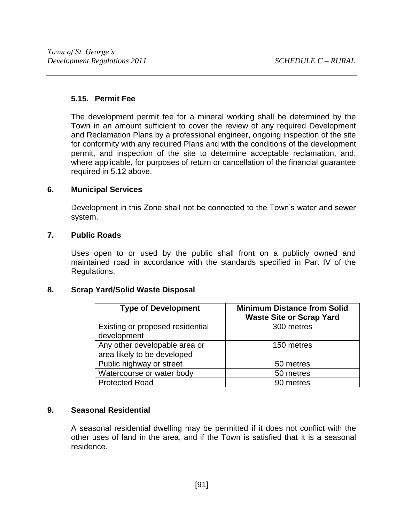### **5.15. Permit Fee**

The development permit fee for a mineral working shall be determined by the Town in an amount sufficient to cover the review of any required Development and Reclamation Plans by a professional engineer, ongoing inspection of the site for conformity with any required Plans and with the conditions of the development permit, and inspection of the site to determine acceptable reclamation, and, where applicable, for purposes of return or cancellation of the financial guarantee required in 5.12 above.

## **6. Municipal Services**

Development in this Zone shall not be connected to the Town's water and sewer system.

### **7. Public Roads**

Uses open to or used by the public shall front on a publicly owned and maintained road in accordance with the standards specified in Part IV of the Regulations.

### **8. Scrap Yard/Solid Waste Disposal**

| <b>Type of Development</b>                                   | <b>Minimum Distance from Solid</b><br><b>Waste Site or Scrap Yard</b> |
|--------------------------------------------------------------|-----------------------------------------------------------------------|
| Existing or proposed residential<br>development              | 300 metres                                                            |
| Any other developable area or<br>area likely to be developed | 150 metres                                                            |
| Public highway or street                                     | 50 metres                                                             |
| Watercourse or water body                                    | 50 metres                                                             |
| <b>Protected Road</b>                                        | 90 metres                                                             |

# **9. Seasonal Residential**

A seasonal residential dwelling may be permitted if it does not conflict with the other uses of land in the area, and if the Town is satisfied that it is a seasonal residence.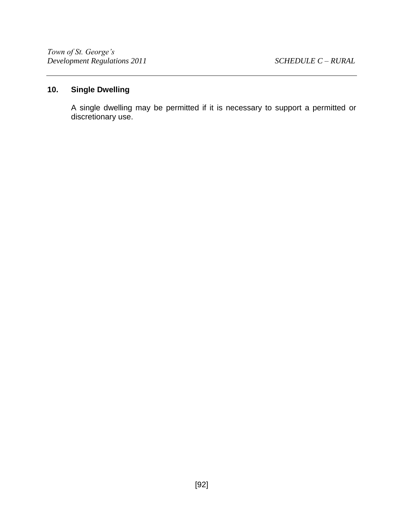# **10. Single Dwelling**

A single dwelling may be permitted if it is necessary to support a permitted or discretionary use.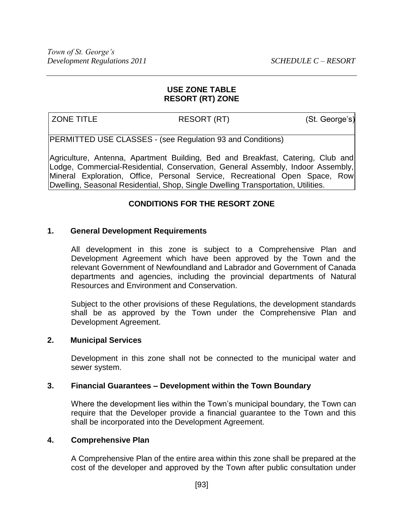### **USE ZONE TABLE RESORT (RT) ZONE**

ZONE TITLE RESORT (RT) (St. George's)

PERMITTED USE CLASSES - (see Regulation 93 and Conditions)

Agriculture, Antenna, Apartment Building, Bed and Breakfast, Catering, Club and Lodge, Commercial-Residential, Conservation, General Assembly, Indoor Assembly, Mineral Exploration, Office, Personal Service, Recreational Open Space, Row Dwelling, Seasonal Residential, Shop, Single Dwelling Transportation, Utilities.

# **CONDITIONS FOR THE RESORT ZONE**

## **1. General Development Requirements**

All development in this zone is subject to a Comprehensive Plan and Development Agreement which have been approved by the Town and the relevant Government of Newfoundland and Labrador and Government of Canada departments and agencies, including the provincial departments of Natural Resources and Environment and Conservation.

Subject to the other provisions of these Regulations, the development standards shall be as approved by the Town under the Comprehensive Plan and Development Agreement.

### **2. Municipal Services**

Development in this zone shall not be connected to the municipal water and sewer system.

### **3. Financial Guarantees – Development within the Town Boundary**

Where the development lies within the Town's municipal boundary, the Town can require that the Developer provide a financial guarantee to the Town and this shall be incorporated into the Development Agreement.

#### **4. Comprehensive Plan**

A Comprehensive Plan of the entire area within this zone shall be prepared at the cost of the developer and approved by the Town after public consultation under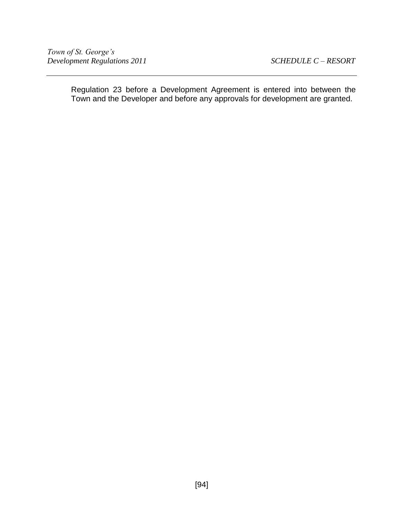Regulation 23 before a Development Agreement is entered into between the Town and the Developer and before any approvals for development are granted.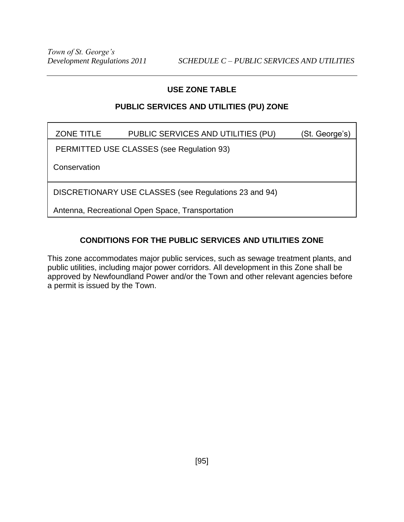# **PUBLIC SERVICES AND UTILITIES (PU) ZONE**

| <b>ZONE TITLE</b> | PUBLIC SERVICES AND UTILITIES (PU) | (St. George's) |
|-------------------|------------------------------------|----------------|
|-------------------|------------------------------------|----------------|

PERMITTED USE CLASSES (see Regulation 93)

**Conservation** 

DISCRETIONARY USE CLASSES (see Regulations 23 and 94)

Antenna, Recreational Open Space, Transportation

# **CONDITIONS FOR THE PUBLIC SERVICES AND UTILITIES ZONE**

This zone accommodates major public services, such as sewage treatment plants, and public utilities, including major power corridors. All development in this Zone shall be approved by Newfoundland Power and/or the Town and other relevant agencies before a permit is issued by the Town.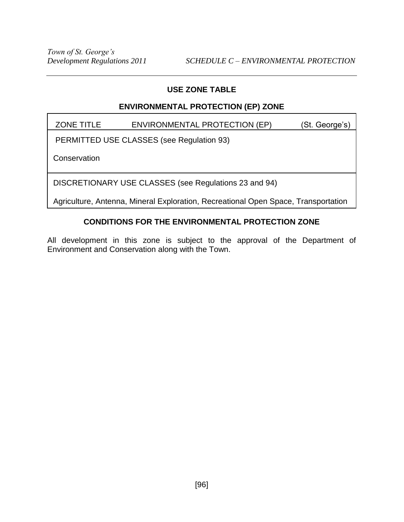# **ENVIRONMENTAL PROTECTION (EP) ZONE**

ZONE TITLE ENVIRONMENTAL PROTECTION (EP) (St. George's)

PERMITTED USE CLASSES (see Regulation 93)

**Conservation** 

DISCRETIONARY USE CLASSES (see Regulations 23 and 94)

Agriculture, Antenna, Mineral Exploration, Recreational Open Space, Transportation

# **CONDITIONS FOR THE ENVIRONMENTAL PROTECTION ZONE**

All development in this zone is subject to the approval of the Department of Environment and Conservation along with the Town.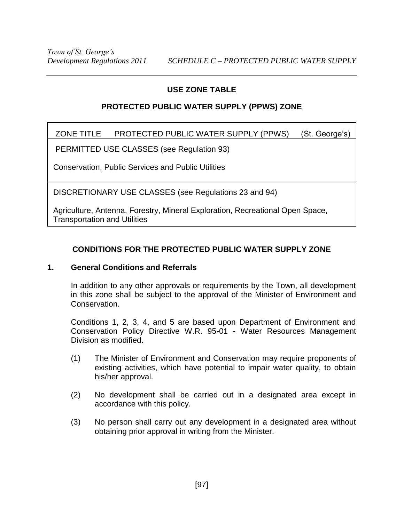# **PROTECTED PUBLIC WATER SUPPLY (PPWS) ZONE**

# ZONE TITLE PROTECTED PUBLIC WATER SUPPLY (PPWS) (St. George's)

PERMITTED USE CLASSES (see Regulation 93)

Conservation, Public Services and Public Utilities

DISCRETIONARY USE CLASSES (see Regulations 23 and 94)

Agriculture, Antenna, Forestry, Mineral Exploration, Recreational Open Space, Transportation and Utilities

# **CONDITIONS FOR THE PROTECTED PUBLIC WATER SUPPLY ZONE**

### **1. General Conditions and Referrals**

In addition to any other approvals or requirements by the Town, all development in this zone shall be subject to the approval of the Minister of Environment and Conservation.

Conditions 1, 2, 3, 4, and 5 are based upon Department of Environment and Conservation Policy Directive W.R. 95-01 - Water Resources Management Division as modified.

- (1) The Minister of Environment and Conservation may require proponents of existing activities, which have potential to impair water quality, to obtain his/her approval.
- (2) No development shall be carried out in a designated area except in accordance with this policy.
- (3) No person shall carry out any development in a designated area without obtaining prior approval in writing from the Minister.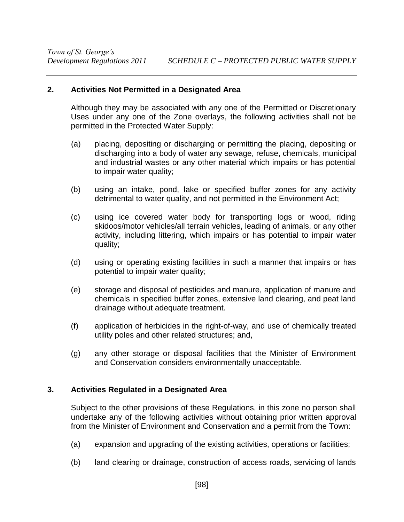### **2. Activities Not Permitted in a Designated Area**

Although they may be associated with any one of the Permitted or Discretionary Uses under any one of the Zone overlays, the following activities shall not be permitted in the Protected Water Supply:

- (a) placing, depositing or discharging or permitting the placing, depositing or discharging into a body of water any sewage, refuse, chemicals, municipal and industrial wastes or any other material which impairs or has potential to impair water quality;
- (b) using an intake, pond, lake or specified buffer zones for any activity detrimental to water quality, and not permitted in the Environment Act;
- (c) using ice covered water body for transporting logs or wood, riding skidoos/motor vehicles/all terrain vehicles, leading of animals, or any other activity, including littering, which impairs or has potential to impair water quality;
- (d) using or operating existing facilities in such a manner that impairs or has potential to impair water quality;
- (e) storage and disposal of pesticides and manure, application of manure and chemicals in specified buffer zones, extensive land clearing, and peat land drainage without adequate treatment.
- (f) application of herbicides in the right-of-way, and use of chemically treated utility poles and other related structures; and,
- (g) any other storage or disposal facilities that the Minister of Environment and Conservation considers environmentally unacceptable.

### **3. Activities Regulated in a Designated Area**

Subject to the other provisions of these Regulations, in this zone no person shall undertake any of the following activities without obtaining prior written approval from the Minister of Environment and Conservation and a permit from the Town:

- (a) expansion and upgrading of the existing activities, operations or facilities;
- (b) land clearing or drainage, construction of access roads, servicing of lands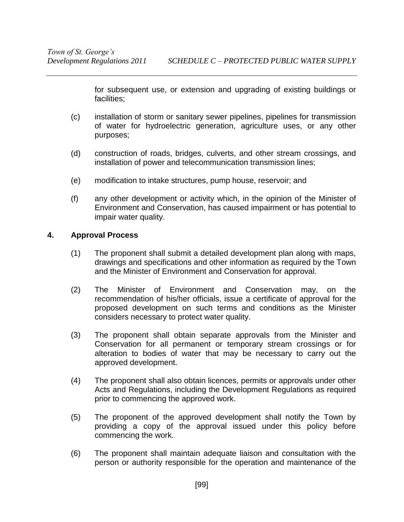for subsequent use, or extension and upgrading of existing buildings or facilities;

- (c) installation of storm or sanitary sewer pipelines, pipelines for transmission of water for hydroelectric generation, agriculture uses, or any other purposes;
- (d) construction of roads, bridges, culverts, and other stream crossings, and installation of power and telecommunication transmission lines;
- (e) modification to intake structures, pump house, reservoir; and
- (f) any other development or activity which, in the opinion of the Minister of Environment and Conservation, has caused impairment or has potential to impair water quality.

### **4. Approval Process**

- (1) The proponent shall submit a detailed development plan along with maps, drawings and specifications and other information as required by the Town and the Minister of Environment and Conservation for approval.
- (2) The Minister of Environment and Conservation may, on the recommendation of his/her officials, issue a certificate of approval for the proposed development on such terms and conditions as the Minister considers necessary to protect water quality.
- (3) The proponent shall obtain separate approvals from the Minister and Conservation for all permanent or temporary stream crossings or for alteration to bodies of water that may be necessary to carry out the approved development.
- (4) The proponent shall also obtain licences, permits or approvals under other Acts and Regulations, including the Development Regulations as required prior to commencing the approved work.
- (5) The proponent of the approved development shall notify the Town by providing a copy of the approval issued under this policy before commencing the work.
- (6) The proponent shall maintain adequate liaison and consultation with the person or authority responsible for the operation and maintenance of the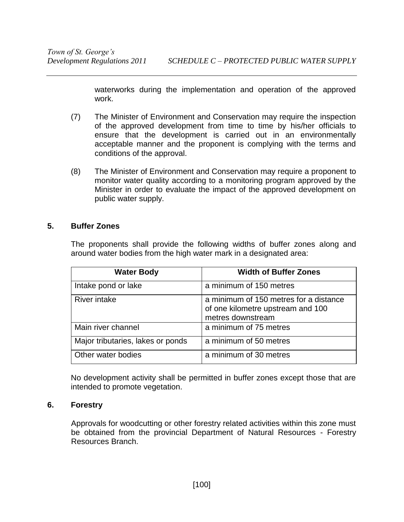waterworks during the implementation and operation of the approved work.

- (7) The Minister of Environment and Conservation may require the inspection of the approved development from time to time by his/her officials to ensure that the development is carried out in an environmentally acceptable manner and the proponent is complying with the terms and conditions of the approval.
- (8) The Minister of Environment and Conservation may require a proponent to monitor water quality according to a monitoring program approved by the Minister in order to evaluate the impact of the approved development on public water supply.

### **5. Buffer Zones**

The proponents shall provide the following widths of buffer zones along and around water bodies from the high water mark in a designated area:

| <b>Water Body</b>                 | <b>Width of Buffer Zones</b>                                                                     |
|-----------------------------------|--------------------------------------------------------------------------------------------------|
| Intake pond or lake               | a minimum of 150 metres                                                                          |
| <b>River intake</b>               | a minimum of 150 metres for a distance<br>of one kilometre upstream and 100<br>metres downstream |
| Main river channel                | a minimum of 75 metres                                                                           |
| Major tributaries, lakes or ponds | a minimum of 50 metres                                                                           |
| Other water bodies                | a minimum of 30 metres                                                                           |

No development activity shall be permitted in buffer zones except those that are intended to promote vegetation.

#### **6. Forestry**

Approvals for woodcutting or other forestry related activities within this zone must be obtained from the provincial Department of Natural Resources - Forestry Resources Branch.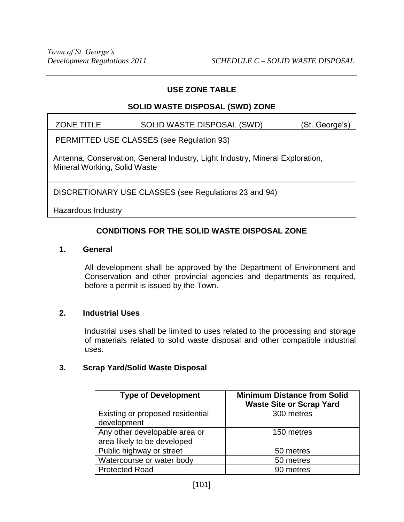# **SOLID WASTE DISPOSAL (SWD) ZONE**

| <b>ZONE TITLE</b> | SOLID WASTE DISPOSAL (SWD) | (St. George's) |
|-------------------|----------------------------|----------------|
|                   |                            |                |

PERMITTED USE CLASSES (see Regulation 93)

Antenna, Conservation, General Industry, Light Industry, Mineral Exploration, Mineral Working, Solid Waste

DISCRETIONARY USE CLASSES (see Regulations 23 and 94)

Hazardous Industry

# **CONDITIONS FOR THE SOLID WASTE DISPOSAL ZONE**

#### **1. General**

All development shall be approved by the Department of Environment and Conservation and other provincial agencies and departments as required, before a permit is issued by the Town.

## **2. Industrial Uses**

Industrial uses shall be limited to uses related to the processing and storage of materials related to solid waste disposal and other compatible industrial uses.

### **3. Scrap Yard/Solid Waste Disposal**

| <b>Type of Development</b>                                   | <b>Minimum Distance from Solid</b><br><b>Waste Site or Scrap Yard</b> |
|--------------------------------------------------------------|-----------------------------------------------------------------------|
| Existing or proposed residential<br>development              | 300 metres                                                            |
| Any other developable area or<br>area likely to be developed | 150 metres                                                            |
| Public highway or street                                     | 50 metres                                                             |
| Watercourse or water body                                    | 50 metres                                                             |
| <b>Protected Road</b>                                        | 90 metres                                                             |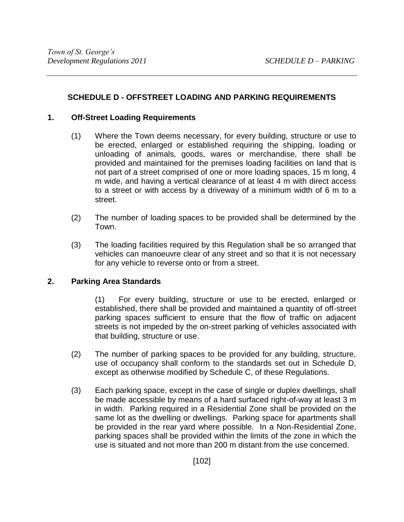# **SCHEDULE D - OFFSTREET LOADING AND PARKING REQUIREMENTS**

# **1. Off-Street Loading Requirements**

- (1) Where the Town deems necessary, for every building, structure or use to be erected, enlarged or established requiring the shipping, loading or unloading of animals, goods, wares or merchandise, there shall be provided and maintained for the premises loading facilities on land that is not part of a street comprised of one or more loading spaces, 15 m long, 4 m wide, and having a vertical clearance of at least 4 m with direct access to a street or with access by a driveway of a minimum width of 6 m to a street.
- (2) The number of loading spaces to be provided shall be determined by the Town.
- (3) The loading facilities required by this Regulation shall be so arranged that vehicles can manoeuvre clear of any street and so that it is not necessary for any vehicle to reverse onto or from a street.

# **2. Parking Area Standards**

(1) For every building, structure or use to be erected, enlarged or established, there shall be provided and maintained a quantity of off-street parking spaces sufficient to ensure that the flow of traffic on adjacent streets is not impeded by the on-street parking of vehicles associated with that building, structure or use.

- (2) The number of parking spaces to be provided for any building, structure, use of occupancy shall conform to the standards set out in Schedule D, except as otherwise modified by Schedule C, of these Regulations.
- (3) Each parking space, except in the case of single or duplex dwellings, shall be made accessible by means of a hard surfaced right-of-way at least 3 m in width. Parking required in a Residential Zone shall be provided on the same lot as the dwelling or dwellings. Parking space for apartments shall be provided in the rear yard where possible. In a Non-Residential Zone, parking spaces shall be provided within the limits of the zone in which the use is situated and not more than 200 m distant from the use concerned.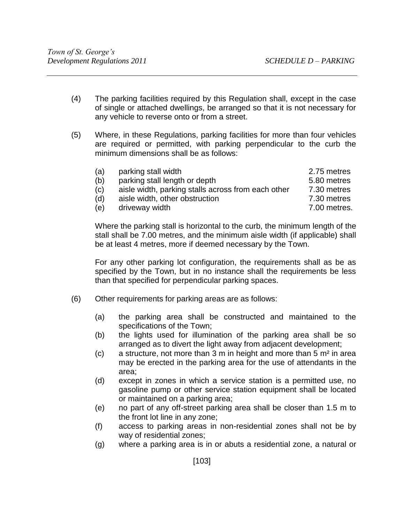- (4) The parking facilities required by this Regulation shall, except in the case of single or attached dwellings, be arranged so that it is not necessary for any vehicle to reverse onto or from a street.
- (5) Where, in these Regulations, parking facilities for more than four vehicles are required or permitted, with parking perpendicular to the curb the minimum dimensions shall be as follows:

| (a) | parking stall width                                | 2.75 metres  |
|-----|----------------------------------------------------|--------------|
| (b) | parking stall length or depth                      | 5.80 metres  |
| (c) | aisle width, parking stalls across from each other | 7.30 metres  |
| (d) | aisle width, other obstruction                     | 7.30 metres  |
| (e) | driveway width                                     | 7.00 metres. |

Where the parking stall is horizontal to the curb, the minimum length of the stall shall be 7.00 metres, and the minimum aisle width (if applicable) shall be at least 4 metres, more if deemed necessary by the Town.

For any other parking lot configuration, the requirements shall as be as specified by the Town, but in no instance shall the requirements be less than that specified for perpendicular parking spaces.

- (6) Other requirements for parking areas are as follows:
	- (a) the parking area shall be constructed and maintained to the specifications of the Town;
	- (b) the lights used for illumination of the parking area shall be so arranged as to divert the light away from adjacent development;
	- (c) a structure, not more than  $\overline{3}$  m in height and more than  $\overline{5}$  m<sup>2</sup> in area may be erected in the parking area for the use of attendants in the area;
	- (d) except in zones in which a service station is a permitted use, no gasoline pump or other service station equipment shall be located or maintained on a parking area;
	- (e) no part of any off-street parking area shall be closer than 1.5 m to the front lot line in any zone;
	- (f) access to parking areas in non-residential zones shall not be by way of residential zones;
	- (g) where a parking area is in or abuts a residential zone, a natural or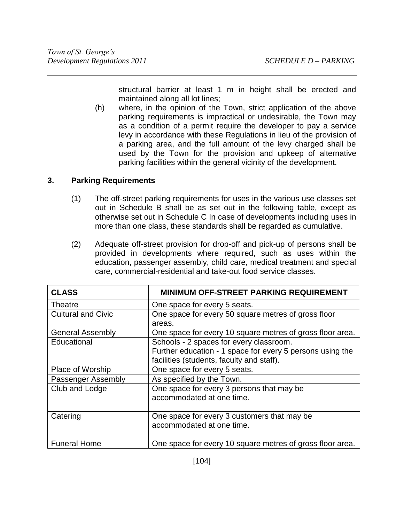structural barrier at least 1 m in height shall be erected and maintained along all lot lines;

(h) where, in the opinion of the Town, strict application of the above parking requirements is impractical or undesirable, the Town may as a condition of a permit require the developer to pay a service levy in accordance with these Regulations in lieu of the provision of a parking area, and the full amount of the levy charged shall be used by the Town for the provision and upkeep of alternative parking facilities within the general vicinity of the development.

## **3. Parking Requirements**

- (1) The off-street parking requirements for uses in the various use classes set out in Schedule B shall be as set out in the following table, except as otherwise set out in Schedule C In case of developments including uses in more than one class, these standards shall be regarded as cumulative.
- (2) Adequate off-street provision for drop-off and pick-up of persons shall be provided in developments where required, such as uses within the education, passenger assembly, child care, medical treatment and special care, commercial-residential and take-out food service classes.

| <b>CLASS</b>              | <b>MINIMUM OFF-STREET PARKING REQUIREMENT</b>             |
|---------------------------|-----------------------------------------------------------|
| Theatre                   | One space for every 5 seats.                              |
| <b>Cultural and Civic</b> | One space for every 50 square metres of gross floor       |
|                           | areas.                                                    |
| <b>General Assembly</b>   | One space for every 10 square metres of gross floor area. |
| Educational               | Schools - 2 spaces for every classroom.                   |
|                           | Further education - 1 space for every 5 persons using the |
|                           | facilities (students, faculty and staff).                 |
| Place of Worship          | One space for every 5 seats.                              |
| Passenger Assembly        | As specified by the Town.                                 |
| Club and Lodge            | One space for every 3 persons that may be                 |
|                           | accommodated at one time.                                 |
|                           |                                                           |
| Catering                  | One space for every 3 customers that may be               |
|                           | accommodated at one time.                                 |
|                           |                                                           |
| <b>Funeral Home</b>       | One space for every 10 square metres of gross floor area. |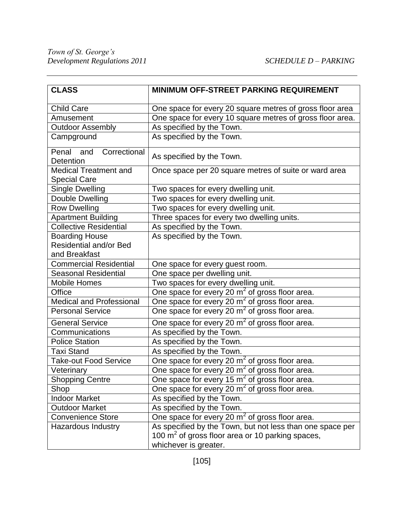| <b>CLASS</b>                                        | <b>MINIMUM OFF-STREET PARKING REQUIREMENT</b>                |
|-----------------------------------------------------|--------------------------------------------------------------|
| <b>Child Care</b>                                   | One space for every 20 square metres of gross floor area     |
| Amusement                                           | One space for every 10 square metres of gross floor area.    |
| <b>Outdoor Assembly</b>                             | As specified by the Town.                                    |
| Campground                                          | As specified by the Town.                                    |
| and<br>Correctional<br>Penal<br>Detention           | As specified by the Town.                                    |
| <b>Medical Treatment and</b><br><b>Special Care</b> | Once space per 20 square metres of suite or ward area        |
| <b>Single Dwelling</b>                              | Two spaces for every dwelling unit.                          |
| Double Dwelling                                     | Two spaces for every dwelling unit.                          |
| <b>Row Dwelling</b>                                 | Two spaces for every dwelling unit.                          |
| <b>Apartment Building</b>                           | Three spaces for every two dwelling units.                   |
| <b>Collective Residential</b>                       | As specified by the Town.                                    |
| <b>Boarding House</b>                               | As specified by the Town.                                    |
| <b>Residential and/or Bed</b>                       |                                                              |
| and Breakfast                                       |                                                              |
| <b>Commercial Residential</b>                       | One space for every guest room.                              |
| <b>Seasonal Residential</b>                         | One space per dwelling unit.                                 |
| <b>Mobile Homes</b>                                 | Two spaces for every dwelling unit.                          |
| Office                                              | One space for every 20 $m2$ of gross floor area.             |
| <b>Medical and Professional</b>                     | One space for every 20 $m2$ of gross floor area.             |
| <b>Personal Service</b>                             | One space for every 20 m <sup>2</sup> of gross floor area.   |
| <b>General Service</b>                              | One space for every 20 m <sup>2</sup> of gross floor area.   |
| Communications                                      | As specified by the Town.                                    |
| <b>Police Station</b>                               | As specified by the Town.                                    |
| <b>Taxi Stand</b>                                   | As specified by the Town.                                    |
| <b>Take-out Food Service</b>                        | One space for every 20 m <sup>2</sup> of gross floor area.   |
| Veterinary                                          | One space for every 20 m <sup>2</sup> of gross floor area.   |
| <b>Shopping Centre</b>                              | One space for every 15 m <sup>2</sup> of gross floor area.   |
| Shop                                                | One space for every 20 m <sup>2</sup> of gross floor area.   |
| <b>Indoor Market</b>                                | As specified by the Town.                                    |
| <b>Outdoor Market</b>                               | As specified by the Town.                                    |
| <b>Convenience Store</b>                            | One space for every 20 m <sup>2</sup> of gross floor area.   |
| Hazardous Industry                                  | As specified by the Town, but not less than one space per    |
|                                                     | 100 m <sup>2</sup> of gross floor area or 10 parking spaces, |
|                                                     | whichever is greater.                                        |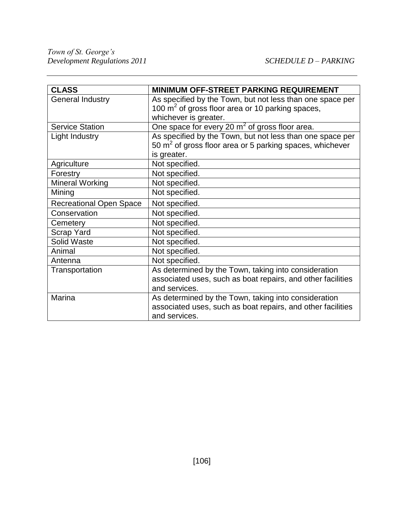| <b>CLASS</b>                   | <b>MINIMUM OFF-STREET PARKING REQUIREMENT</b>                        |
|--------------------------------|----------------------------------------------------------------------|
| <b>General Industry</b>        | As specified by the Town, but not less than one space per            |
|                                | 100 $m2$ of gross floor area or 10 parking spaces,                   |
|                                | whichever is greater.                                                |
| <b>Service Station</b>         | One space for every 20 $m2$ of gross floor area.                     |
| Light Industry                 | As specified by the Town, but not less than one space per            |
|                                | 50 m <sup>2</sup> of gross floor area or 5 parking spaces, whichever |
|                                | is greater.                                                          |
| Agriculture                    | Not specified.                                                       |
| Forestry                       | Not specified.                                                       |
| <b>Mineral Working</b>         | Not specified.                                                       |
| Mining                         | Not specified.                                                       |
| <b>Recreational Open Space</b> | Not specified.                                                       |
| Conservation                   | Not specified.                                                       |
| Cemetery                       | Not specified.                                                       |
| <b>Scrap Yard</b>              | Not specified.                                                       |
| <b>Solid Waste</b>             | Not specified.                                                       |
| Animal                         | Not specified.                                                       |
| Antenna                        | Not specified.                                                       |
| Transportation                 | As determined by the Town, taking into consideration                 |
|                                | associated uses, such as boat repairs, and other facilities          |
|                                | and services.                                                        |
| Marina                         | As determined by the Town, taking into consideration                 |
|                                | associated uses, such as boat repairs, and other facilities          |
|                                | and services.                                                        |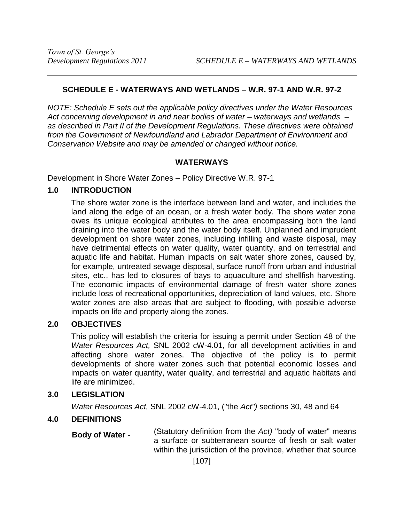# **SCHEDULE E - WATERWAYS AND WETLANDS – W.R. 97-1 AND W.R. 97-2**

*NOTE: Schedule E sets out the applicable policy directives under the Water Resources Act concerning development in and near bodies of water – waterways and wetlands – as described in Part II of the Development Regulations. These directives were obtained from the Government of Newfoundland and Labrador Department of Environment and Conservation Website and may be amended or changed without notice.*

#### **WATERWAYS**

Development in Shore Water Zones – Policy Directive W.R. 97-1

## **1.0 INTRODUCTION**

The shore water zone is the interface between land and water, and includes the land along the edge of an ocean, or a fresh water body. The shore water zone owes its unique ecological attributes to the area encompassing both the land draining into the water body and the water body itself. Unplanned and imprudent development on shore water zones, including infilling and waste disposal, may have detrimental effects on water quality, water quantity, and on terrestrial and aquatic life and habitat. Human impacts on salt water shore zones, caused by, for example, untreated sewage disposal, surface runoff from urban and industrial sites, etc., has led to closures of bays to aquaculture and shellfish harvesting. The economic impacts of environmental damage of fresh water shore zones include loss of recreational opportunities, depreciation of land values, etc. Shore water zones are also areas that are subject to flooding, with possible adverse impacts on life and property along the zones.

## **2.0 OBJECTIVES**

This policy will establish the criteria for issuing a permit under Section 48 of the *Water Resources Act,* SNL 2002 cW-4.01, for all development activities in and affecting shore water zones. The objective of the policy is to permit developments of shore water zones such that potential economic losses and impacts on water quantity, water quality, and terrestrial and aquatic habitats and life are minimized.

## **3.0 LEGISLATION**

*Water Resources Act,* SNL 2002 cW-4.01, ("the *Act")* sections 30, 48 and 64

## **4.0 DEFINITIONS**

 **Body of Water** - (Statutory definition from the *Act)* "body of water" means a surface or subterranean source of fresh or salt water within the jurisdiction of the province, whether that source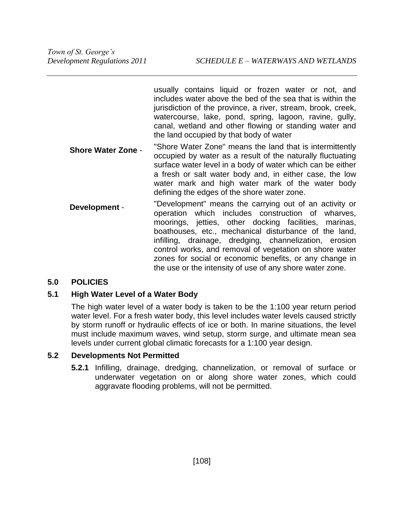usually contains liquid or frozen water or not, and includes water above the bed of the sea that is within the jurisdiction of the province, a river, stream, brook, creek, watercourse, lake, pond, spring, lagoon, ravine, gully, canal, wetland and other flowing or standing water and the land occupied by that body of water

- **Shore Water Zone** "Shore Water Zone" means the land that is intermittently occupied by water as a result of the naturally fluctuating surface water level in a body of water which can be either a fresh or salt water body and, in either case, the low water mark and high water mark of the water body defining the edges of the shore water zone.
- **Development** "Development" means the carrying out of an activity or operation which includes construction of wharves, moorings, jetties, other docking facilities, marinas, boathouses, etc., mechanical disturbance of the land, infilling, drainage, dredging, channelization, erosion control works, and removal of vegetation on shore water zones for social or economic benefits, or any change in the use or the intensity of use of any shore water zone.

## **5.0 POLICIES**

## **5.1 High Water Level of a Water Body**

The high water level of a water body is taken to be the 1:100 year return period water level. For a fresh water body, this level includes water levels caused strictly by storm runoff or hydraulic effects of ice or both. In marine situations, the level must include maximum waves, wind setup, storm surge, and ultimate mean sea levels under current global climatic forecasts for a 1:100 year design.

## **5.2 Developments Not Permitted**

**5.2.1** Infilling, drainage, dredging, channelization, or removal of surface or underwater vegetation on or along shore water zones, which could aggravate flooding problems, will not be permitted.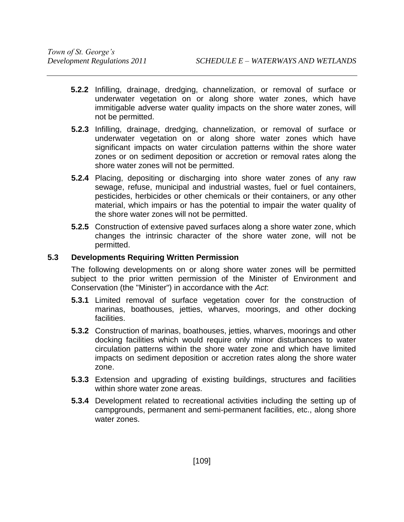- **5.2.2** Infilling, drainage, dredging, channelization, or removal of surface or underwater vegetation on or along shore water zones, which have immitigable adverse water quality impacts on the shore water zones, will not be permitted.
- **5.2.3** Infilling, drainage, dredging, channelization, or removal of surface or underwater vegetation on or along shore water zones which have significant impacts on water circulation patterns within the shore water zones or on sediment deposition or accretion or removal rates along the shore water zones will not be permitted.
- **5.2.4** Placing, depositing or discharging into shore water zones of any raw sewage, refuse, municipal and industrial wastes, fuel or fuel containers, pesticides, herbicides or other chemicals or their containers, or any other material, which impairs or has the potential to impair the water quality of the shore water zones will not be permitted.
- **5.2.5** Construction of extensive paved surfaces along a shore water zone, which changes the intrinsic character of the shore water zone, will not be permitted.

## **5.3 Developments Requiring Written Permission**

The following developments on or along shore water zones will be permitted subject to the prior written permission of the Minister of Environment and Conservation (the "Minister") in accordance with the *Act*:

- **5.3.1** Limited removal of surface vegetation cover for the construction of marinas, boathouses, jetties, wharves, moorings, and other docking facilities.
- **5.3.2** Construction of marinas, boathouses, jetties, wharves, moorings and other docking facilities which would require only minor disturbances to water circulation patterns within the shore water zone and which have limited impacts on sediment deposition or accretion rates along the shore water zone.
- **5.3.3** Extension and upgrading of existing buildings, structures and facilities within shore water zone areas.
- **5.3.4** Development related to recreational activities including the setting up of campgrounds, permanent and semi-permanent facilities, etc., along shore water zones.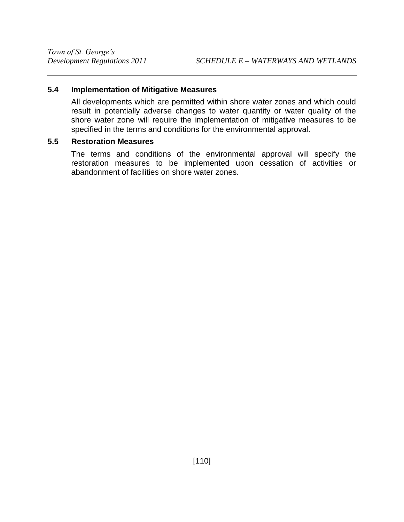## **5.4 Implementation of Mitigative Measures**

All developments which are permitted within shore water zones and which could result in potentially adverse changes to water quantity or water quality of the shore water zone will require the implementation of mitigative measures to be specified in the terms and conditions for the environmental approval.

#### **5.5 Restoration Measures**

The terms and conditions of the environmental approval will specify the restoration measures to be implemented upon cessation of activities or abandonment of facilities on shore water zones.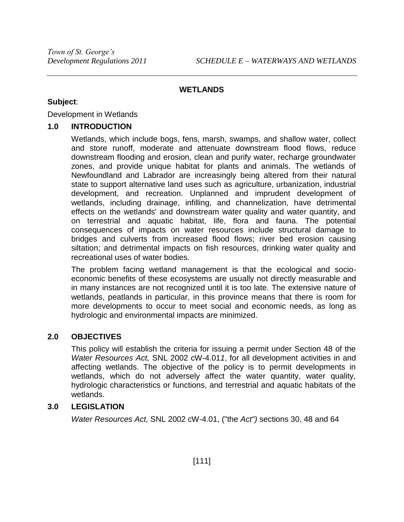## **WETLANDS**

#### **Subject**:

Development in Wetlands

#### **1.0 INTRODUCTION**

Wetlands, which include bogs, fens, marsh, swamps, and shallow water, collect and store runoff, moderate and attenuate downstream flood flows, reduce downstream flooding and erosion, clean and purify water, recharge groundwater zones, and provide unique habitat for plants and animals. The wetlands of Newfoundland and Labrador are increasingly being altered from their natural state to support alternative land uses such as agriculture, urbanization, industrial development, and recreation. Unplanned and imprudent development of wetlands, including drainage, infilling, and channelization, have detrimental effects on the wetlands' and downstream water quality and water quantity, and on terrestrial and aquatic habitat, life, flora and fauna. The potential consequences of impacts on water resources include structural damage to bridges and culverts from increased flood flows; river bed erosion causing siltation; and detrimental impacts on fish resources, drinking water quality and recreational uses of water bodies.

The problem facing wetland management is that the ecological and socioeconomic benefits of these ecosystems are usually not directly measurable and in many instances are not recognized until it is too late. The extensive nature of wetlands, peatlands in particular, in this province means that there is room for more developments to occur to meet social and economic needs, as long as hydrologic and environmental impacts are minimized.

## **2.0 OBJECTIVES**

This policy will establish the criteria for issuing a permit under Section 48 of the *Water Resources Act,* SNL 2002 cW-4.01*1*, for all development activities in and affecting wetlands. The objective of the policy is to permit developments in wetlands, which do not adversely affect the water quantity, water quality, hydrologic characteristics or functions, and terrestrial and aquatic habitats of the wetlands.

## **3.0 LEGISLATION**

*Water Resources Act,* SNL 2002 cW-4.01, ("the *Act")* sections 30, 48 and 64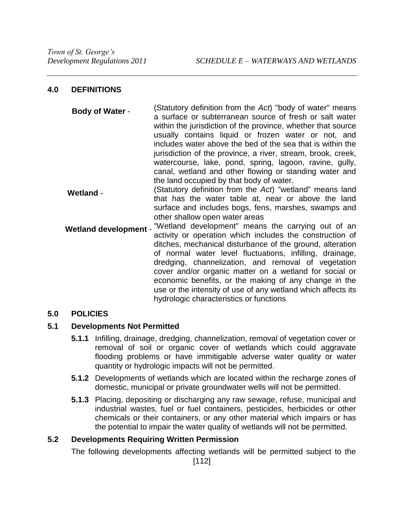## **4.0 DEFINITIONS**

| <b>Body of Water -</b> | (Statutory definition from the Act) "body of water" means    |
|------------------------|--------------------------------------------------------------|
|                        | a surface or subterranean source of fresh or salt water      |
|                        | within the jurisdiction of the province, whether that source |
|                        | usually contains liquid or frozen water or not, and          |
|                        | includes water above the bed of the sea that is within the   |
|                        | jurisdiction of the province, a river, stream, brook, creek, |
|                        | watercourse, lake, pond, spring, lagoon, ravine, gully,      |
|                        | canal, wetland and other flowing or standing water and       |
|                        | the land occupied by that body of water.                     |

- **Wetland** (Statutory definition from the *Act*) "wetland" means land that has the water table at, near or above the land surface and includes bogs, fens, marshes, swamps and other shallow open water areas
- Wetland development "Wetland development" means the carrying out of an activity or operation which includes the construction of ditches, mechanical disturbance of the ground, alteration of normal water level fluctuations, infilling, drainage, dredging, channelization, and removal of vegetation cover and/or organic matter on a wetland for social or economic benefits, or the making of any change in the use or the intensity of use of any wetland which affects its hydrologic characteristics or functions

# **5.0 POLICIES**

## **5.1 Developments Not Permitted**

- **5.1.1** Infilling, drainage, dredging, channelization, removal of vegetation cover or removal of soil or organic cover of wetlands which could aggravate flooding problems or have immitigable adverse water quality or water quantity or hydrologic impacts will not be permitted.
- **5.1.2** Developments of wetlands which are located within the recharge zones of domestic, municipal or private groundwater wells will not be permitted.
- **5.1.3** Placing, depositing or discharging any raw sewage, refuse, municipal and industrial wastes, fuel or fuel containers, pesticides, herbicides or other chemicals or their containers, or any other material which impairs or has the potential to impair the water quality of wetlands will not be permitted.

## **5.2 Developments Requiring Written Permission**

The following developments affecting wetlands will be permitted subject to the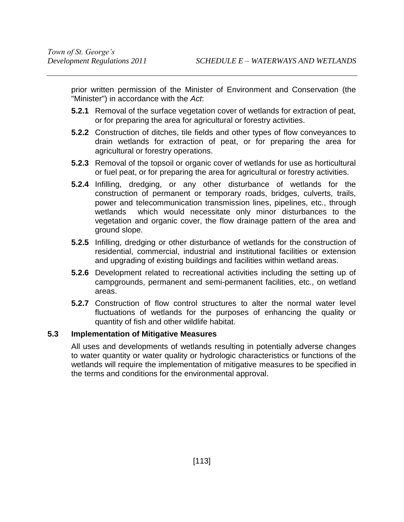prior written permission of the Minister of Environment and Conservation (the "Minister") in accordance with the *Act*:

- **5.2.1** Removal of the surface vegetation cover of wetlands for extraction of peat, or for preparing the area for agricultural or forestry activities.
- **5.2.2** Construction of ditches, tile fields and other types of flow conveyances to drain wetlands for extraction of peat, or for preparing the area for agricultural or forestry operations.
- **5.2.3** Removal of the topsoil or organic cover of wetlands for use as horticultural or fuel peat, or for preparing the area for agricultural or forestry activities.
- **5.2.4** Infilling, dredging, or any other disturbance of wetlands for the construction of permanent or temporary roads, bridges, culverts, trails, power and telecommunication transmission lines, pipelines, etc., through wetlands which would necessitate only minor disturbances to the vegetation and organic cover, the flow drainage pattern of the area and ground slope.
- **5.2.5** Infilling, dredging or other disturbance of wetlands for the construction of residential, commercial, industrial and institutional facilities or extension and upgrading of existing buildings and facilities within wetland areas.
- **5.2.6** Development related to recreational activities including the setting up of campgrounds, permanent and semi-permanent facilities, etc., on wetland areas.
- **5.2.7** Construction of flow control structures to alter the normal water level fluctuations of wetlands for the purposes of enhancing the quality or quantity of fish and other wildlife habitat.

## **5.3 Implementation of Mitigative Measures**

All uses and developments of wetlands resulting in potentially adverse changes to water quantity or water quality or hydrologic characteristics or functions of the wetlands will require the implementation of mitigative measures to be specified in the terms and conditions for the environmental approval.